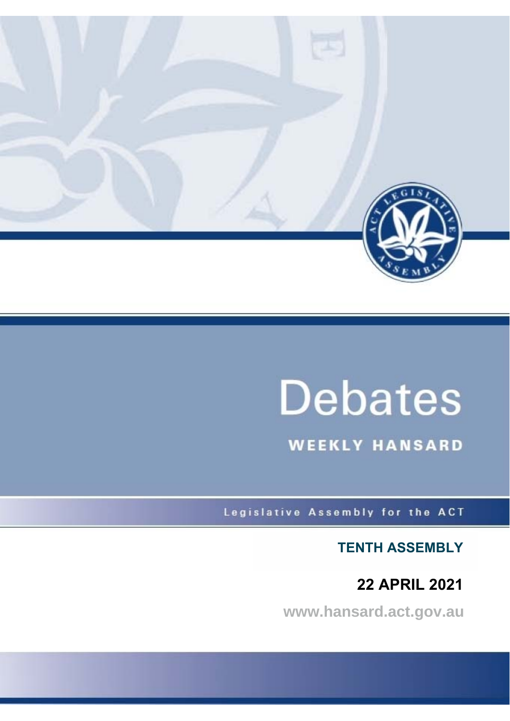

# **Debates**

**WEEKLY HANSARD** 

Legislative Assembly for the ACT

**TENTH ASSEMBLY** 

 **22 APRIL 2021**

**www.hansard.act.gov.au**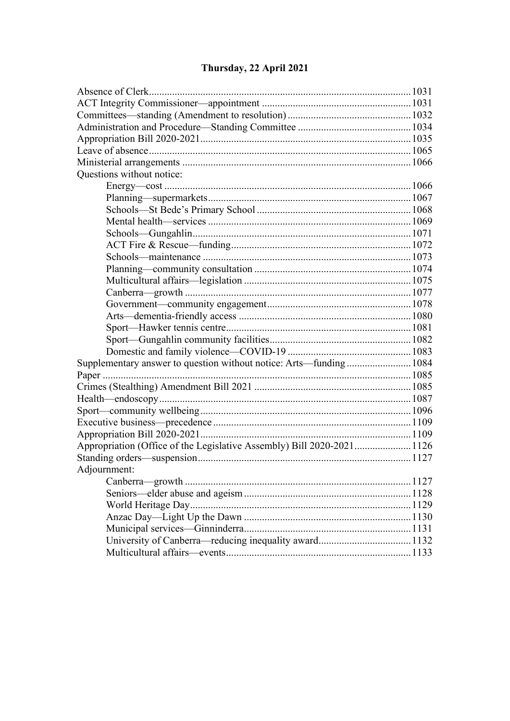#### **Ouestions without notice:** Adjournment:

## Thursday, 22 April 2021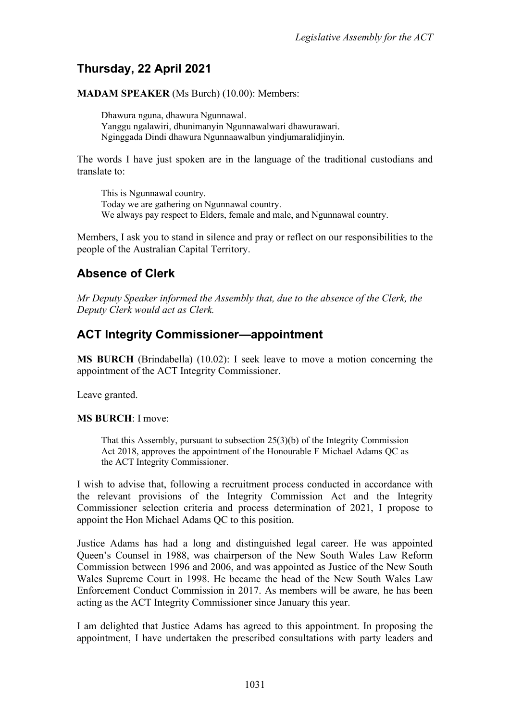# <span id="page-2-0"></span>**Thursday, 22 April 2021**

**MADAM SPEAKER** (Ms Burch) (10.00): Members:

Dhawura nguna, dhawura Ngunnawal. Yanggu ngalawiri, dhunimanyin Ngunnawalwari dhawurawari. Nginggada Dindi dhawura Ngunnaawalbun yindjumaralidjinyin.

The words I have just spoken are in the language of the traditional custodians and translate to:

This is Ngunnawal country. Today we are gathering on Ngunnawal country. We always pay respect to Elders, female and male, and Ngunnawal country.

Members, I ask you to stand in silence and pray or reflect on our responsibilities to the people of the Australian Capital Territory.

# <span id="page-2-1"></span>**Absence of Clerk**

*Mr Deputy Speaker informed the Assembly that, due to the absence of the Clerk, the Deputy Clerk would act as Clerk.*

# <span id="page-2-2"></span>**ACT Integrity Commissioner—appointment**

**MS BURCH** (Brindabella) (10.02): I seek leave to move a motion concerning the appointment of the ACT Integrity Commissioner.

Leave granted.

#### **MS BURCH**: I move:

That this Assembly, pursuant to subsection 25(3)(b) of the Integrity Commission Act 2018, approves the appointment of the Honourable F Michael Adams QC as the ACT Integrity Commissioner.

I wish to advise that, following a recruitment process conducted in accordance with the relevant provisions of the Integrity Commission Act and the Integrity Commissioner selection criteria and process determination of 2021, I propose to appoint the Hon Michael Adams QC to this position.

Justice Adams has had a long and distinguished legal career. He was appointed Queen's Counsel in 1988, was chairperson of the New South Wales Law Reform Commission between 1996 and 2006, and was appointed as Justice of the New South Wales Supreme Court in 1998. He became the head of the New South Wales Law Enforcement Conduct Commission in 2017. As members will be aware, he has been acting as the ACT Integrity Commissioner since January this year.

I am delighted that Justice Adams has agreed to this appointment. In proposing the appointment, I have undertaken the prescribed consultations with party leaders and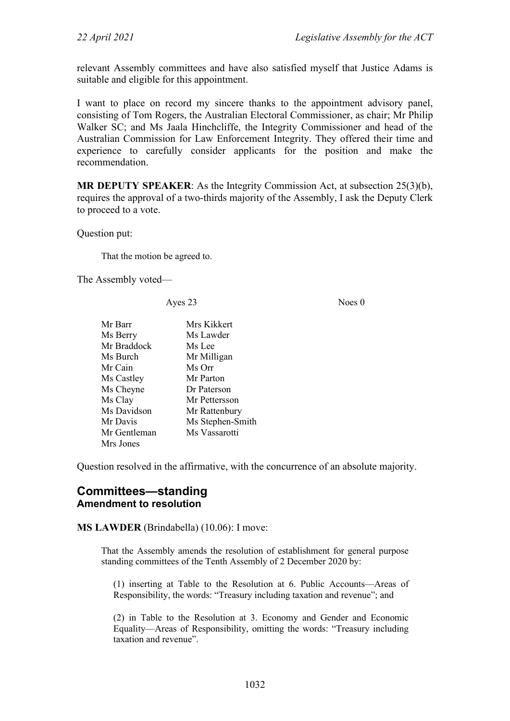relevant Assembly committees and have also satisfied myself that Justice Adams is suitable and eligible for this appointment.

I want to place on record my sincere thanks to the appointment advisory panel, consisting of Tom Rogers, the Australian Electoral Commissioner, as chair; Mr Philip Walker SC; and Ms Jaala Hinchcliffe, the Integrity Commissioner and head of the Australian Commission for Law Enforcement Integrity. They offered their time and experience to carefully consider applicants for the position and make the recommendation.

**MR DEPUTY SPEAKER**: As the Integrity Commission Act, at subsection 25(3)(b), requires the approval of a two-thirds majority of the Assembly, I ask the Deputy Clerk to proceed to a vote.

Question put:

That the motion be agreed to.

The Assembly voted—

Ayes 23 Noes 0

| Mr Barr      | Mrs Kikkert      |
|--------------|------------------|
| Ms Berry     | Ms Lawder        |
| Mr Braddock  | Ms Lee           |
| Ms Burch     | Mr Milligan      |
| Mr Cain      | Ms Orr           |
| Ms Castley   | Mr Parton        |
| Ms Cheyne    | Dr Paterson      |
| Ms Clay      | Mr Pettersson    |
| Ms Davidson  | Mr Rattenbury    |
| Mr Davis     | Ms Stephen-Smith |
| Mr Gentleman | Ms Vassarotti    |
| Mrs Jones    |                  |

Question resolved in the affirmative, with the concurrence of an absolute majority.

## <span id="page-3-1"></span><span id="page-3-0"></span>**Committees—standing Amendment to resolution**

**MS LAWDER** (Brindabella) (10.06): I move:

That the Assembly amends the resolution of establishment for general purpose standing committees of the Tenth Assembly of 2 December 2020 by:

(1) inserting at Table to the Resolution at 6. Public Accounts—Areas of Responsibility, the words: "Treasury including taxation and revenue"; and

(2) in Table to the Resolution at 3. Economy and Gender and Economic Equality—Areas of Responsibility, omitting the words: "Treasury including taxation and revenue".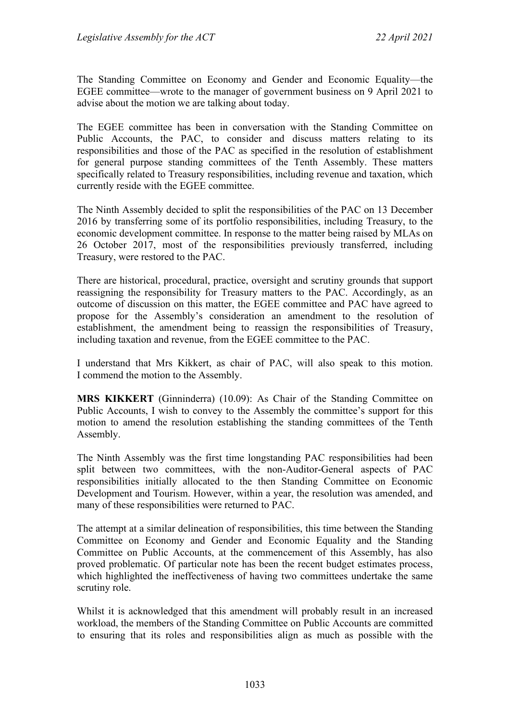The Standing Committee on Economy and Gender and Economic Equality—the EGEE committee—wrote to the manager of government business on 9 April 2021 to advise about the motion we are talking about today.

The EGEE committee has been in conversation with the Standing Committee on Public Accounts, the PAC, to consider and discuss matters relating to its responsibilities and those of the PAC as specified in the resolution of establishment for general purpose standing committees of the Tenth Assembly. These matters specifically related to Treasury responsibilities, including revenue and taxation, which currently reside with the EGEE committee.

The Ninth Assembly decided to split the responsibilities of the PAC on 13 December 2016 by transferring some of its portfolio responsibilities, including Treasury, to the economic development committee. In response to the matter being raised by MLAs on 26 October 2017, most of the responsibilities previously transferred, including Treasury, were restored to the PAC.

There are historical, procedural, practice, oversight and scrutiny grounds that support reassigning the responsibility for Treasury matters to the PAC. Accordingly, as an outcome of discussion on this matter, the EGEE committee and PAC have agreed to propose for the Assembly's consideration an amendment to the resolution of establishment, the amendment being to reassign the responsibilities of Treasury, including taxation and revenue, from the EGEE committee to the PAC.

I understand that Mrs Kikkert, as chair of PAC, will also speak to this motion. I commend the motion to the Assembly.

**MRS KIKKERT** (Ginninderra) (10.09): As Chair of the Standing Committee on Public Accounts, I wish to convey to the Assembly the committee's support for this motion to amend the resolution establishing the standing committees of the Tenth Assembly.

The Ninth Assembly was the first time longstanding PAC responsibilities had been split between two committees, with the non-Auditor-General aspects of PAC responsibilities initially allocated to the then Standing Committee on Economic Development and Tourism. However, within a year, the resolution was amended, and many of these responsibilities were returned to PAC.

The attempt at a similar delineation of responsibilities, this time between the Standing Committee on Economy and Gender and Economic Equality and the Standing Committee on Public Accounts, at the commencement of this Assembly, has also proved problematic. Of particular note has been the recent budget estimates process, which highlighted the ineffectiveness of having two committees undertake the same scrutiny role.

Whilst it is acknowledged that this amendment will probably result in an increased workload, the members of the Standing Committee on Public Accounts are committed to ensuring that its roles and responsibilities align as much as possible with the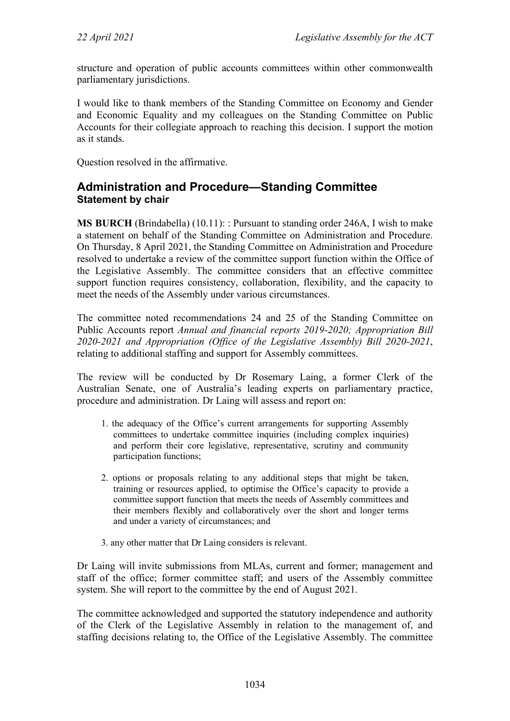structure and operation of public accounts committees within other commonwealth parliamentary jurisdictions.

I would like to thank members of the Standing Committee on Economy and Gender and Economic Equality and my colleagues on the Standing Committee on Public Accounts for their collegiate approach to reaching this decision. I support the motion as it stands.

Question resolved in the affirmative.

## <span id="page-5-0"></span>**Administration and Procedure—Standing Committee Statement by chair**

**MS BURCH** (Brindabella) (10.11): : Pursuant to standing order 246A, I wish to make a statement on behalf of the Standing Committee on Administration and Procedure. On Thursday, 8 April 2021, the Standing Committee on Administration and Procedure resolved to undertake a review of the committee support function within the Office of the Legislative Assembly. The committee considers that an effective committee support function requires consistency, collaboration, flexibility, and the capacity to meet the needs of the Assembly under various circumstances.

The committee noted recommendations 24 and 25 of the Standing Committee on Public Accounts report *Annual and financial reports 2019-2020; Appropriation Bill 2020-2021 and Appropriation (Office of the Legislative Assembly) Bill 2020-2021*, relating to additional staffing and support for Assembly committees.

The review will be conducted by Dr Rosemary Laing, a former Clerk of the Australian Senate, one of Australia's leading experts on parliamentary practice, procedure and administration. Dr Laing will assess and report on:

- 1. the adequacy of the Office's current arrangements for supporting Assembly committees to undertake committee inquiries (including complex inquiries) and perform their core legislative, representative, scrutiny and community participation functions;
- 2. options or proposals relating to any additional steps that might be taken, training or resources applied, to optimise the Office's capacity to provide a committee support function that meets the needs of Assembly committees and their members flexibly and collaboratively over the short and longer terms and under a variety of circumstances; and
- 3. any other matter that Dr Laing considers is relevant.

Dr Laing will invite submissions from MLAs, current and former; management and staff of the office; former committee staff; and users of the Assembly committee system. She will report to the committee by the end of August 2021.

The committee acknowledged and supported the statutory independence and authority of the Clerk of the Legislative Assembly in relation to the management of, and staffing decisions relating to, the Office of the Legislative Assembly. The committee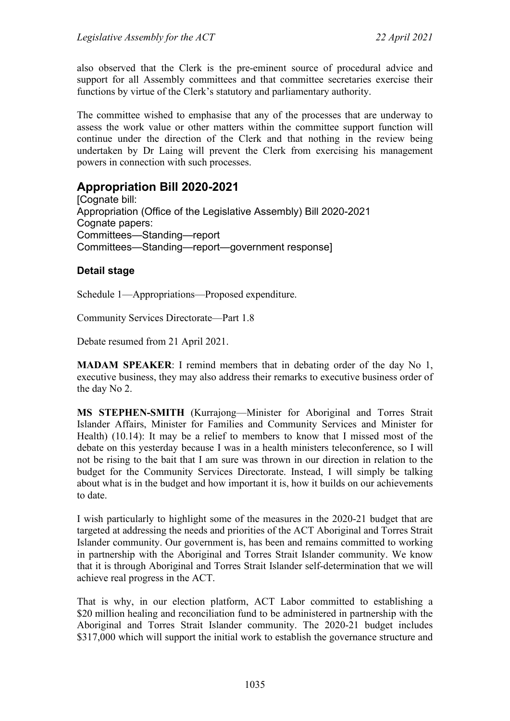also observed that the Clerk is the pre-eminent source of procedural advice and support for all Assembly committees and that committee secretaries exercise their functions by virtue of the Clerk's statutory and parliamentary authority.

The committee wished to emphasise that any of the processes that are underway to assess the work value or other matters within the committee support function will continue under the direction of the Clerk and that nothing in the review being undertaken by Dr Laing will prevent the Clerk from exercising his management powers in connection with such processes.

# <span id="page-6-0"></span>**Appropriation Bill 2020-2021**

[Cognate bill: Appropriation (Office of the Legislative Assembly) Bill 2020-2021 Cognate papers: Committees—Standing—report Committees—Standing—report—government response]

### **Detail stage**

Schedule 1—Appropriations—Proposed expenditure.

Community Services Directorate—Part 1.8

Debate resumed from 21 April 2021.

**MADAM SPEAKER**: I remind members that in debating order of the day No 1, executive business, they may also address their remarks to executive business order of the day No 2.

**MS STEPHEN-SMITH** (Kurrajong—Minister for Aboriginal and Torres Strait Islander Affairs, Minister for Families and Community Services and Minister for Health) (10.14): It may be a relief to members to know that I missed most of the debate on this yesterday because I was in a health ministers teleconference, so I will not be rising to the bait that I am sure was thrown in our direction in relation to the budget for the Community Services Directorate. Instead, I will simply be talking about what is in the budget and how important it is, how it builds on our achievements to date.

I wish particularly to highlight some of the measures in the 2020-21 budget that are targeted at addressing the needs and priorities of the ACT Aboriginal and Torres Strait Islander community. Our government is, has been and remains committed to working in partnership with the Aboriginal and Torres Strait Islander community. We know that it is through Aboriginal and Torres Strait Islander self-determination that we will achieve real progress in the ACT.

That is why, in our election platform, ACT Labor committed to establishing a \$20 million healing and reconciliation fund to be administered in partnership with the Aboriginal and Torres Strait Islander community. The 2020-21 budget includes \$317,000 which will support the initial work to establish the governance structure and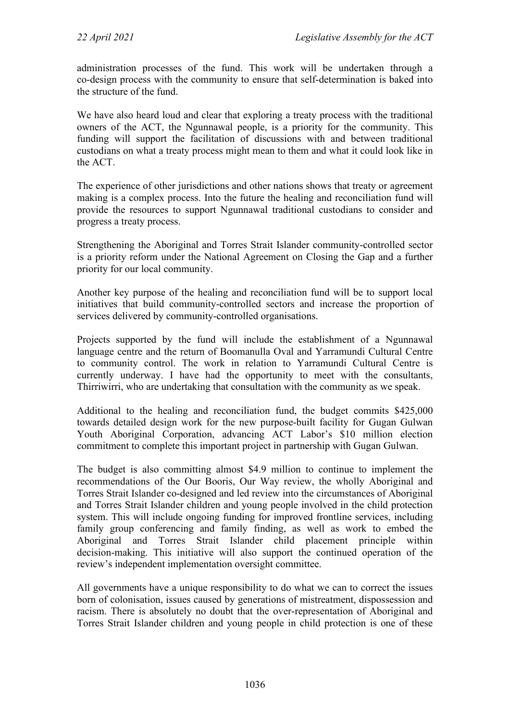administration processes of the fund. This work will be undertaken through a co-design process with the community to ensure that self-determination is baked into the structure of the fund.

We have also heard loud and clear that exploring a treaty process with the traditional owners of the ACT, the Ngunnawal people, is a priority for the community. This funding will support the facilitation of discussions with and between traditional custodians on what a treaty process might mean to them and what it could look like in the ACT.

The experience of other jurisdictions and other nations shows that treaty or agreement making is a complex process. Into the future the healing and reconciliation fund will provide the resources to support Ngunnawal traditional custodians to consider and progress a treaty process.

Strengthening the Aboriginal and Torres Strait Islander community-controlled sector is a priority reform under the National Agreement on Closing the Gap and a further priority for our local community.

Another key purpose of the healing and reconciliation fund will be to support local initiatives that build community-controlled sectors and increase the proportion of services delivered by community-controlled organisations.

Projects supported by the fund will include the establishment of a Ngunnawal language centre and the return of Boomanulla Oval and Yarramundi Cultural Centre to community control. The work in relation to Yarramundi Cultural Centre is currently underway. I have had the opportunity to meet with the consultants, Thirriwirri, who are undertaking that consultation with the community as we speak.

Additional to the healing and reconciliation fund, the budget commits \$425,000 towards detailed design work for the new purpose-built facility for Gugan Gulwan Youth Aboriginal Corporation, advancing ACT Labor's \$10 million election commitment to complete this important project in partnership with Gugan Gulwan.

The budget is also committing almost \$4.9 million to continue to implement the recommendations of the Our Booris, Our Way review, the wholly Aboriginal and Torres Strait Islander co-designed and led review into the circumstances of Aboriginal and Torres Strait Islander children and young people involved in the child protection system. This will include ongoing funding for improved frontline services, including family group conferencing and family finding, as well as work to embed the Aboriginal and Torres Strait Islander child placement principle within decision-making. This initiative will also support the continued operation of the review's independent implementation oversight committee.

All governments have a unique responsibility to do what we can to correct the issues born of colonisation, issues caused by generations of mistreatment, dispossession and racism. There is absolutely no doubt that the over-representation of Aboriginal and Torres Strait Islander children and young people in child protection is one of these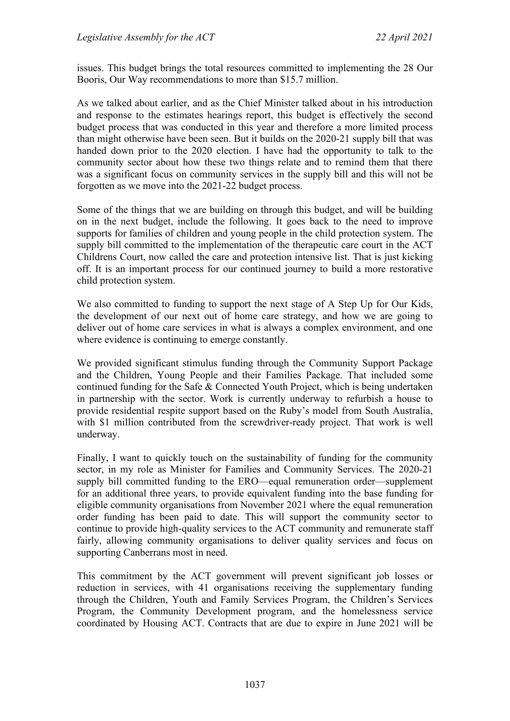issues. This budget brings the total resources committed to implementing the 28 Our Booris, Our Way recommendations to more than \$15.7 million.

As we talked about earlier, and as the Chief Minister talked about in his introduction and response to the estimates hearings report, this budget is effectively the second budget process that was conducted in this year and therefore a more limited process than might otherwise have been seen. But it builds on the 2020-21 supply bill that was handed down prior to the 2020 election. I have had the opportunity to talk to the community sector about how these two things relate and to remind them that there was a significant focus on community services in the supply bill and this will not be forgotten as we move into the 2021-22 budget process.

Some of the things that we are building on through this budget, and will be building on in the next budget, include the following. It goes back to the need to improve supports for families of children and young people in the child protection system. The supply bill committed to the implementation of the therapeutic care court in the ACT Childrens Court, now called the care and protection intensive list. That is just kicking off. It is an important process for our continued journey to build a more restorative child protection system.

We also committed to funding to support the next stage of A Step Up for Our Kids, the development of our next out of home care strategy, and how we are going to deliver out of home care services in what is always a complex environment, and one where evidence is continuing to emerge constantly.

We provided significant stimulus funding through the Community Support Package and the Children, Young People and their Families Package. That included some continued funding for the Safe & Connected Youth Project, which is being undertaken in partnership with the sector. Work is currently underway to refurbish a house to provide residential respite support based on the Ruby's model from South Australia, with \$1 million contributed from the screwdriver-ready project. That work is well underway.

Finally, I want to quickly touch on the sustainability of funding for the community sector, in my role as Minister for Families and Community Services. The 2020-21 supply bill committed funding to the ERO—equal remuneration order—supplement for an additional three years, to provide equivalent funding into the base funding for eligible community organisations from November 2021 where the equal remuneration order funding has been paid to date. This will support the community sector to continue to provide high-quality services to the ACT community and remunerate staff fairly, allowing community organisations to deliver quality services and focus on supporting Canberrans most in need.

This commitment by the ACT government will prevent significant job losses or reduction in services, with 41 organisations receiving the supplementary funding through the Children, Youth and Family Services Program, the Children's Services Program, the Community Development program, and the homelessness service coordinated by Housing ACT. Contracts that are due to expire in June 2021 will be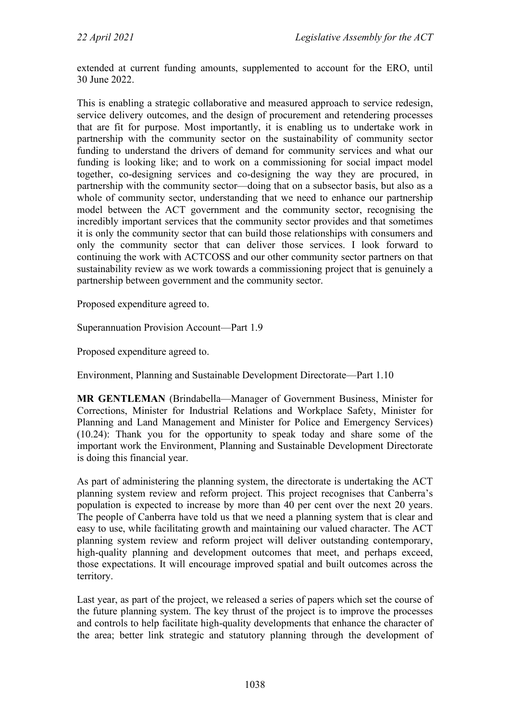extended at current funding amounts, supplemented to account for the ERO, until 30 June 2022.

This is enabling a strategic collaborative and measured approach to service redesign, service delivery outcomes, and the design of procurement and retendering processes that are fit for purpose. Most importantly, it is enabling us to undertake work in partnership with the community sector on the sustainability of community sector funding to understand the drivers of demand for community services and what our funding is looking like; and to work on a commissioning for social impact model together, co-designing services and co-designing the way they are procured, in partnership with the community sector—doing that on a subsector basis, but also as a whole of community sector, understanding that we need to enhance our partnership model between the ACT government and the community sector, recognising the incredibly important services that the community sector provides and that sometimes it is only the community sector that can build those relationships with consumers and only the community sector that can deliver those services. I look forward to continuing the work with ACTCOSS and our other community sector partners on that sustainability review as we work towards a commissioning project that is genuinely a partnership between government and the community sector.

Proposed expenditure agreed to.

Superannuation Provision Account—Part 1.9

Proposed expenditure agreed to.

Environment, Planning and Sustainable Development Directorate—Part 1.10

**MR GENTLEMAN** (Brindabella—Manager of Government Business, Minister for Corrections, Minister for Industrial Relations and Workplace Safety, Minister for Planning and Land Management and Minister for Police and Emergency Services) (10.24): Thank you for the opportunity to speak today and share some of the important work the Environment, Planning and Sustainable Development Directorate is doing this financial year.

As part of administering the planning system, the directorate is undertaking the ACT planning system review and reform project. This project recognises that Canberra's population is expected to increase by more than 40 per cent over the next 20 years. The people of Canberra have told us that we need a planning system that is clear and easy to use, while facilitating growth and maintaining our valued character. The ACT planning system review and reform project will deliver outstanding contemporary, high-quality planning and development outcomes that meet, and perhaps exceed, those expectations. It will encourage improved spatial and built outcomes across the territory.

Last year, as part of the project, we released a series of papers which set the course of the future planning system. The key thrust of the project is to improve the processes and controls to help facilitate high-quality developments that enhance the character of the area; better link strategic and statutory planning through the development of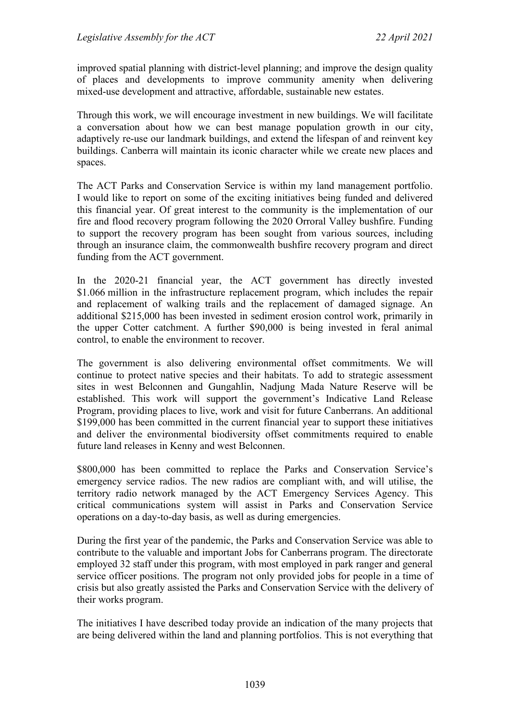improved spatial planning with district-level planning; and improve the design quality of places and developments to improve community amenity when delivering mixed-use development and attractive, affordable, sustainable new estates.

Through this work, we will encourage investment in new buildings. We will facilitate a conversation about how we can best manage population growth in our city, adaptively re-use our landmark buildings, and extend the lifespan of and reinvent key buildings. Canberra will maintain its iconic character while we create new places and spaces.

The ACT Parks and Conservation Service is within my land management portfolio. I would like to report on some of the exciting initiatives being funded and delivered this financial year. Of great interest to the community is the implementation of our fire and flood recovery program following the 2020 Orroral Valley bushfire. Funding to support the recovery program has been sought from various sources, including through an insurance claim, the commonwealth bushfire recovery program and direct funding from the ACT government.

In the 2020-21 financial year, the ACT government has directly invested \$1.066 million in the infrastructure replacement program, which includes the repair and replacement of walking trails and the replacement of damaged signage. An additional \$215,000 has been invested in sediment erosion control work, primarily in the upper Cotter catchment. A further \$90,000 is being invested in feral animal control, to enable the environment to recover.

The government is also delivering environmental offset commitments. We will continue to protect native species and their habitats. To add to strategic assessment sites in west Belconnen and Gungahlin, Nadjung Mada Nature Reserve will be established. This work will support the government's Indicative Land Release Program, providing places to live, work and visit for future Canberrans. An additional \$199,000 has been committed in the current financial year to support these initiatives and deliver the environmental biodiversity offset commitments required to enable future land releases in Kenny and west Belconnen.

\$800,000 has been committed to replace the Parks and Conservation Service's emergency service radios. The new radios are compliant with, and will utilise, the territory radio network managed by the ACT Emergency Services Agency. This critical communications system will assist in Parks and Conservation Service operations on a day-to-day basis, as well as during emergencies.

During the first year of the pandemic, the Parks and Conservation Service was able to contribute to the valuable and important Jobs for Canberrans program. The directorate employed 32 staff under this program, with most employed in park ranger and general service officer positions. The program not only provided jobs for people in a time of crisis but also greatly assisted the Parks and Conservation Service with the delivery of their works program.

The initiatives I have described today provide an indication of the many projects that are being delivered within the land and planning portfolios. This is not everything that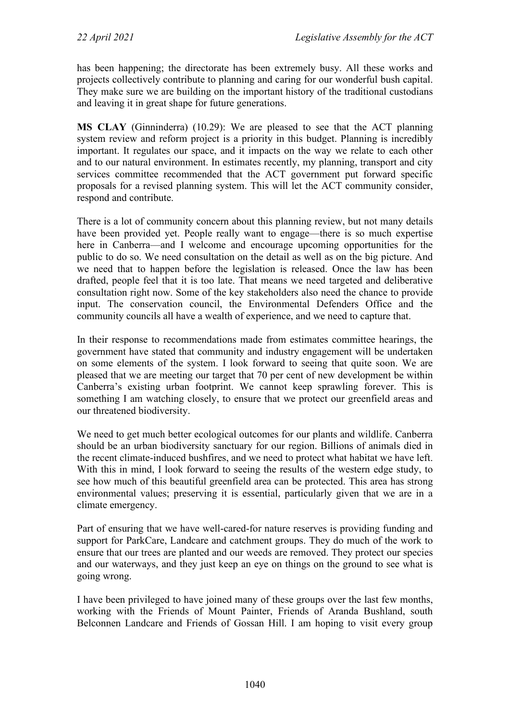has been happening; the directorate has been extremely busy. All these works and projects collectively contribute to planning and caring for our wonderful bush capital. They make sure we are building on the important history of the traditional custodians and leaving it in great shape for future generations.

**MS CLAY** (Ginninderra) (10.29): We are pleased to see that the ACT planning system review and reform project is a priority in this budget. Planning is incredibly important. It regulates our space, and it impacts on the way we relate to each other and to our natural environment. In estimates recently, my planning, transport and city services committee recommended that the ACT government put forward specific proposals for a revised planning system. This will let the ACT community consider, respond and contribute.

There is a lot of community concern about this planning review, but not many details have been provided yet. People really want to engage—there is so much expertise here in Canberra—and I welcome and encourage upcoming opportunities for the public to do so. We need consultation on the detail as well as on the big picture. And we need that to happen before the legislation is released. Once the law has been drafted, people feel that it is too late. That means we need targeted and deliberative consultation right now. Some of the key stakeholders also need the chance to provide input. The conservation council, the Environmental Defenders Office and the community councils all have a wealth of experience, and we need to capture that.

In their response to recommendations made from estimates committee hearings, the government have stated that community and industry engagement will be undertaken on some elements of the system. I look forward to seeing that quite soon. We are pleased that we are meeting our target that 70 per cent of new development be within Canberra's existing urban footprint. We cannot keep sprawling forever. This is something I am watching closely, to ensure that we protect our greenfield areas and our threatened biodiversity.

We need to get much better ecological outcomes for our plants and wildlife. Canberra should be an urban biodiversity sanctuary for our region. Billions of animals died in the recent climate-induced bushfires, and we need to protect what habitat we have left. With this in mind, I look forward to seeing the results of the western edge study, to see how much of this beautiful greenfield area can be protected. This area has strong environmental values; preserving it is essential, particularly given that we are in a climate emergency.

Part of ensuring that we have well-cared-for nature reserves is providing funding and support for ParkCare, Landcare and catchment groups. They do much of the work to ensure that our trees are planted and our weeds are removed. They protect our species and our waterways, and they just keep an eye on things on the ground to see what is going wrong.

I have been privileged to have joined many of these groups over the last few months, working with the Friends of Mount Painter, Friends of Aranda Bushland, south Belconnen Landcare and Friends of Gossan Hill. I am hoping to visit every group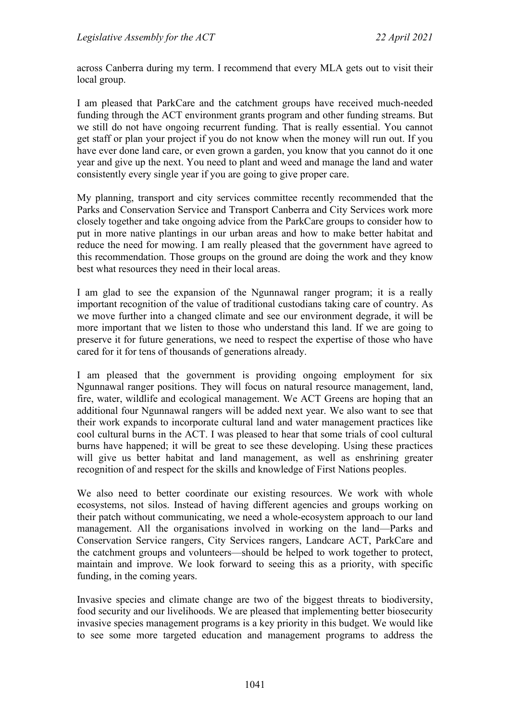across Canberra during my term. I recommend that every MLA gets out to visit their local group.

I am pleased that ParkCare and the catchment groups have received much-needed funding through the ACT environment grants program and other funding streams. But we still do not have ongoing recurrent funding. That is really essential. You cannot get staff or plan your project if you do not know when the money will run out. If you have ever done land care, or even grown a garden, you know that you cannot do it one year and give up the next. You need to plant and weed and manage the land and water consistently every single year if you are going to give proper care.

My planning, transport and city services committee recently recommended that the Parks and Conservation Service and Transport Canberra and City Services work more closely together and take ongoing advice from the ParkCare groups to consider how to put in more native plantings in our urban areas and how to make better habitat and reduce the need for mowing. I am really pleased that the government have agreed to this recommendation. Those groups on the ground are doing the work and they know best what resources they need in their local areas.

I am glad to see the expansion of the Ngunnawal ranger program; it is a really important recognition of the value of traditional custodians taking care of country. As we move further into a changed climate and see our environment degrade, it will be more important that we listen to those who understand this land. If we are going to preserve it for future generations, we need to respect the expertise of those who have cared for it for tens of thousands of generations already.

I am pleased that the government is providing ongoing employment for six Ngunnawal ranger positions. They will focus on natural resource management, land, fire, water, wildlife and ecological management. We ACT Greens are hoping that an additional four Ngunnawal rangers will be added next year. We also want to see that their work expands to incorporate cultural land and water management practices like cool cultural burns in the ACT. I was pleased to hear that some trials of cool cultural burns have happened; it will be great to see these developing. Using these practices will give us better habitat and land management, as well as enshrining greater recognition of and respect for the skills and knowledge of First Nations peoples.

We also need to better coordinate our existing resources. We work with whole ecosystems, not silos. Instead of having different agencies and groups working on their patch without communicating, we need a whole-ecosystem approach to our land management. All the organisations involved in working on the land—Parks and Conservation Service rangers, City Services rangers, Landcare ACT, ParkCare and the catchment groups and volunteers—should be helped to work together to protect, maintain and improve. We look forward to seeing this as a priority, with specific funding, in the coming years.

Invasive species and climate change are two of the biggest threats to biodiversity, food security and our livelihoods. We are pleased that implementing better biosecurity invasive species management programs is a key priority in this budget. We would like to see some more targeted education and management programs to address the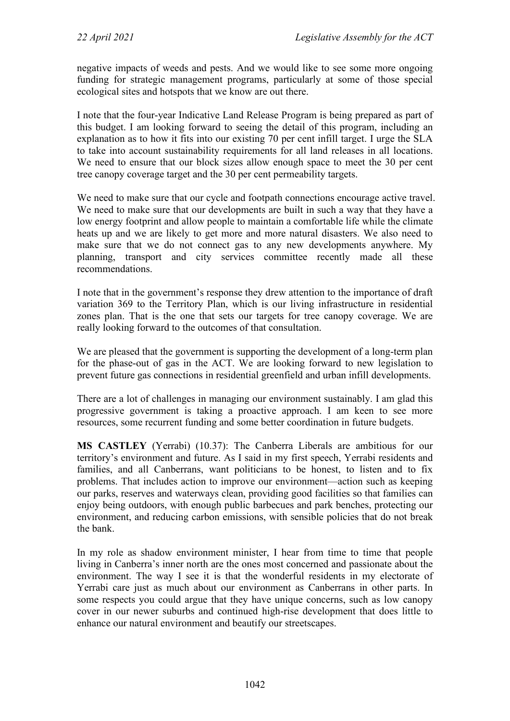negative impacts of weeds and pests. And we would like to see some more ongoing funding for strategic management programs, particularly at some of those special ecological sites and hotspots that we know are out there.

I note that the four-year Indicative Land Release Program is being prepared as part of this budget. I am looking forward to seeing the detail of this program, including an explanation as to how it fits into our existing 70 per cent infill target. I urge the SLA to take into account sustainability requirements for all land releases in all locations. We need to ensure that our block sizes allow enough space to meet the 30 per cent tree canopy coverage target and the 30 per cent permeability targets.

We need to make sure that our cycle and footpath connections encourage active travel. We need to make sure that our developments are built in such a way that they have a low energy footprint and allow people to maintain a comfortable life while the climate heats up and we are likely to get more and more natural disasters. We also need to make sure that we do not connect gas to any new developments anywhere. My planning, transport and city services committee recently made all these recommendations.

I note that in the government's response they drew attention to the importance of draft variation 369 to the Territory Plan, which is our living infrastructure in residential zones plan. That is the one that sets our targets for tree canopy coverage. We are really looking forward to the outcomes of that consultation.

We are pleased that the government is supporting the development of a long-term plan for the phase-out of gas in the ACT. We are looking forward to new legislation to prevent future gas connections in residential greenfield and urban infill developments.

There are a lot of challenges in managing our environment sustainably. I am glad this progressive government is taking a proactive approach. I am keen to see more resources, some recurrent funding and some better coordination in future budgets.

**MS CASTLEY** (Yerrabi) (10.37): The Canberra Liberals are ambitious for our territory's environment and future. As I said in my first speech, Yerrabi residents and families, and all Canberrans, want politicians to be honest, to listen and to fix problems. That includes action to improve our environment—action such as keeping our parks, reserves and waterways clean, providing good facilities so that families can enjoy being outdoors, with enough public barbecues and park benches, protecting our environment, and reducing carbon emissions, with sensible policies that do not break the bank.

In my role as shadow environment minister, I hear from time to time that people living in Canberra's inner north are the ones most concerned and passionate about the environment. The way I see it is that the wonderful residents in my electorate of Yerrabi care just as much about our environment as Canberrans in other parts. In some respects you could argue that they have unique concerns, such as low canopy cover in our newer suburbs and continued high-rise development that does little to enhance our natural environment and beautify our streetscapes.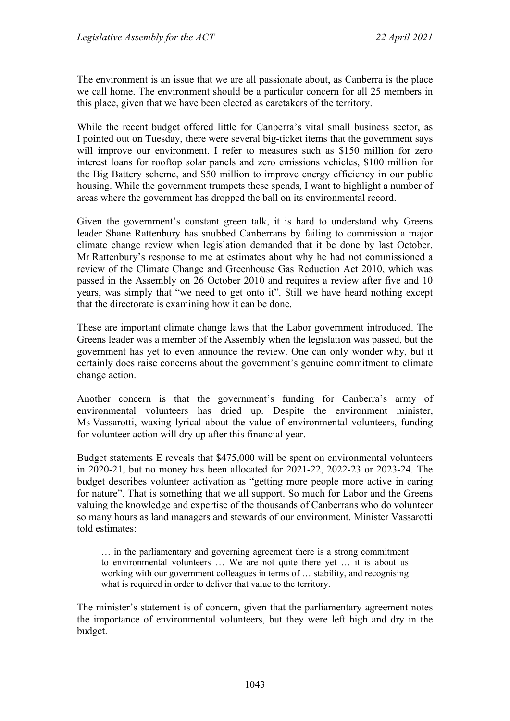The environment is an issue that we are all passionate about, as Canberra is the place we call home. The environment should be a particular concern for all 25 members in this place, given that we have been elected as caretakers of the territory.

While the recent budget offered little for Canberra's vital small business sector, as I pointed out on Tuesday, there were several big-ticket items that the government says will improve our environment. I refer to measures such as \$150 million for zero interest loans for rooftop solar panels and zero emissions vehicles, \$100 million for the Big Battery scheme, and \$50 million to improve energy efficiency in our public housing. While the government trumpets these spends, I want to highlight a number of areas where the government has dropped the ball on its environmental record.

Given the government's constant green talk, it is hard to understand why Greens leader Shane Rattenbury has snubbed Canberrans by failing to commission a major climate change review when legislation demanded that it be done by last October. Mr Rattenbury's response to me at estimates about why he had not commissioned a review of the Climate Change and Greenhouse Gas Reduction Act 2010, which was passed in the Assembly on 26 October 2010 and requires a review after five and 10 years, was simply that "we need to get onto it". Still we have heard nothing except that the directorate is examining how it can be done.

These are important climate change laws that the Labor government introduced. The Greens leader was a member of the Assembly when the legislation was passed, but the government has yet to even announce the review. One can only wonder why, but it certainly does raise concerns about the government's genuine commitment to climate change action.

Another concern is that the government's funding for Canberra's army of environmental volunteers has dried up. Despite the environment minister, Ms Vassarotti, waxing lyrical about the value of environmental volunteers, funding for volunteer action will dry up after this financial year.

Budget statements E reveals that \$475,000 will be spent on environmental volunteers in 2020-21, but no money has been allocated for 2021-22, 2022-23 or 2023-24. The budget describes volunteer activation as "getting more people more active in caring for nature". That is something that we all support. So much for Labor and the Greens valuing the knowledge and expertise of the thousands of Canberrans who do volunteer so many hours as land managers and stewards of our environment. Minister Vassarotti told estimates:

… in the parliamentary and governing agreement there is a strong commitment to environmental volunteers … We are not quite there yet … it is about us working with our government colleagues in terms of … stability, and recognising what is required in order to deliver that value to the territory.

The minister's statement is of concern, given that the parliamentary agreement notes the importance of environmental volunteers, but they were left high and dry in the budget.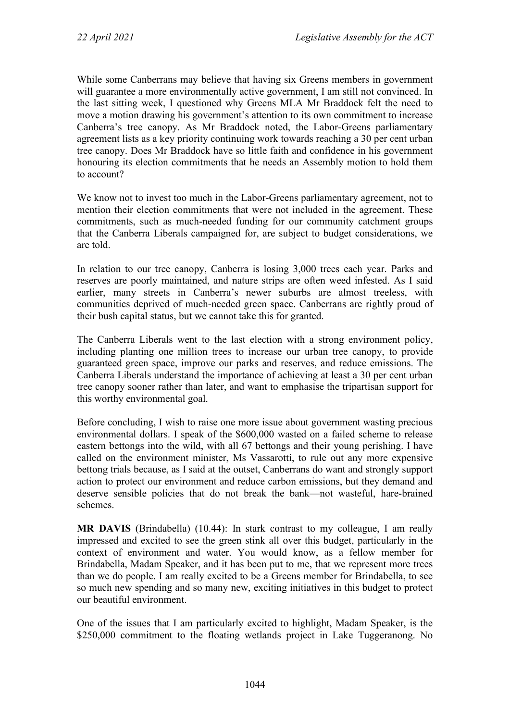While some Canberrans may believe that having six Greens members in government will guarantee a more environmentally active government, I am still not convinced. In the last sitting week, I questioned why Greens MLA Mr Braddock felt the need to move a motion drawing his government's attention to its own commitment to increase Canberra's tree canopy. As Mr Braddock noted, the Labor-Greens parliamentary agreement lists as a key priority continuing work towards reaching a 30 per cent urban tree canopy. Does Mr Braddock have so little faith and confidence in his government honouring its election commitments that he needs an Assembly motion to hold them to account?

We know not to invest too much in the Labor-Greens parliamentary agreement, not to mention their election commitments that were not included in the agreement. These commitments, such as much-needed funding for our community catchment groups that the Canberra Liberals campaigned for, are subject to budget considerations, we are told.

In relation to our tree canopy, Canberra is losing 3,000 trees each year. Parks and reserves are poorly maintained, and nature strips are often weed infested. As I said earlier, many streets in Canberra's newer suburbs are almost treeless, with communities deprived of much-needed green space. Canberrans are rightly proud of their bush capital status, but we cannot take this for granted.

The Canberra Liberals went to the last election with a strong environment policy, including planting one million trees to increase our urban tree canopy, to provide guaranteed green space, improve our parks and reserves, and reduce emissions. The Canberra Liberals understand the importance of achieving at least a 30 per cent urban tree canopy sooner rather than later, and want to emphasise the tripartisan support for this worthy environmental goal.

Before concluding, I wish to raise one more issue about government wasting precious environmental dollars. I speak of the \$600,000 wasted on a failed scheme to release eastern bettongs into the wild, with all 67 bettongs and their young perishing. I have called on the environment minister, Ms Vassarotti, to rule out any more expensive bettong trials because, as I said at the outset, Canberrans do want and strongly support action to protect our environment and reduce carbon emissions, but they demand and deserve sensible policies that do not break the bank—not wasteful, hare-brained schemes.

**MR DAVIS** (Brindabella) (10.44): In stark contrast to my colleague, I am really impressed and excited to see the green stink all over this budget, particularly in the context of environment and water. You would know, as a fellow member for Brindabella, Madam Speaker, and it has been put to me, that we represent more trees than we do people. I am really excited to be a Greens member for Brindabella, to see so much new spending and so many new, exciting initiatives in this budget to protect our beautiful environment.

One of the issues that I am particularly excited to highlight, Madam Speaker, is the \$250,000 commitment to the floating wetlands project in Lake Tuggeranong. No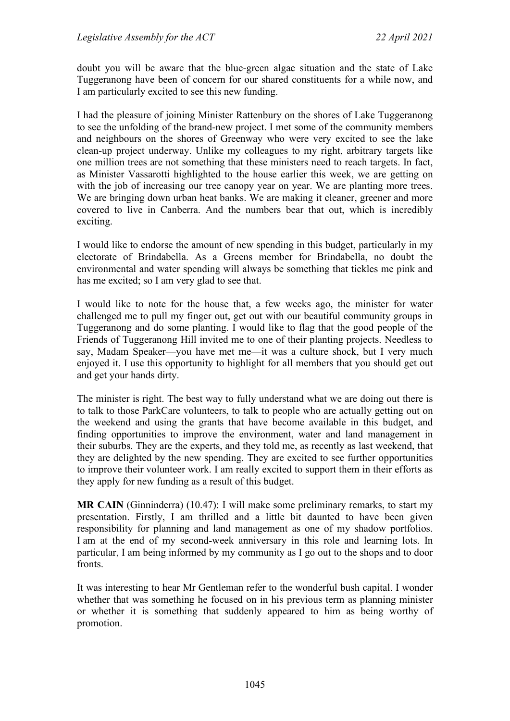doubt you will be aware that the blue-green algae situation and the state of Lake Tuggeranong have been of concern for our shared constituents for a while now, and I am particularly excited to see this new funding.

I had the pleasure of joining Minister Rattenbury on the shores of Lake Tuggeranong to see the unfolding of the brand-new project. I met some of the community members and neighbours on the shores of Greenway who were very excited to see the lake clean-up project underway. Unlike my colleagues to my right, arbitrary targets like one million trees are not something that these ministers need to reach targets. In fact, as Minister Vassarotti highlighted to the house earlier this week, we are getting on with the job of increasing our tree canopy year on year. We are planting more trees. We are bringing down urban heat banks. We are making it cleaner, greener and more covered to live in Canberra. And the numbers bear that out, which is incredibly exciting.

I would like to endorse the amount of new spending in this budget, particularly in my electorate of Brindabella. As a Greens member for Brindabella, no doubt the environmental and water spending will always be something that tickles me pink and has me excited; so I am very glad to see that.

I would like to note for the house that, a few weeks ago, the minister for water challenged me to pull my finger out, get out with our beautiful community groups in Tuggeranong and do some planting. I would like to flag that the good people of the Friends of Tuggeranong Hill invited me to one of their planting projects. Needless to say, Madam Speaker—you have met me—it was a culture shock, but I very much enjoyed it. I use this opportunity to highlight for all members that you should get out and get your hands dirty.

The minister is right. The best way to fully understand what we are doing out there is to talk to those ParkCare volunteers, to talk to people who are actually getting out on the weekend and using the grants that have become available in this budget, and finding opportunities to improve the environment, water and land management in their suburbs. They are the experts, and they told me, as recently as last weekend, that they are delighted by the new spending. They are excited to see further opportunities to improve their volunteer work. I am really excited to support them in their efforts as they apply for new funding as a result of this budget.

**MR CAIN** (Ginninderra) (10.47): I will make some preliminary remarks, to start my presentation. Firstly, I am thrilled and a little bit daunted to have been given responsibility for planning and land management as one of my shadow portfolios. I am at the end of my second-week anniversary in this role and learning lots. In particular, I am being informed by my community as I go out to the shops and to door fronts.

It was interesting to hear Mr Gentleman refer to the wonderful bush capital. I wonder whether that was something he focused on in his previous term as planning minister or whether it is something that suddenly appeared to him as being worthy of promotion.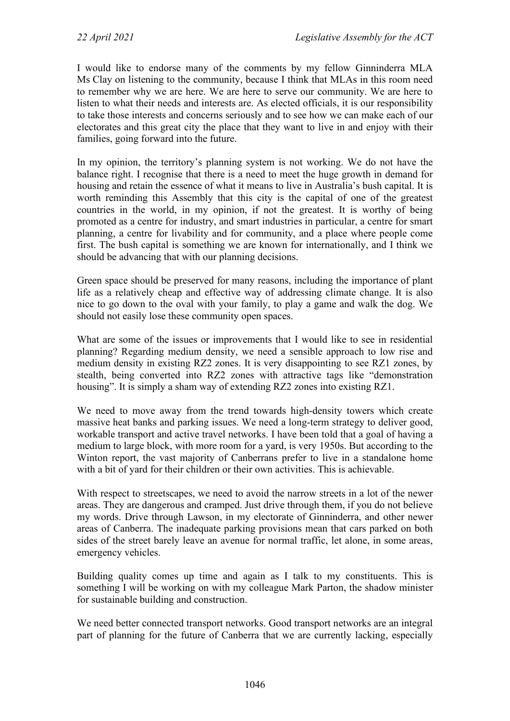I would like to endorse many of the comments by my fellow Ginninderra MLA Ms Clay on listening to the community, because I think that MLAs in this room need to remember why we are here. We are here to serve our community. We are here to listen to what their needs and interests are. As elected officials, it is our responsibility to take those interests and concerns seriously and to see how we can make each of our electorates and this great city the place that they want to live in and enjoy with their families, going forward into the future.

In my opinion, the territory's planning system is not working. We do not have the balance right. I recognise that there is a need to meet the huge growth in demand for housing and retain the essence of what it means to live in Australia's bush capital. It is worth reminding this Assembly that this city is the capital of one of the greatest countries in the world, in my opinion, if not the greatest. It is worthy of being promoted as a centre for industry, and smart industries in particular, a centre for smart planning, a centre for livability and for community, and a place where people come first. The bush capital is something we are known for internationally, and I think we should be advancing that with our planning decisions.

Green space should be preserved for many reasons, including the importance of plant life as a relatively cheap and effective way of addressing climate change. It is also nice to go down to the oval with your family, to play a game and walk the dog. We should not easily lose these community open spaces.

What are some of the issues or improvements that I would like to see in residential planning? Regarding medium density, we need a sensible approach to low rise and medium density in existing RZ2 zones. It is very disappointing to see RZ1 zones, by stealth, being converted into RZ2 zones with attractive tags like "demonstration housing". It is simply a sham way of extending RZ2 zones into existing RZ1.

We need to move away from the trend towards high-density towers which create massive heat banks and parking issues. We need a long-term strategy to deliver good, workable transport and active travel networks. I have been told that a goal of having a medium to large block, with more room for a yard, is very 1950s. But according to the Winton report, the vast majority of Canberrans prefer to live in a standalone home with a bit of yard for their children or their own activities. This is achievable.

With respect to streetscapes, we need to avoid the narrow streets in a lot of the newer areas. They are dangerous and cramped. Just drive through them, if you do not believe my words. Drive through Lawson, in my electorate of Ginninderra, and other newer areas of Canberra. The inadequate parking provisions mean that cars parked on both sides of the street barely leave an avenue for normal traffic, let alone, in some areas, emergency vehicles.

Building quality comes up time and again as I talk to my constituents. This is something I will be working on with my colleague Mark Parton, the shadow minister for sustainable building and construction.

We need better connected transport networks. Good transport networks are an integral part of planning for the future of Canberra that we are currently lacking, especially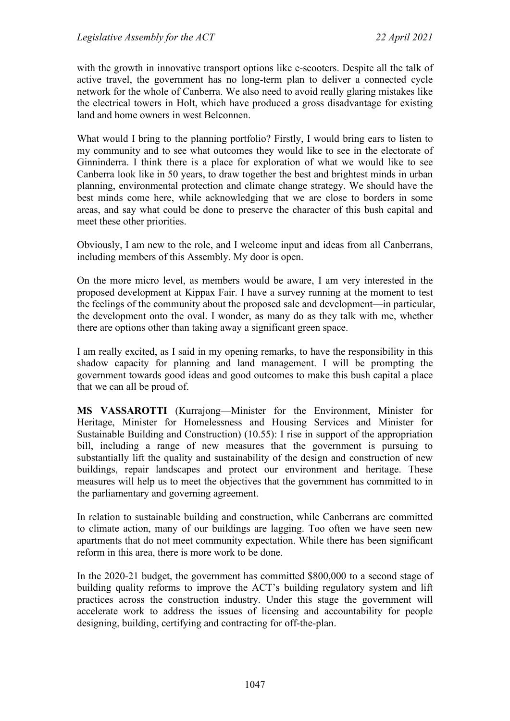with the growth in innovative transport options like e-scooters. Despite all the talk of active travel, the government has no long-term plan to deliver a connected cycle network for the whole of Canberra. We also need to avoid really glaring mistakes like the electrical towers in Holt, which have produced a gross disadvantage for existing land and home owners in west Belconnen.

What would I bring to the planning portfolio? Firstly, I would bring ears to listen to my community and to see what outcomes they would like to see in the electorate of Ginninderra. I think there is a place for exploration of what we would like to see Canberra look like in 50 years, to draw together the best and brightest minds in urban planning, environmental protection and climate change strategy. We should have the best minds come here, while acknowledging that we are close to borders in some areas, and say what could be done to preserve the character of this bush capital and meet these other priorities.

Obviously, I am new to the role, and I welcome input and ideas from all Canberrans, including members of this Assembly. My door is open.

On the more micro level, as members would be aware, I am very interested in the proposed development at Kippax Fair. I have a survey running at the moment to test the feelings of the community about the proposed sale and development—in particular, the development onto the oval. I wonder, as many do as they talk with me, whether there are options other than taking away a significant green space.

I am really excited, as I said in my opening remarks, to have the responsibility in this shadow capacity for planning and land management. I will be prompting the government towards good ideas and good outcomes to make this bush capital a place that we can all be proud of.

**MS VASSAROTTI** (Kurrajong—Minister for the Environment, Minister for Heritage, Minister for Homelessness and Housing Services and Minister for Sustainable Building and Construction) (10.55): I rise in support of the appropriation bill, including a range of new measures that the government is pursuing to substantially lift the quality and sustainability of the design and construction of new buildings, repair landscapes and protect our environment and heritage. These measures will help us to meet the objectives that the government has committed to in the parliamentary and governing agreement.

In relation to sustainable building and construction, while Canberrans are committed to climate action, many of our buildings are lagging. Too often we have seen new apartments that do not meet community expectation. While there has been significant reform in this area, there is more work to be done.

In the 2020-21 budget, the government has committed \$800,000 to a second stage of building quality reforms to improve the ACT's building regulatory system and lift practices across the construction industry. Under this stage the government will accelerate work to address the issues of licensing and accountability for people designing, building, certifying and contracting for off-the-plan.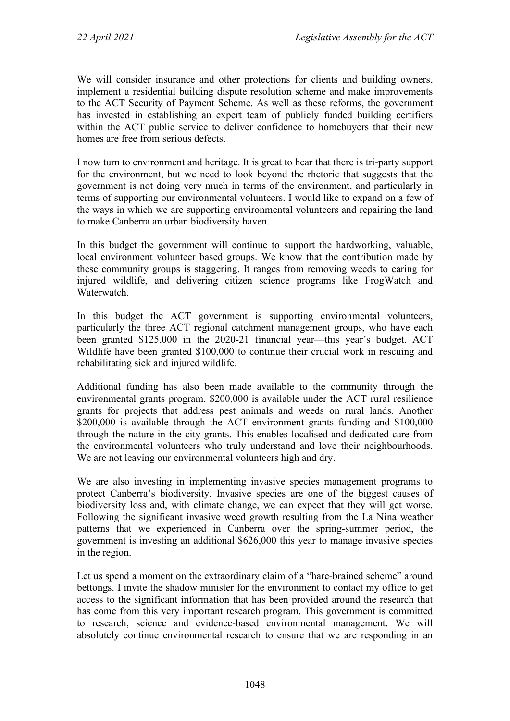We will consider insurance and other protections for clients and building owners, implement a residential building dispute resolution scheme and make improvements to the ACT Security of Payment Scheme. As well as these reforms, the government has invested in establishing an expert team of publicly funded building certifiers within the ACT public service to deliver confidence to homebuyers that their new homes are free from serious defects.

I now turn to environment and heritage. It is great to hear that there is tri-party support for the environment, but we need to look beyond the rhetoric that suggests that the government is not doing very much in terms of the environment, and particularly in terms of supporting our environmental volunteers. I would like to expand on a few of the ways in which we are supporting environmental volunteers and repairing the land to make Canberra an urban biodiversity haven.

In this budget the government will continue to support the hardworking, valuable, local environment volunteer based groups. We know that the contribution made by these community groups is staggering. It ranges from removing weeds to caring for injured wildlife, and delivering citizen science programs like FrogWatch and Waterwatch.

In this budget the ACT government is supporting environmental volunteers, particularly the three ACT regional catchment management groups, who have each been granted \$125,000 in the 2020-21 financial year—this year's budget. ACT Wildlife have been granted \$100,000 to continue their crucial work in rescuing and rehabilitating sick and injured wildlife.

Additional funding has also been made available to the community through the environmental grants program. \$200,000 is available under the ACT rural resilience grants for projects that address pest animals and weeds on rural lands. Another \$200,000 is available through the ACT environment grants funding and \$100,000 through the nature in the city grants. This enables localised and dedicated care from the environmental volunteers who truly understand and love their neighbourhoods. We are not leaving our environmental volunteers high and dry.

We are also investing in implementing invasive species management programs to protect Canberra's biodiversity. Invasive species are one of the biggest causes of biodiversity loss and, with climate change, we can expect that they will get worse. Following the significant invasive weed growth resulting from the La Nina weather patterns that we experienced in Canberra over the spring-summer period, the government is investing an additional \$626,000 this year to manage invasive species in the region.

Let us spend a moment on the extraordinary claim of a "hare-brained scheme" around bettongs. I invite the shadow minister for the environment to contact my office to get access to the significant information that has been provided around the research that has come from this very important research program. This government is committed to research, science and evidence-based environmental management. We will absolutely continue environmental research to ensure that we are responding in an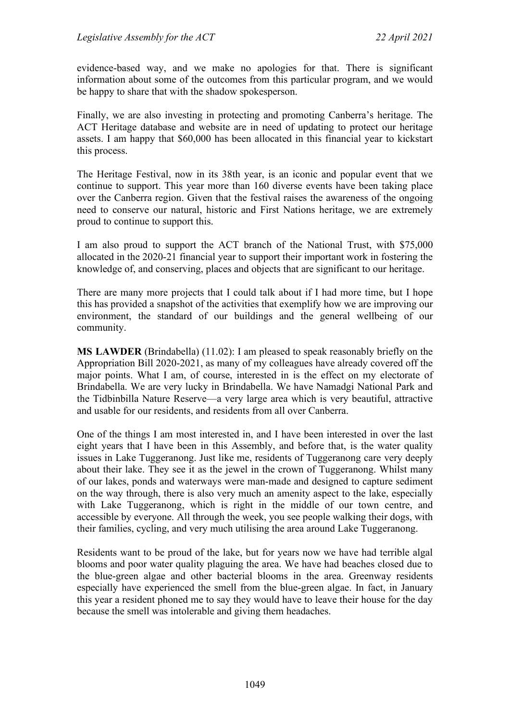evidence-based way, and we make no apologies for that. There is significant information about some of the outcomes from this particular program, and we would be happy to share that with the shadow spokesperson.

Finally, we are also investing in protecting and promoting Canberra's heritage. The ACT Heritage database and website are in need of updating to protect our heritage assets. I am happy that \$60,000 has been allocated in this financial year to kickstart this process.

The Heritage Festival, now in its 38th year, is an iconic and popular event that we continue to support. This year more than 160 diverse events have been taking place over the Canberra region. Given that the festival raises the awareness of the ongoing need to conserve our natural, historic and First Nations heritage, we are extremely proud to continue to support this.

I am also proud to support the ACT branch of the National Trust, with \$75,000 allocated in the 2020-21 financial year to support their important work in fostering the knowledge of, and conserving, places and objects that are significant to our heritage.

There are many more projects that I could talk about if I had more time, but I hope this has provided a snapshot of the activities that exemplify how we are improving our environment, the standard of our buildings and the general wellbeing of our community.

**MS LAWDER** (Brindabella) (11.02): I am pleased to speak reasonably briefly on the Appropriation Bill 2020-2021, as many of my colleagues have already covered off the major points. What I am, of course, interested in is the effect on my electorate of Brindabella. We are very lucky in Brindabella. We have Namadgi National Park and the Tidbinbilla Nature Reserve—a very large area which is very beautiful, attractive and usable for our residents, and residents from all over Canberra.

One of the things I am most interested in, and I have been interested in over the last eight years that I have been in this Assembly, and before that, is the water quality issues in Lake Tuggeranong. Just like me, residents of Tuggeranong care very deeply about their lake. They see it as the jewel in the crown of Tuggeranong. Whilst many of our lakes, ponds and waterways were man-made and designed to capture sediment on the way through, there is also very much an amenity aspect to the lake, especially with Lake Tuggeranong, which is right in the middle of our town centre, and accessible by everyone. All through the week, you see people walking their dogs, with their families, cycling, and very much utilising the area around Lake Tuggeranong.

Residents want to be proud of the lake, but for years now we have had terrible algal blooms and poor water quality plaguing the area. We have had beaches closed due to the blue-green algae and other bacterial blooms in the area. Greenway residents especially have experienced the smell from the blue-green algae. In fact, in January this year a resident phoned me to say they would have to leave their house for the day because the smell was intolerable and giving them headaches.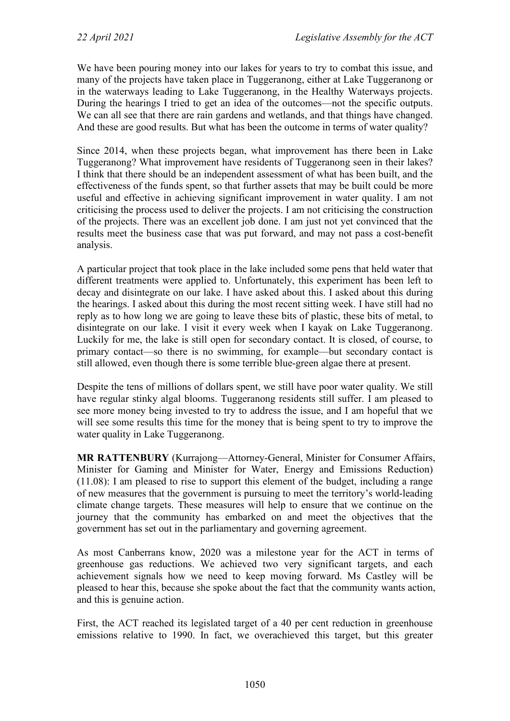We have been pouring money into our lakes for years to try to combat this issue, and many of the projects have taken place in Tuggeranong, either at Lake Tuggeranong or in the waterways leading to Lake Tuggeranong, in the Healthy Waterways projects. During the hearings I tried to get an idea of the outcomes—not the specific outputs. We can all see that there are rain gardens and wetlands, and that things have changed. And these are good results. But what has been the outcome in terms of water quality?

Since 2014, when these projects began, what improvement has there been in Lake Tuggeranong? What improvement have residents of Tuggeranong seen in their lakes? I think that there should be an independent assessment of what has been built, and the effectiveness of the funds spent, so that further assets that may be built could be more useful and effective in achieving significant improvement in water quality. I am not criticising the process used to deliver the projects. I am not criticising the construction of the projects. There was an excellent job done. I am just not yet convinced that the results meet the business case that was put forward, and may not pass a cost-benefit analysis.

A particular project that took place in the lake included some pens that held water that different treatments were applied to. Unfortunately, this experiment has been left to decay and disintegrate on our lake. I have asked about this. I asked about this during the hearings. I asked about this during the most recent sitting week. I have still had no reply as to how long we are going to leave these bits of plastic, these bits of metal, to disintegrate on our lake. I visit it every week when I kayak on Lake Tuggeranong. Luckily for me, the lake is still open for secondary contact. It is closed, of course, to primary contact—so there is no swimming, for example—but secondary contact is still allowed, even though there is some terrible blue-green algae there at present.

Despite the tens of millions of dollars spent, we still have poor water quality. We still have regular stinky algal blooms. Tuggeranong residents still suffer. I am pleased to see more money being invested to try to address the issue, and I am hopeful that we will see some results this time for the money that is being spent to try to improve the water quality in Lake Tuggeranong.

**MR RATTENBURY** (Kurrajong—Attorney-General, Minister for Consumer Affairs, Minister for Gaming and Minister for Water, Energy and Emissions Reduction) (11.08): I am pleased to rise to support this element of the budget, including a range of new measures that the government is pursuing to meet the territory's world-leading climate change targets. These measures will help to ensure that we continue on the journey that the community has embarked on and meet the objectives that the government has set out in the parliamentary and governing agreement.

As most Canberrans know, 2020 was a milestone year for the ACT in terms of greenhouse gas reductions. We achieved two very significant targets, and each achievement signals how we need to keep moving forward. Ms Castley will be pleased to hear this, because she spoke about the fact that the community wants action, and this is genuine action.

First, the ACT reached its legislated target of a 40 per cent reduction in greenhouse emissions relative to 1990. In fact, we overachieved this target, but this greater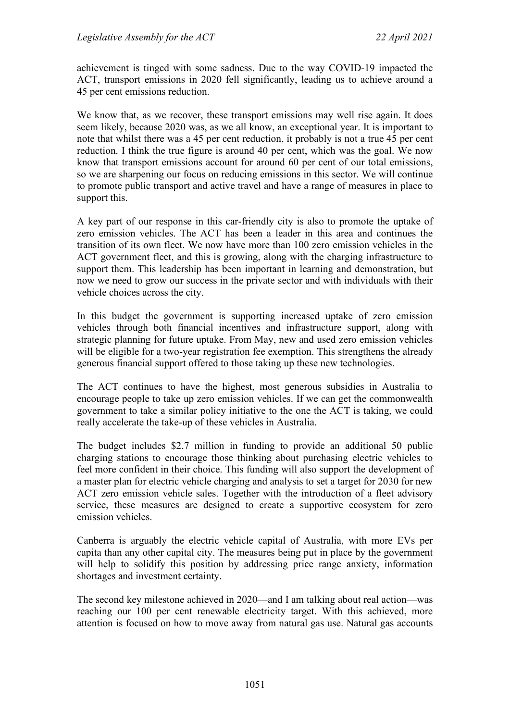achievement is tinged with some sadness. Due to the way COVID-19 impacted the ACT, transport emissions in 2020 fell significantly, leading us to achieve around a 45 per cent emissions reduction.

We know that, as we recover, these transport emissions may well rise again. It does seem likely, because 2020 was, as we all know, an exceptional year. It is important to note that whilst there was a 45 per cent reduction, it probably is not a true 45 per cent reduction. I think the true figure is around 40 per cent, which was the goal. We now know that transport emissions account for around 60 per cent of our total emissions, so we are sharpening our focus on reducing emissions in this sector. We will continue to promote public transport and active travel and have a range of measures in place to support this.

A key part of our response in this car-friendly city is also to promote the uptake of zero emission vehicles. The ACT has been a leader in this area and continues the transition of its own fleet. We now have more than 100 zero emission vehicles in the ACT government fleet, and this is growing, along with the charging infrastructure to support them. This leadership has been important in learning and demonstration, but now we need to grow our success in the private sector and with individuals with their vehicle choices across the city.

In this budget the government is supporting increased uptake of zero emission vehicles through both financial incentives and infrastructure support, along with strategic planning for future uptake. From May, new and used zero emission vehicles will be eligible for a two-year registration fee exemption. This strengthens the already generous financial support offered to those taking up these new technologies.

The ACT continues to have the highest, most generous subsidies in Australia to encourage people to take up zero emission vehicles. If we can get the commonwealth government to take a similar policy initiative to the one the ACT is taking, we could really accelerate the take-up of these vehicles in Australia.

The budget includes \$2.7 million in funding to provide an additional 50 public charging stations to encourage those thinking about purchasing electric vehicles to feel more confident in their choice. This funding will also support the development of a master plan for electric vehicle charging and analysis to set a target for 2030 for new ACT zero emission vehicle sales. Together with the introduction of a fleet advisory service, these measures are designed to create a supportive ecosystem for zero emission vehicles.

Canberra is arguably the electric vehicle capital of Australia, with more EVs per capita than any other capital city. The measures being put in place by the government will help to solidify this position by addressing price range anxiety, information shortages and investment certainty.

The second key milestone achieved in 2020—and I am talking about real action—was reaching our 100 per cent renewable electricity target. With this achieved, more attention is focused on how to move away from natural gas use. Natural gas accounts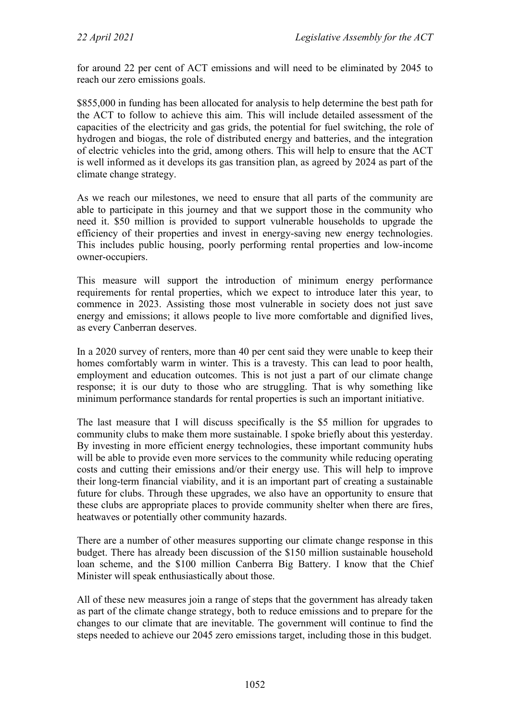for around 22 per cent of ACT emissions and will need to be eliminated by 2045 to reach our zero emissions goals.

\$855,000 in funding has been allocated for analysis to help determine the best path for the ACT to follow to achieve this aim. This will include detailed assessment of the capacities of the electricity and gas grids, the potential for fuel switching, the role of hydrogen and biogas, the role of distributed energy and batteries, and the integration of electric vehicles into the grid, among others. This will help to ensure that the ACT is well informed as it develops its gas transition plan, as agreed by 2024 as part of the climate change strategy.

As we reach our milestones, we need to ensure that all parts of the community are able to participate in this journey and that we support those in the community who need it. \$50 million is provided to support vulnerable households to upgrade the efficiency of their properties and invest in energy-saving new energy technologies. This includes public housing, poorly performing rental properties and low-income owner-occupiers.

This measure will support the introduction of minimum energy performance requirements for rental properties, which we expect to introduce later this year, to commence in 2023. Assisting those most vulnerable in society does not just save energy and emissions; it allows people to live more comfortable and dignified lives, as every Canberran deserves.

In a 2020 survey of renters, more than 40 per cent said they were unable to keep their homes comfortably warm in winter. This is a travesty. This can lead to poor health, employment and education outcomes. This is not just a part of our climate change response; it is our duty to those who are struggling. That is why something like minimum performance standards for rental properties is such an important initiative.

The last measure that I will discuss specifically is the \$5 million for upgrades to community clubs to make them more sustainable. I spoke briefly about this yesterday. By investing in more efficient energy technologies, these important community hubs will be able to provide even more services to the community while reducing operating costs and cutting their emissions and/or their energy use. This will help to improve their long-term financial viability, and it is an important part of creating a sustainable future for clubs. Through these upgrades, we also have an opportunity to ensure that these clubs are appropriate places to provide community shelter when there are fires, heatwaves or potentially other community hazards.

There are a number of other measures supporting our climate change response in this budget. There has already been discussion of the \$150 million sustainable household loan scheme, and the \$100 million Canberra Big Battery. I know that the Chief Minister will speak enthusiastically about those.

All of these new measures join a range of steps that the government has already taken as part of the climate change strategy, both to reduce emissions and to prepare for the changes to our climate that are inevitable. The government will continue to find the steps needed to achieve our 2045 zero emissions target, including those in this budget.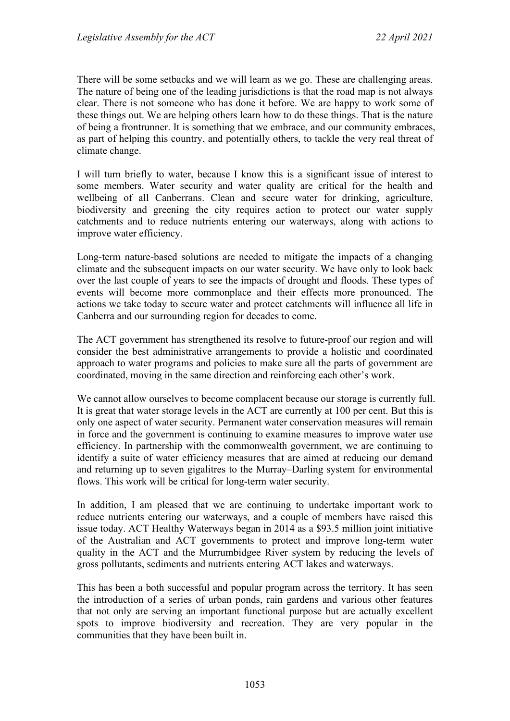There will be some setbacks and we will learn as we go. These are challenging areas. The nature of being one of the leading jurisdictions is that the road map is not always clear. There is not someone who has done it before. We are happy to work some of these things out. We are helping others learn how to do these things. That is the nature of being a frontrunner. It is something that we embrace, and our community embraces, as part of helping this country, and potentially others, to tackle the very real threat of climate change.

I will turn briefly to water, because I know this is a significant issue of interest to some members. Water security and water quality are critical for the health and wellbeing of all Canberrans. Clean and secure water for drinking, agriculture, biodiversity and greening the city requires action to protect our water supply catchments and to reduce nutrients entering our waterways, along with actions to improve water efficiency.

Long-term nature-based solutions are needed to mitigate the impacts of a changing climate and the subsequent impacts on our water security. We have only to look back over the last couple of years to see the impacts of drought and floods. These types of events will become more commonplace and their effects more pronounced. The actions we take today to secure water and protect catchments will influence all life in Canberra and our surrounding region for decades to come.

The ACT government has strengthened its resolve to future-proof our region and will consider the best administrative arrangements to provide a holistic and coordinated approach to water programs and policies to make sure all the parts of government are coordinated, moving in the same direction and reinforcing each other's work.

We cannot allow ourselves to become complacent because our storage is currently full. It is great that water storage levels in the ACT are currently at 100 per cent. But this is only one aspect of water security. Permanent water conservation measures will remain in force and the government is continuing to examine measures to improve water use efficiency. In partnership with the commonwealth government, we are continuing to identify a suite of water efficiency measures that are aimed at reducing our demand and returning up to seven gigalitres to the Murray–Darling system for environmental flows. This work will be critical for long-term water security.

In addition, I am pleased that we are continuing to undertake important work to reduce nutrients entering our waterways, and a couple of members have raised this issue today. ACT Healthy Waterways began in 2014 as a \$93.5 million joint initiative of the Australian and ACT governments to protect and improve long-term water quality in the ACT and the Murrumbidgee River system by reducing the levels of gross pollutants, sediments and nutrients entering ACT lakes and waterways.

This has been a both successful and popular program across the territory. It has seen the introduction of a series of urban ponds, rain gardens and various other features that not only are serving an important functional purpose but are actually excellent spots to improve biodiversity and recreation. They are very popular in the communities that they have been built in.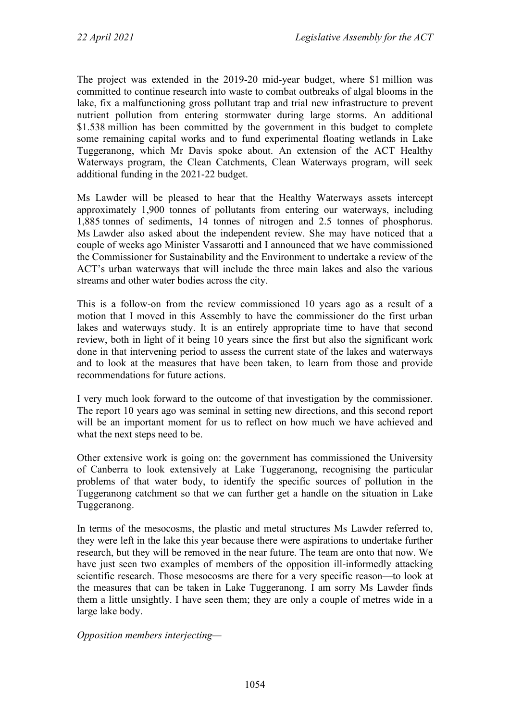The project was extended in the 2019-20 mid-year budget, where \$1 million was committed to continue research into waste to combat outbreaks of algal blooms in the lake, fix a malfunctioning gross pollutant trap and trial new infrastructure to prevent nutrient pollution from entering stormwater during large storms. An additional \$1.538 million has been committed by the government in this budget to complete some remaining capital works and to fund experimental floating wetlands in Lake Tuggeranong, which Mr Davis spoke about. An extension of the ACT Healthy Waterways program, the Clean Catchments, Clean Waterways program, will seek additional funding in the 2021-22 budget.

Ms Lawder will be pleased to hear that the Healthy Waterways assets intercept approximately 1,900 tonnes of pollutants from entering our waterways, including 1,885 tonnes of sediments, 14 tonnes of nitrogen and 2.5 tonnes of phosphorus. Ms Lawder also asked about the independent review. She may have noticed that a couple of weeks ago Minister Vassarotti and I announced that we have commissioned the Commissioner for Sustainability and the Environment to undertake a review of the ACT's urban waterways that will include the three main lakes and also the various streams and other water bodies across the city.

This is a follow-on from the review commissioned 10 years ago as a result of a motion that I moved in this Assembly to have the commissioner do the first urban lakes and waterways study. It is an entirely appropriate time to have that second review, both in light of it being 10 years since the first but also the significant work done in that intervening period to assess the current state of the lakes and waterways and to look at the measures that have been taken, to learn from those and provide recommendations for future actions.

I very much look forward to the outcome of that investigation by the commissioner. The report 10 years ago was seminal in setting new directions, and this second report will be an important moment for us to reflect on how much we have achieved and what the next steps need to be.

Other extensive work is going on: the government has commissioned the University of Canberra to look extensively at Lake Tuggeranong, recognising the particular problems of that water body, to identify the specific sources of pollution in the Tuggeranong catchment so that we can further get a handle on the situation in Lake Tuggeranong.

In terms of the mesocosms, the plastic and metal structures Ms Lawder referred to, they were left in the lake this year because there were aspirations to undertake further research, but they will be removed in the near future. The team are onto that now. We have just seen two examples of members of the opposition ill-informedly attacking scientific research. Those mesocosms are there for a very specific reason—to look at the measures that can be taken in Lake Tuggeranong. I am sorry Ms Lawder finds them a little unsightly. I have seen them; they are only a couple of metres wide in a large lake body.

*Opposition members interjecting—*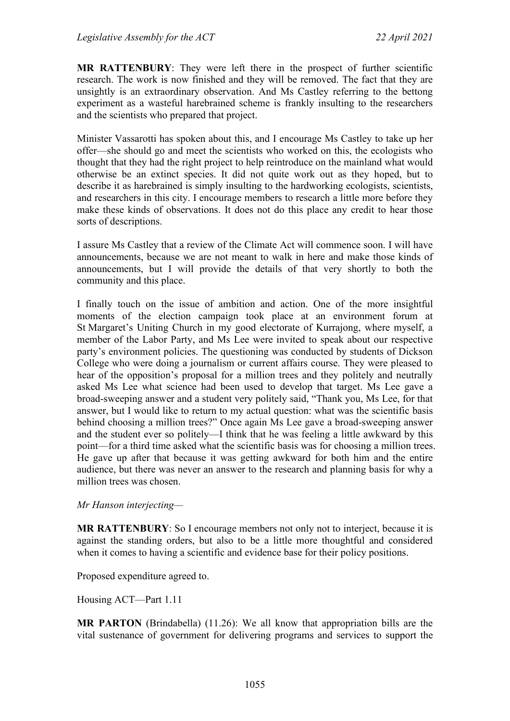**MR RATTENBURY**: They were left there in the prospect of further scientific research. The work is now finished and they will be removed. The fact that they are unsightly is an extraordinary observation. And Ms Castley referring to the bettong experiment as a wasteful harebrained scheme is frankly insulting to the researchers and the scientists who prepared that project.

Minister Vassarotti has spoken about this, and I encourage Ms Castley to take up her offer—she should go and meet the scientists who worked on this, the ecologists who thought that they had the right project to help reintroduce on the mainland what would otherwise be an extinct species. It did not quite work out as they hoped, but to describe it as harebrained is simply insulting to the hardworking ecologists, scientists, and researchers in this city. I encourage members to research a little more before they make these kinds of observations. It does not do this place any credit to hear those sorts of descriptions.

I assure Ms Castley that a review of the Climate Act will commence soon. I will have announcements, because we are not meant to walk in here and make those kinds of announcements, but I will provide the details of that very shortly to both the community and this place.

I finally touch on the issue of ambition and action. One of the more insightful moments of the election campaign took place at an environment forum at St Margaret's Uniting Church in my good electorate of Kurrajong, where myself, a member of the Labor Party, and Ms Lee were invited to speak about our respective party's environment policies. The questioning was conducted by students of Dickson College who were doing a journalism or current affairs course. They were pleased to hear of the opposition's proposal for a million trees and they politely and neutrally asked Ms Lee what science had been used to develop that target. Ms Lee gave a broad-sweeping answer and a student very politely said, "Thank you, Ms Lee, for that answer, but I would like to return to my actual question: what was the scientific basis behind choosing a million trees?" Once again Ms Lee gave a broad-sweeping answer and the student ever so politely—I think that he was feeling a little awkward by this point—for a third time asked what the scientific basis was for choosing a million trees. He gave up after that because it was getting awkward for both him and the entire audience, but there was never an answer to the research and planning basis for why a million trees was chosen.

*Mr Hanson interjecting—*

**MR RATTENBURY**: So I encourage members not only not to interject, because it is against the standing orders, but also to be a little more thoughtful and considered when it comes to having a scientific and evidence base for their policy positions.

Proposed expenditure agreed to.

Housing ACT—Part 1.11

**MR PARTON** (Brindabella) (11.26): We all know that appropriation bills are the vital sustenance of government for delivering programs and services to support the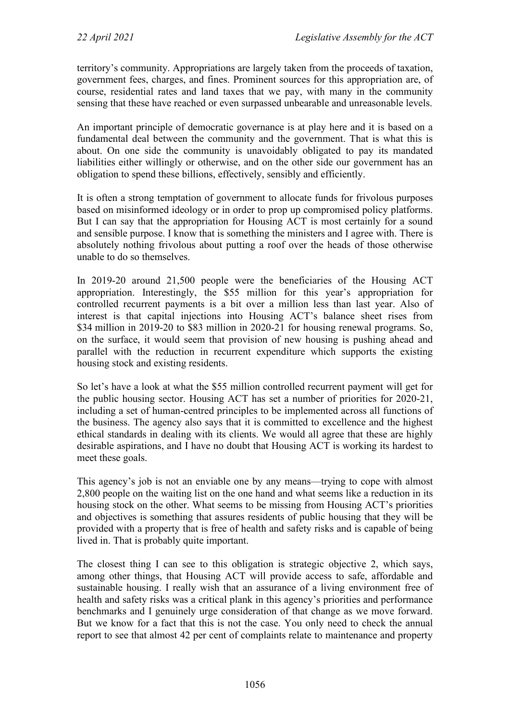territory's community. Appropriations are largely taken from the proceeds of taxation, government fees, charges, and fines. Prominent sources for this appropriation are, of course, residential rates and land taxes that we pay, with many in the community sensing that these have reached or even surpassed unbearable and unreasonable levels.

An important principle of democratic governance is at play here and it is based on a fundamental deal between the community and the government. That is what this is about. On one side the community is unavoidably obligated to pay its mandated liabilities either willingly or otherwise, and on the other side our government has an obligation to spend these billions, effectively, sensibly and efficiently.

It is often a strong temptation of government to allocate funds for frivolous purposes based on misinformed ideology or in order to prop up compromised policy platforms. But I can say that the appropriation for Housing ACT is most certainly for a sound and sensible purpose. I know that is something the ministers and I agree with. There is absolutely nothing frivolous about putting a roof over the heads of those otherwise unable to do so themselves.

In 2019-20 around 21,500 people were the beneficiaries of the Housing ACT appropriation. Interestingly, the \$55 million for this year's appropriation for controlled recurrent payments is a bit over a million less than last year. Also of interest is that capital injections into Housing ACT's balance sheet rises from \$34 million in 2019-20 to \$83 million in 2020-21 for housing renewal programs. So, on the surface, it would seem that provision of new housing is pushing ahead and parallel with the reduction in recurrent expenditure which supports the existing housing stock and existing residents.

So let's have a look at what the \$55 million controlled recurrent payment will get for the public housing sector. Housing ACT has set a number of priorities for 2020-21, including a set of human-centred principles to be implemented across all functions of the business. The agency also says that it is committed to excellence and the highest ethical standards in dealing with its clients. We would all agree that these are highly desirable aspirations, and I have no doubt that Housing ACT is working its hardest to meet these goals.

This agency's job is not an enviable one by any means—trying to cope with almost 2,800 people on the waiting list on the one hand and what seems like a reduction in its housing stock on the other. What seems to be missing from Housing ACT's priorities and objectives is something that assures residents of public housing that they will be provided with a property that is free of health and safety risks and is capable of being lived in. That is probably quite important.

The closest thing I can see to this obligation is strategic objective 2, which says, among other things, that Housing ACT will provide access to safe, affordable and sustainable housing. I really wish that an assurance of a living environment free of health and safety risks was a critical plank in this agency's priorities and performance benchmarks and I genuinely urge consideration of that change as we move forward. But we know for a fact that this is not the case. You only need to check the annual report to see that almost 42 per cent of complaints relate to maintenance and property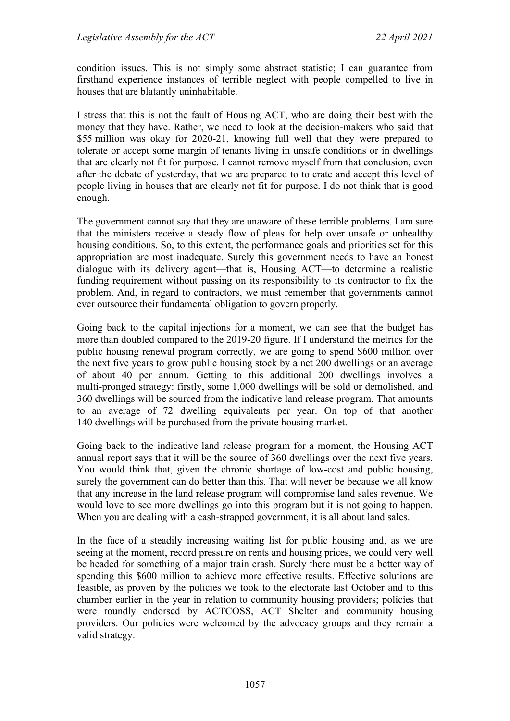condition issues. This is not simply some abstract statistic; I can guarantee from firsthand experience instances of terrible neglect with people compelled to live in houses that are blatantly uninhabitable.

I stress that this is not the fault of Housing ACT, who are doing their best with the money that they have. Rather, we need to look at the decision-makers who said that \$55 million was okay for 2020-21, knowing full well that they were prepared to tolerate or accept some margin of tenants living in unsafe conditions or in dwellings that are clearly not fit for purpose. I cannot remove myself from that conclusion, even after the debate of yesterday, that we are prepared to tolerate and accept this level of people living in houses that are clearly not fit for purpose. I do not think that is good enough.

The government cannot say that they are unaware of these terrible problems. I am sure that the ministers receive a steady flow of pleas for help over unsafe or unhealthy housing conditions. So, to this extent, the performance goals and priorities set for this appropriation are most inadequate. Surely this government needs to have an honest dialogue with its delivery agent—that is, Housing ACT—to determine a realistic funding requirement without passing on its responsibility to its contractor to fix the problem. And, in regard to contractors, we must remember that governments cannot ever outsource their fundamental obligation to govern properly.

Going back to the capital injections for a moment, we can see that the budget has more than doubled compared to the 2019-20 figure. If I understand the metrics for the public housing renewal program correctly, we are going to spend \$600 million over the next five years to grow public housing stock by a net 200 dwellings or an average of about 40 per annum. Getting to this additional 200 dwellings involves a multi-pronged strategy: firstly, some 1,000 dwellings will be sold or demolished, and 360 dwellings will be sourced from the indicative land release program. That amounts to an average of 72 dwelling equivalents per year. On top of that another 140 dwellings will be purchased from the private housing market.

Going back to the indicative land release program for a moment, the Housing ACT annual report says that it will be the source of 360 dwellings over the next five years. You would think that, given the chronic shortage of low-cost and public housing, surely the government can do better than this. That will never be because we all know that any increase in the land release program will compromise land sales revenue. We would love to see more dwellings go into this program but it is not going to happen. When you are dealing with a cash-strapped government, it is all about land sales.

In the face of a steadily increasing waiting list for public housing and, as we are seeing at the moment, record pressure on rents and housing prices, we could very well be headed for something of a major train crash. Surely there must be a better way of spending this \$600 million to achieve more effective results. Effective solutions are feasible, as proven by the policies we took to the electorate last October and to this chamber earlier in the year in relation to community housing providers; policies that were roundly endorsed by ACTCOSS, ACT Shelter and community housing providers. Our policies were welcomed by the advocacy groups and they remain a valid strategy.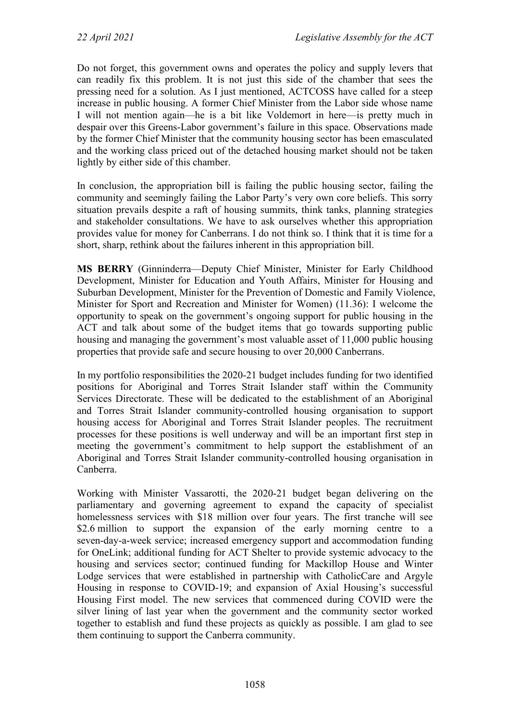Do not forget, this government owns and operates the policy and supply levers that can readily fix this problem. It is not just this side of the chamber that sees the pressing need for a solution. As I just mentioned, ACTCOSS have called for a steep increase in public housing. A former Chief Minister from the Labor side whose name I will not mention again—he is a bit like Voldemort in here—is pretty much in despair over this Greens-Labor government's failure in this space. Observations made by the former Chief Minister that the community housing sector has been emasculated and the working class priced out of the detached housing market should not be taken lightly by either side of this chamber.

In conclusion, the appropriation bill is failing the public housing sector, failing the community and seemingly failing the Labor Party's very own core beliefs. This sorry situation prevails despite a raft of housing summits, think tanks, planning strategies and stakeholder consultations. We have to ask ourselves whether this appropriation provides value for money for Canberrans. I do not think so. I think that it is time for a short, sharp, rethink about the failures inherent in this appropriation bill.

**MS BERRY** (Ginninderra—Deputy Chief Minister, Minister for Early Childhood Development, Minister for Education and Youth Affairs, Minister for Housing and Suburban Development, Minister for the Prevention of Domestic and Family Violence, Minister for Sport and Recreation and Minister for Women) (11.36): I welcome the opportunity to speak on the government's ongoing support for public housing in the ACT and talk about some of the budget items that go towards supporting public housing and managing the government's most valuable asset of 11,000 public housing properties that provide safe and secure housing to over 20,000 Canberrans.

In my portfolio responsibilities the 2020-21 budget includes funding for two identified positions for Aboriginal and Torres Strait Islander staff within the Community Services Directorate. These will be dedicated to the establishment of an Aboriginal and Torres Strait Islander community-controlled housing organisation to support housing access for Aboriginal and Torres Strait Islander peoples. The recruitment processes for these positions is well underway and will be an important first step in meeting the government's commitment to help support the establishment of an Aboriginal and Torres Strait Islander community-controlled housing organisation in Canberra.

Working with Minister Vassarotti, the 2020-21 budget began delivering on the parliamentary and governing agreement to expand the capacity of specialist homelessness services with \$18 million over four years. The first tranche will see \$2.6 million to support the expansion of the early morning centre to a seven-day-a-week service; increased emergency support and accommodation funding for OneLink; additional funding for ACT Shelter to provide systemic advocacy to the housing and services sector; continued funding for Mackillop House and Winter Lodge services that were established in partnership with CatholicCare and Argyle Housing in response to COVID-19; and expansion of Axial Housing's successful Housing First model. The new services that commenced during COVID were the silver lining of last year when the government and the community sector worked together to establish and fund these projects as quickly as possible. I am glad to see them continuing to support the Canberra community.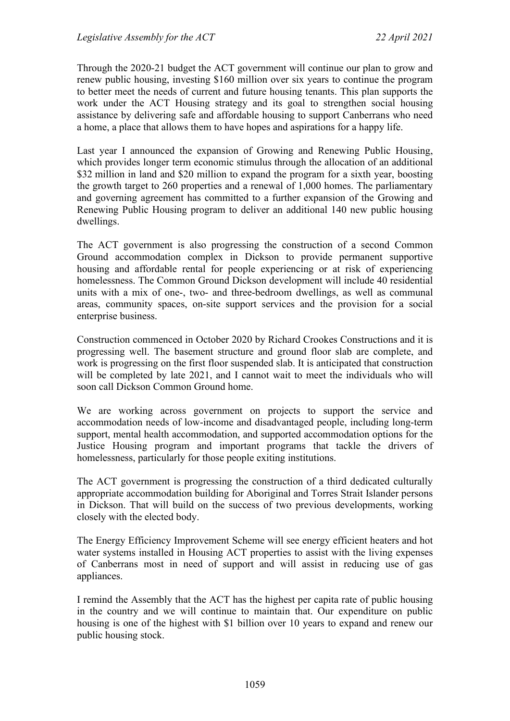Through the 2020-21 budget the ACT government will continue our plan to grow and renew public housing, investing \$160 million over six years to continue the program to better meet the needs of current and future housing tenants. This plan supports the work under the ACT Housing strategy and its goal to strengthen social housing assistance by delivering safe and affordable housing to support Canberrans who need a home, a place that allows them to have hopes and aspirations for a happy life.

Last year I announced the expansion of Growing and Renewing Public Housing, which provides longer term economic stimulus through the allocation of an additional \$32 million in land and \$20 million to expand the program for a sixth year, boosting the growth target to 260 properties and a renewal of 1,000 homes. The parliamentary and governing agreement has committed to a further expansion of the Growing and Renewing Public Housing program to deliver an additional 140 new public housing dwellings.

The ACT government is also progressing the construction of a second Common Ground accommodation complex in Dickson to provide permanent supportive housing and affordable rental for people experiencing or at risk of experiencing homelessness. The Common Ground Dickson development will include 40 residential units with a mix of one-, two- and three-bedroom dwellings, as well as communal areas, community spaces, on-site support services and the provision for a social enterprise business.

Construction commenced in October 2020 by Richard Crookes Constructions and it is progressing well. The basement structure and ground floor slab are complete, and work is progressing on the first floor suspended slab. It is anticipated that construction will be completed by late 2021, and I cannot wait to meet the individuals who will soon call Dickson Common Ground home.

We are working across government on projects to support the service and accommodation needs of low-income and disadvantaged people, including long-term support, mental health accommodation, and supported accommodation options for the Justice Housing program and important programs that tackle the drivers of homelessness, particularly for those people exiting institutions.

The ACT government is progressing the construction of a third dedicated culturally appropriate accommodation building for Aboriginal and Torres Strait Islander persons in Dickson. That will build on the success of two previous developments, working closely with the elected body.

The Energy Efficiency Improvement Scheme will see energy efficient heaters and hot water systems installed in Housing ACT properties to assist with the living expenses of Canberrans most in need of support and will assist in reducing use of gas appliances.

I remind the Assembly that the ACT has the highest per capita rate of public housing in the country and we will continue to maintain that. Our expenditure on public housing is one of the highest with \$1 billion over 10 years to expand and renew our public housing stock.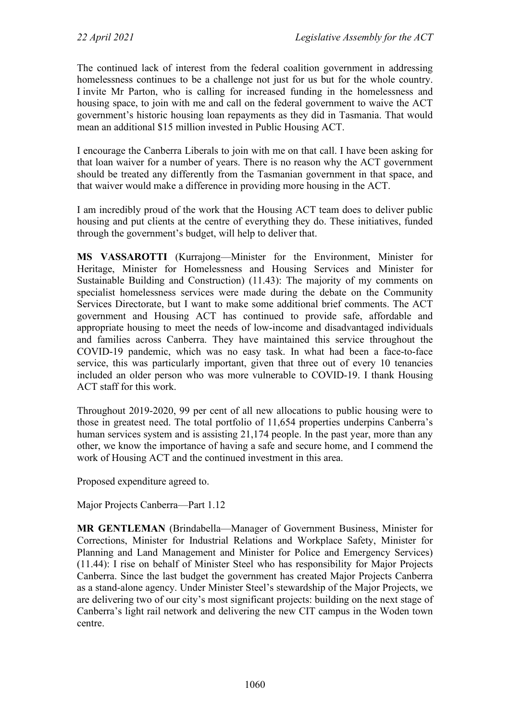The continued lack of interest from the federal coalition government in addressing homelessness continues to be a challenge not just for us but for the whole country. I invite Mr Parton, who is calling for increased funding in the homelessness and housing space, to join with me and call on the federal government to waive the ACT government's historic housing loan repayments as they did in Tasmania. That would mean an additional \$15 million invested in Public Housing ACT.

I encourage the Canberra Liberals to join with me on that call. I have been asking for that loan waiver for a number of years. There is no reason why the ACT government should be treated any differently from the Tasmanian government in that space, and that waiver would make a difference in providing more housing in the ACT.

I am incredibly proud of the work that the Housing ACT team does to deliver public housing and put clients at the centre of everything they do. These initiatives, funded through the government's budget, will help to deliver that.

**MS VASSAROTTI** (Kurrajong—Minister for the Environment, Minister for Heritage, Minister for Homelessness and Housing Services and Minister for Sustainable Building and Construction) (11.43): The majority of my comments on specialist homelessness services were made during the debate on the Community Services Directorate, but I want to make some additional brief comments. The ACT government and Housing ACT has continued to provide safe, affordable and appropriate housing to meet the needs of low-income and disadvantaged individuals and families across Canberra. They have maintained this service throughout the COVID-19 pandemic, which was no easy task. In what had been a face-to-face service, this was particularly important, given that three out of every 10 tenancies included an older person who was more vulnerable to COVID-19. I thank Housing ACT staff for this work.

Throughout 2019-2020, 99 per cent of all new allocations to public housing were to those in greatest need. The total portfolio of 11,654 properties underpins Canberra's human services system and is assisting 21,174 people. In the past year, more than any other, we know the importance of having a safe and secure home, and I commend the work of Housing ACT and the continued investment in this area.

Proposed expenditure agreed to.

Major Projects Canberra—Part 1.12

**MR GENTLEMAN** (Brindabella—Manager of Government Business, Minister for Corrections, Minister for Industrial Relations and Workplace Safety, Minister for Planning and Land Management and Minister for Police and Emergency Services) (11.44): I rise on behalf of Minister Steel who has responsibility for Major Projects Canberra. Since the last budget the government has created Major Projects Canberra as a stand-alone agency. Under Minister Steel's stewardship of the Major Projects, we are delivering two of our city's most significant projects: building on the next stage of Canberra's light rail network and delivering the new CIT campus in the Woden town centre.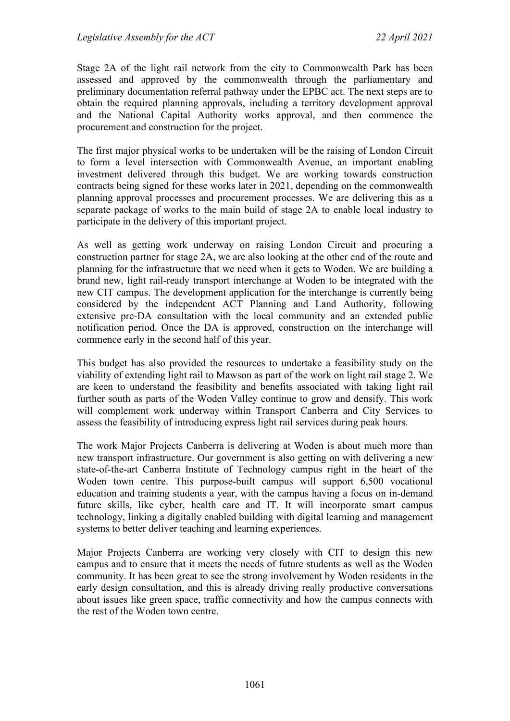Stage 2A of the light rail network from the city to Commonwealth Park has been assessed and approved by the commonwealth through the parliamentary and preliminary documentation referral pathway under the EPBC act. The next steps are to obtain the required planning approvals, including a territory development approval and the National Capital Authority works approval, and then commence the procurement and construction for the project.

The first major physical works to be undertaken will be the raising of London Circuit to form a level intersection with Commonwealth Avenue, an important enabling investment delivered through this budget. We are working towards construction contracts being signed for these works later in 2021, depending on the commonwealth planning approval processes and procurement processes. We are delivering this as a separate package of works to the main build of stage 2A to enable local industry to participate in the delivery of this important project.

As well as getting work underway on raising London Circuit and procuring a construction partner for stage 2A, we are also looking at the other end of the route and planning for the infrastructure that we need when it gets to Woden. We are building a brand new, light rail-ready transport interchange at Woden to be integrated with the new CIT campus. The development application for the interchange is currently being considered by the independent ACT Planning and Land Authority, following extensive pre-DA consultation with the local community and an extended public notification period. Once the DA is approved, construction on the interchange will commence early in the second half of this year.

This budget has also provided the resources to undertake a feasibility study on the viability of extending light rail to Mawson as part of the work on light rail stage 2. We are keen to understand the feasibility and benefits associated with taking light rail further south as parts of the Woden Valley continue to grow and densify. This work will complement work underway within Transport Canberra and City Services to assess the feasibility of introducing express light rail services during peak hours.

The work Major Projects Canberra is delivering at Woden is about much more than new transport infrastructure. Our government is also getting on with delivering a new state-of-the-art Canberra Institute of Technology campus right in the heart of the Woden town centre. This purpose-built campus will support 6,500 vocational education and training students a year, with the campus having a focus on in-demand future skills, like cyber, health care and IT. It will incorporate smart campus technology, linking a digitally enabled building with digital learning and management systems to better deliver teaching and learning experiences.

Major Projects Canberra are working very closely with CIT to design this new campus and to ensure that it meets the needs of future students as well as the Woden community. It has been great to see the strong involvement by Woden residents in the early design consultation, and this is already driving really productive conversations about issues like green space, traffic connectivity and how the campus connects with the rest of the Woden town centre.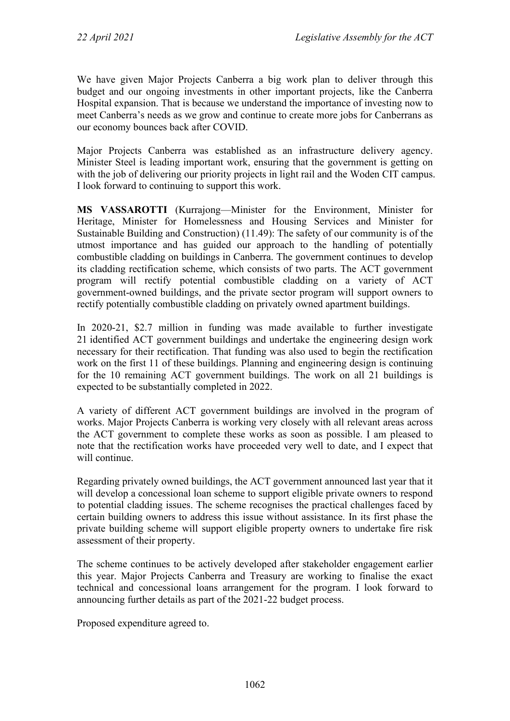We have given Major Projects Canberra a big work plan to deliver through this budget and our ongoing investments in other important projects, like the Canberra Hospital expansion. That is because we understand the importance of investing now to meet Canberra's needs as we grow and continue to create more jobs for Canberrans as our economy bounces back after COVID.

Major Projects Canberra was established as an infrastructure delivery agency. Minister Steel is leading important work, ensuring that the government is getting on with the job of delivering our priority projects in light rail and the Woden CIT campus. I look forward to continuing to support this work.

**MS VASSAROTTI** (Kurrajong—Minister for the Environment, Minister for Heritage, Minister for Homelessness and Housing Services and Minister for Sustainable Building and Construction) (11.49): The safety of our community is of the utmost importance and has guided our approach to the handling of potentially combustible cladding on buildings in Canberra. The government continues to develop its cladding rectification scheme, which consists of two parts. The ACT government program will rectify potential combustible cladding on a variety of ACT government-owned buildings, and the private sector program will support owners to rectify potentially combustible cladding on privately owned apartment buildings.

In 2020-21, \$2.7 million in funding was made available to further investigate 21 identified ACT government buildings and undertake the engineering design work necessary for their rectification. That funding was also used to begin the rectification work on the first 11 of these buildings. Planning and engineering design is continuing for the 10 remaining ACT government buildings. The work on all 21 buildings is expected to be substantially completed in 2022.

A variety of different ACT government buildings are involved in the program of works. Major Projects Canberra is working very closely with all relevant areas across the ACT government to complete these works as soon as possible. I am pleased to note that the rectification works have proceeded very well to date, and I expect that will continue.

Regarding privately owned buildings, the ACT government announced last year that it will develop a concessional loan scheme to support eligible private owners to respond to potential cladding issues. The scheme recognises the practical challenges faced by certain building owners to address this issue without assistance. In its first phase the private building scheme will support eligible property owners to undertake fire risk assessment of their property.

The scheme continues to be actively developed after stakeholder engagement earlier this year. Major Projects Canberra and Treasury are working to finalise the exact technical and concessional loans arrangement for the program. I look forward to announcing further details as part of the 2021-22 budget process.

Proposed expenditure agreed to.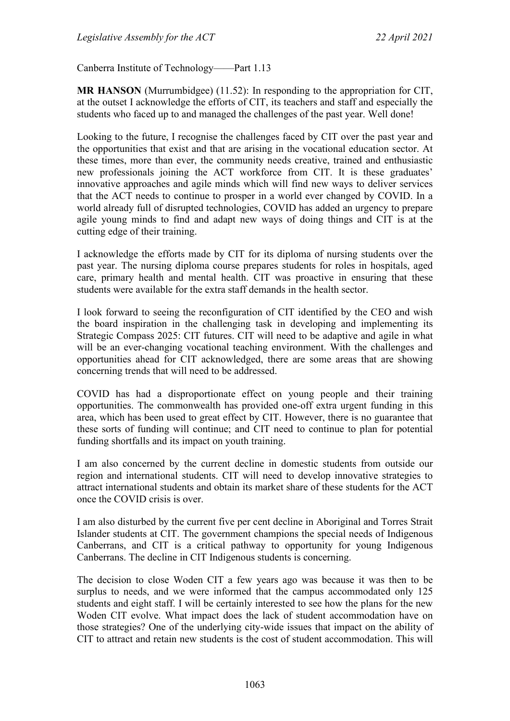Canberra Institute of Technology——Part 1.13

**MR HANSON** (Murrumbidgee) (11.52): In responding to the appropriation for CIT, at the outset I acknowledge the efforts of CIT, its teachers and staff and especially the students who faced up to and managed the challenges of the past year. Well done!

Looking to the future, I recognise the challenges faced by CIT over the past year and the opportunities that exist and that are arising in the vocational education sector. At these times, more than ever, the community needs creative, trained and enthusiastic new professionals joining the ACT workforce from CIT. It is these graduates' innovative approaches and agile minds which will find new ways to deliver services that the ACT needs to continue to prosper in a world ever changed by COVID. In a world already full of disrupted technologies, COVID has added an urgency to prepare agile young minds to find and adapt new ways of doing things and CIT is at the cutting edge of their training.

I acknowledge the efforts made by CIT for its diploma of nursing students over the past year. The nursing diploma course prepares students for roles in hospitals, aged care, primary health and mental health. CIT was proactive in ensuring that these students were available for the extra staff demands in the health sector.

I look forward to seeing the reconfiguration of CIT identified by the CEO and wish the board inspiration in the challenging task in developing and implementing its Strategic Compass 2025: CIT futures. CIT will need to be adaptive and agile in what will be an ever-changing vocational teaching environment. With the challenges and opportunities ahead for CIT acknowledged, there are some areas that are showing concerning trends that will need to be addressed.

COVID has had a disproportionate effect on young people and their training opportunities. The commonwealth has provided one-off extra urgent funding in this area, which has been used to great effect by CIT. However, there is no guarantee that these sorts of funding will continue; and CIT need to continue to plan for potential funding shortfalls and its impact on youth training.

I am also concerned by the current decline in domestic students from outside our region and international students. CIT will need to develop innovative strategies to attract international students and obtain its market share of these students for the ACT once the COVID crisis is over.

I am also disturbed by the current five per cent decline in Aboriginal and Torres Strait Islander students at CIT. The government champions the special needs of Indigenous Canberrans, and CIT is a critical pathway to opportunity for young Indigenous Canberrans. The decline in CIT Indigenous students is concerning.

The decision to close Woden CIT a few years ago was because it was then to be surplus to needs, and we were informed that the campus accommodated only 125 students and eight staff. I will be certainly interested to see how the plans for the new Woden CIT evolve. What impact does the lack of student accommodation have on those strategies? One of the underlying city-wide issues that impact on the ability of CIT to attract and retain new students is the cost of student accommodation. This will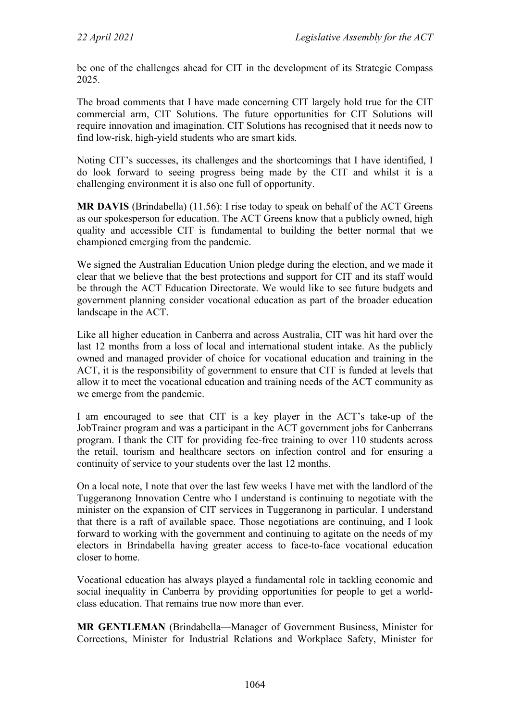be one of the challenges ahead for CIT in the development of its Strategic Compass 2025.

The broad comments that I have made concerning CIT largely hold true for the CIT commercial arm, CIT Solutions. The future opportunities for CIT Solutions will require innovation and imagination. CIT Solutions has recognised that it needs now to find low-risk, high-yield students who are smart kids.

Noting CIT's successes, its challenges and the shortcomings that I have identified, I do look forward to seeing progress being made by the CIT and whilst it is a challenging environment it is also one full of opportunity.

**MR DAVIS** (Brindabella) (11.56): I rise today to speak on behalf of the ACT Greens as our spokesperson for education. The ACT Greens know that a publicly owned, high quality and accessible CIT is fundamental to building the better normal that we championed emerging from the pandemic.

We signed the Australian Education Union pledge during the election, and we made it clear that we believe that the best protections and support for CIT and its staff would be through the ACT Education Directorate. We would like to see future budgets and government planning consider vocational education as part of the broader education landscape in the ACT.

Like all higher education in Canberra and across Australia, CIT was hit hard over the last 12 months from a loss of local and international student intake. As the publicly owned and managed provider of choice for vocational education and training in the ACT, it is the responsibility of government to ensure that CIT is funded at levels that allow it to meet the vocational education and training needs of the ACT community as we emerge from the pandemic.

I am encouraged to see that CIT is a key player in the ACT's take-up of the JobTrainer program and was a participant in the ACT government jobs for Canberrans program. I thank the CIT for providing fee-free training to over 110 students across the retail, tourism and healthcare sectors on infection control and for ensuring a continuity of service to your students over the last 12 months.

On a local note, I note that over the last few weeks I have met with the landlord of the Tuggeranong Innovation Centre who I understand is continuing to negotiate with the minister on the expansion of CIT services in Tuggeranong in particular. I understand that there is a raft of available space. Those negotiations are continuing, and I look forward to working with the government and continuing to agitate on the needs of my electors in Brindabella having greater access to face-to-face vocational education closer to home.

Vocational education has always played a fundamental role in tackling economic and social inequality in Canberra by providing opportunities for people to get a worldclass education. That remains true now more than ever.

**MR GENTLEMAN** (Brindabella—Manager of Government Business, Minister for Corrections, Minister for Industrial Relations and Workplace Safety, Minister for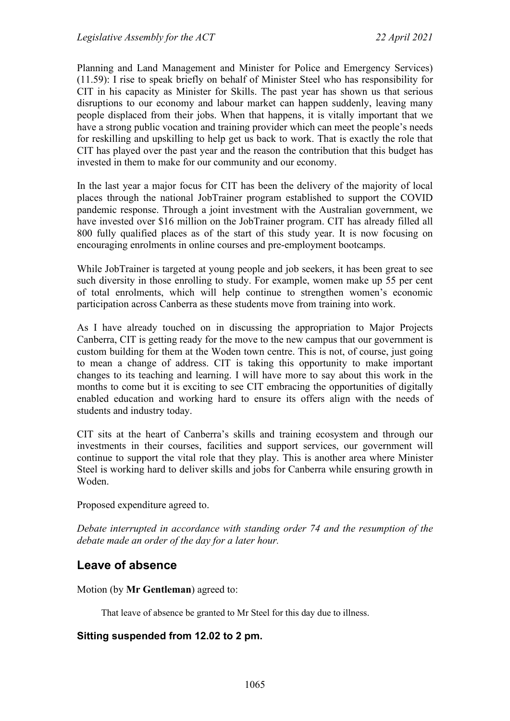Planning and Land Management and Minister for Police and Emergency Services) (11.59): I rise to speak briefly on behalf of Minister Steel who has responsibility for CIT in his capacity as Minister for Skills. The past year has shown us that serious disruptions to our economy and labour market can happen suddenly, leaving many people displaced from their jobs. When that happens, it is vitally important that we have a strong public vocation and training provider which can meet the people's needs for reskilling and upskilling to help get us back to work. That is exactly the role that CIT has played over the past year and the reason the contribution that this budget has invested in them to make for our community and our economy.

In the last year a major focus for CIT has been the delivery of the majority of local places through the national JobTrainer program established to support the COVID pandemic response. Through a joint investment with the Australian government, we have invested over \$16 million on the JobTrainer program. CIT has already filled all 800 fully qualified places as of the start of this study year. It is now focusing on encouraging enrolments in online courses and pre-employment bootcamps.

While JobTrainer is targeted at young people and job seekers, it has been great to see such diversity in those enrolling to study. For example, women make up 55 per cent of total enrolments, which will help continue to strengthen women's economic participation across Canberra as these students move from training into work.

As I have already touched on in discussing the appropriation to Major Projects Canberra, CIT is getting ready for the move to the new campus that our government is custom building for them at the Woden town centre. This is not, of course, just going to mean a change of address. CIT is taking this opportunity to make important changes to its teaching and learning. I will have more to say about this work in the months to come but it is exciting to see CIT embracing the opportunities of digitally enabled education and working hard to ensure its offers align with the needs of students and industry today.

CIT sits at the heart of Canberra's skills and training ecosystem and through our investments in their courses, facilities and support services, our government will continue to support the vital role that they play. This is another area where Minister Steel is working hard to deliver skills and jobs for Canberra while ensuring growth in Woden.

Proposed expenditure agreed to.

*Debate interrupted in accordance with standing order 74 and the resumption of the debate made an order of the day for a later hour.*

## **Leave of absence**

Motion (by **Mr Gentleman**) agreed to:

That leave of absence be granted to Mr Steel for this day due to illness.

#### **Sitting suspended from 12.02 to 2 pm.**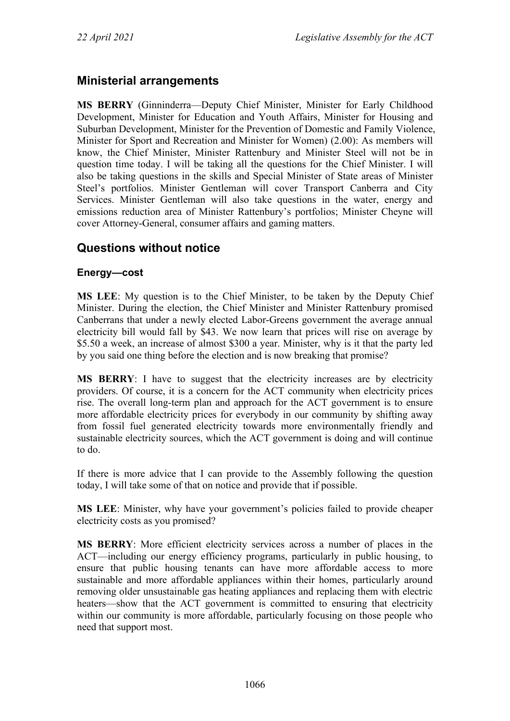## **Ministerial arrangements**

**MS BERRY** (Ginninderra—Deputy Chief Minister, Minister for Early Childhood Development, Minister for Education and Youth Affairs, Minister for Housing and Suburban Development, Minister for the Prevention of Domestic and Family Violence, Minister for Sport and Recreation and Minister for Women) (2.00): As members will know, the Chief Minister, Minister Rattenbury and Minister Steel will not be in question time today. I will be taking all the questions for the Chief Minister. I will also be taking questions in the skills and Special Minister of State areas of Minister Steel's portfolios. Minister Gentleman will cover Transport Canberra and City Services. Minister Gentleman will also take questions in the water, energy and emissions reduction area of Minister Rattenbury's portfolios; Minister Cheyne will cover Attorney-General, consumer affairs and gaming matters.

## **Questions without notice**

### **Energy—cost**

**MS LEE**: My question is to the Chief Minister, to be taken by the Deputy Chief Minister. During the election, the Chief Minister and Minister Rattenbury promised Canberrans that under a newly elected Labor-Greens government the average annual electricity bill would fall by \$43. We now learn that prices will rise on average by \$5.50 a week, an increase of almost \$300 a year. Minister, why is it that the party led by you said one thing before the election and is now breaking that promise?

**MS BERRY**: I have to suggest that the electricity increases are by electricity providers. Of course, it is a concern for the ACT community when electricity prices rise. The overall long-term plan and approach for the ACT government is to ensure more affordable electricity prices for everybody in our community by shifting away from fossil fuel generated electricity towards more environmentally friendly and sustainable electricity sources, which the ACT government is doing and will continue to do.

If there is more advice that I can provide to the Assembly following the question today, I will take some of that on notice and provide that if possible.

**MS LEE**: Minister, why have your government's policies failed to provide cheaper electricity costs as you promised?

**MS BERRY**: More efficient electricity services across a number of places in the ACT—including our energy efficiency programs, particularly in public housing, to ensure that public housing tenants can have more affordable access to more sustainable and more affordable appliances within their homes, particularly around removing older unsustainable gas heating appliances and replacing them with electric heaters—show that the ACT government is committed to ensuring that electricity within our community is more affordable, particularly focusing on those people who need that support most.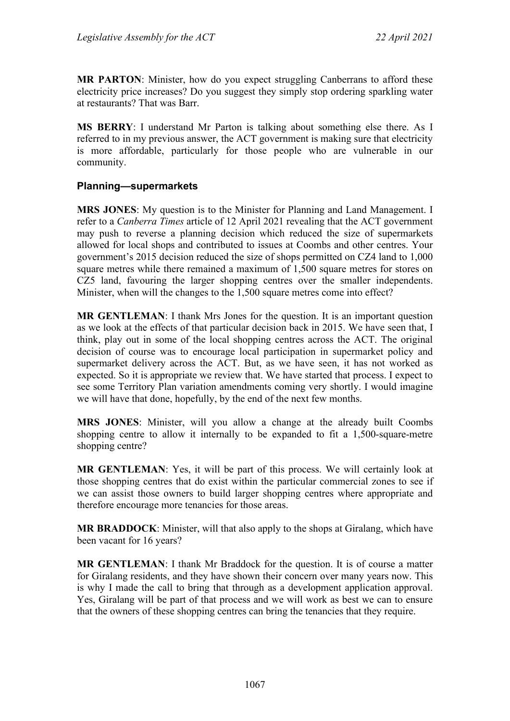**MR PARTON**: Minister, how do you expect struggling Canberrans to afford these electricity price increases? Do you suggest they simply stop ordering sparkling water at restaurants? That was Barr.

**MS BERRY**: I understand Mr Parton is talking about something else there. As I referred to in my previous answer, the ACT government is making sure that electricity is more affordable, particularly for those people who are vulnerable in our community.

#### **Planning—supermarkets**

**MRS JONES**: My question is to the Minister for Planning and Land Management. I refer to a *Canberra Times* article of 12 April 2021 revealing that the ACT government may push to reverse a planning decision which reduced the size of supermarkets allowed for local shops and contributed to issues at Coombs and other centres. Your government's 2015 decision reduced the size of shops permitted on CZ4 land to 1,000 square metres while there remained a maximum of 1,500 square metres for stores on CZ5 land, favouring the larger shopping centres over the smaller independents. Minister, when will the changes to the 1,500 square metres come into effect?

**MR GENTLEMAN**: I thank Mrs Jones for the question. It is an important question as we look at the effects of that particular decision back in 2015. We have seen that, I think, play out in some of the local shopping centres across the ACT. The original decision of course was to encourage local participation in supermarket policy and supermarket delivery across the ACT. But, as we have seen, it has not worked as expected. So it is appropriate we review that. We have started that process. I expect to see some Territory Plan variation amendments coming very shortly. I would imagine we will have that done, hopefully, by the end of the next few months.

**MRS JONES**: Minister, will you allow a change at the already built Coombs shopping centre to allow it internally to be expanded to fit a 1,500-square-metre shopping centre?

**MR GENTLEMAN**: Yes, it will be part of this process. We will certainly look at those shopping centres that do exist within the particular commercial zones to see if we can assist those owners to build larger shopping centres where appropriate and therefore encourage more tenancies for those areas.

**MR BRADDOCK**: Minister, will that also apply to the shops at Giralang, which have been vacant for 16 years?

**MR GENTLEMAN**: I thank Mr Braddock for the question. It is of course a matter for Giralang residents, and they have shown their concern over many years now. This is why I made the call to bring that through as a development application approval. Yes, Giralang will be part of that process and we will work as best we can to ensure that the owners of these shopping centres can bring the tenancies that they require.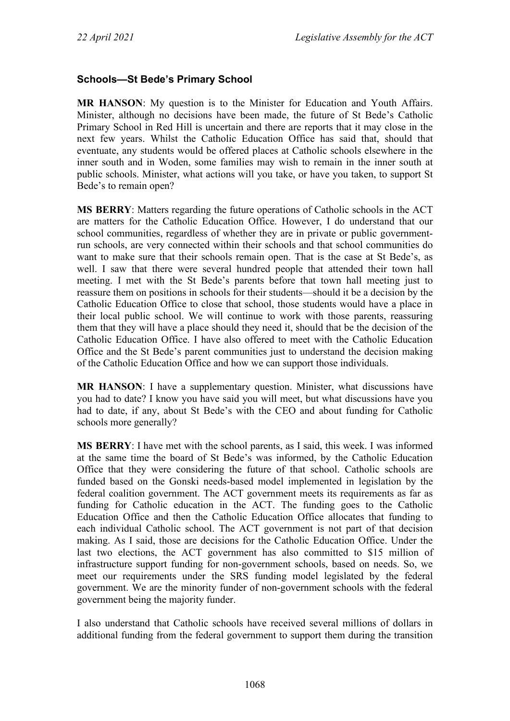### **Schools—St Bede's Primary School**

**MR HANSON**: My question is to the Minister for Education and Youth Affairs. Minister, although no decisions have been made, the future of St Bede's Catholic Primary School in Red Hill is uncertain and there are reports that it may close in the next few years. Whilst the Catholic Education Office has said that, should that eventuate, any students would be offered places at Catholic schools elsewhere in the inner south and in Woden, some families may wish to remain in the inner south at public schools. Minister, what actions will you take, or have you taken, to support St Bede's to remain open?

**MS BERRY**: Matters regarding the future operations of Catholic schools in the ACT are matters for the Catholic Education Office. However, I do understand that our school communities, regardless of whether they are in private or public governmentrun schools, are very connected within their schools and that school communities do want to make sure that their schools remain open. That is the case at St Bede's, as well. I saw that there were several hundred people that attended their town hall meeting. I met with the St Bede's parents before that town hall meeting just to reassure them on positions in schools for their students—should it be a decision by the Catholic Education Office to close that school, those students would have a place in their local public school. We will continue to work with those parents, reassuring them that they will have a place should they need it, should that be the decision of the Catholic Education Office. I have also offered to meet with the Catholic Education Office and the St Bede's parent communities just to understand the decision making of the Catholic Education Office and how we can support those individuals.

**MR HANSON**: I have a supplementary question. Minister, what discussions have you had to date? I know you have said you will meet, but what discussions have you had to date, if any, about St Bede's with the CEO and about funding for Catholic schools more generally?

**MS BERRY**: I have met with the school parents, as I said, this week. I was informed at the same time the board of St Bede's was informed, by the Catholic Education Office that they were considering the future of that school. Catholic schools are funded based on the Gonski needs-based model implemented in legislation by the federal coalition government. The ACT government meets its requirements as far as funding for Catholic education in the ACT. The funding goes to the Catholic Education Office and then the Catholic Education Office allocates that funding to each individual Catholic school. The ACT government is not part of that decision making. As I said, those are decisions for the Catholic Education Office. Under the last two elections, the ACT government has also committed to \$15 million of infrastructure support funding for non-government schools, based on needs. So, we meet our requirements under the SRS funding model legislated by the federal government. We are the minority funder of non-government schools with the federal government being the majority funder.

I also understand that Catholic schools have received several millions of dollars in additional funding from the federal government to support them during the transition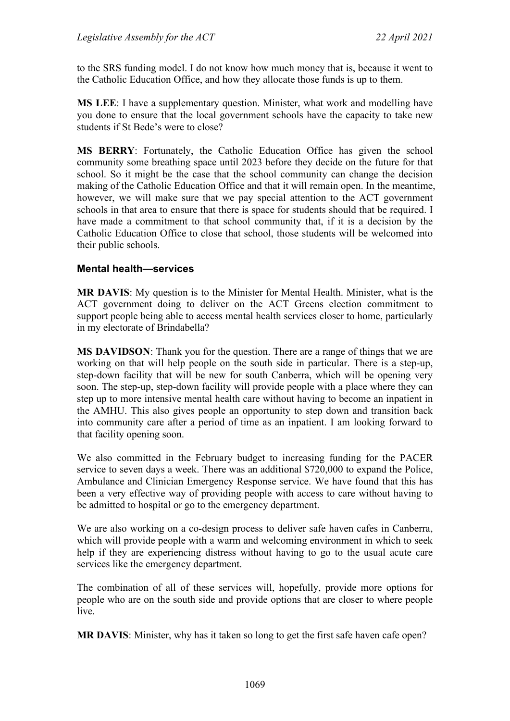to the SRS funding model. I do not know how much money that is, because it went to the Catholic Education Office, and how they allocate those funds is up to them.

**MS LEE**: I have a supplementary question. Minister, what work and modelling have you done to ensure that the local government schools have the capacity to take new students if St Bede's were to close?

**MS BERRY**: Fortunately, the Catholic Education Office has given the school community some breathing space until 2023 before they decide on the future for that school. So it might be the case that the school community can change the decision making of the Catholic Education Office and that it will remain open. In the meantime, however, we will make sure that we pay special attention to the ACT government schools in that area to ensure that there is space for students should that be required. I have made a commitment to that school community that, if it is a decision by the Catholic Education Office to close that school, those students will be welcomed into their public schools.

#### **Mental health—services**

**MR DAVIS**: My question is to the Minister for Mental Health. Minister, what is the ACT government doing to deliver on the ACT Greens election commitment to support people being able to access mental health services closer to home, particularly in my electorate of Brindabella?

**MS DAVIDSON**: Thank you for the question. There are a range of things that we are working on that will help people on the south side in particular. There is a step-up, step-down facility that will be new for south Canberra, which will be opening very soon. The step-up, step-down facility will provide people with a place where they can step up to more intensive mental health care without having to become an inpatient in the AMHU. This also gives people an opportunity to step down and transition back into community care after a period of time as an inpatient. I am looking forward to that facility opening soon.

We also committed in the February budget to increasing funding for the PACER service to seven days a week. There was an additional \$720,000 to expand the Police, Ambulance and Clinician Emergency Response service. We have found that this has been a very effective way of providing people with access to care without having to be admitted to hospital or go to the emergency department.

We are also working on a co-design process to deliver safe haven cafes in Canberra, which will provide people with a warm and welcoming environment in which to seek help if they are experiencing distress without having to go to the usual acute care services like the emergency department.

The combination of all of these services will, hopefully, provide more options for people who are on the south side and provide options that are closer to where people live.

**MR DAVIS**: Minister, why has it taken so long to get the first safe haven cafe open?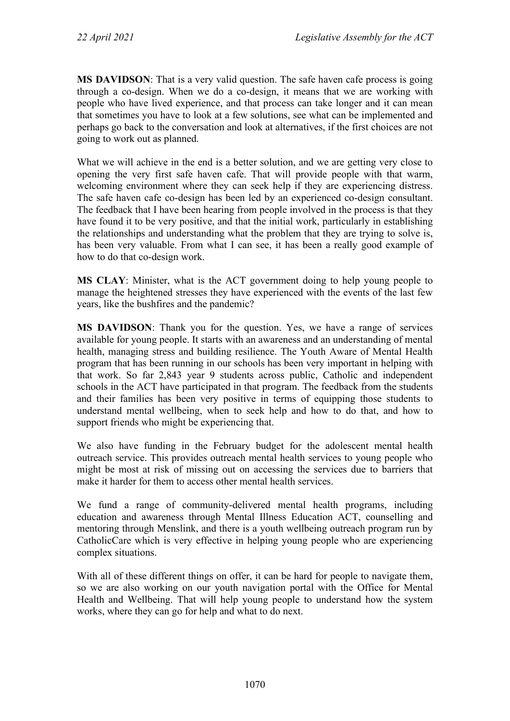**MS DAVIDSON**: That is a very valid question. The safe haven cafe process is going through a co-design. When we do a co-design, it means that we are working with people who have lived experience, and that process can take longer and it can mean that sometimes you have to look at a few solutions, see what can be implemented and perhaps go back to the conversation and look at alternatives, if the first choices are not going to work out as planned.

What we will achieve in the end is a better solution, and we are getting very close to opening the very first safe haven cafe. That will provide people with that warm, welcoming environment where they can seek help if they are experiencing distress. The safe haven cafe co-design has been led by an experienced co-design consultant. The feedback that I have been hearing from people involved in the process is that they have found it to be very positive, and that the initial work, particularly in establishing the relationships and understanding what the problem that they are trying to solve is, has been very valuable. From what I can see, it has been a really good example of how to do that co-design work.

**MS CLAY**: Minister, what is the ACT government doing to help young people to manage the heightened stresses they have experienced with the events of the last few years, like the bushfires and the pandemic?

**MS DAVIDSON**: Thank you for the question. Yes, we have a range of services available for young people. It starts with an awareness and an understanding of mental health, managing stress and building resilience. The Youth Aware of Mental Health program that has been running in our schools has been very important in helping with that work. So far 2,843 year 9 students across public, Catholic and independent schools in the ACT have participated in that program. The feedback from the students and their families has been very positive in terms of equipping those students to understand mental wellbeing, when to seek help and how to do that, and how to support friends who might be experiencing that.

We also have funding in the February budget for the adolescent mental health outreach service. This provides outreach mental health services to young people who might be most at risk of missing out on accessing the services due to barriers that make it harder for them to access other mental health services.

We fund a range of community-delivered mental health programs, including education and awareness through Mental Illness Education ACT, counselling and mentoring through Menslink, and there is a youth wellbeing outreach program run by CatholicCare which is very effective in helping young people who are experiencing complex situations.

With all of these different things on offer, it can be hard for people to navigate them, so we are also working on our youth navigation portal with the Office for Mental Health and Wellbeing. That will help young people to understand how the system works, where they can go for help and what to do next.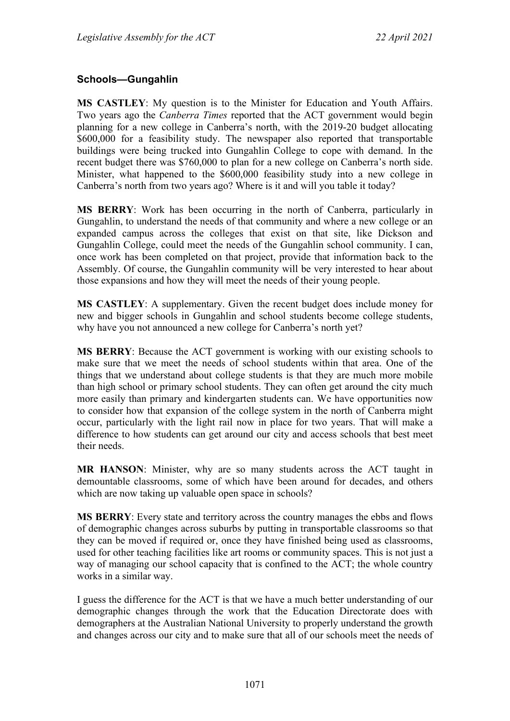### **Schools—Gungahlin**

**MS CASTLEY**: My question is to the Minister for Education and Youth Affairs. Two years ago the *Canberra Times* reported that the ACT government would begin planning for a new college in Canberra's north, with the 2019-20 budget allocating \$600,000 for a feasibility study. The newspaper also reported that transportable buildings were being trucked into Gungahlin College to cope with demand. In the recent budget there was \$760,000 to plan for a new college on Canberra's north side. Minister, what happened to the \$600,000 feasibility study into a new college in Canberra's north from two years ago? Where is it and will you table it today?

**MS BERRY**: Work has been occurring in the north of Canberra, particularly in Gungahlin, to understand the needs of that community and where a new college or an expanded campus across the colleges that exist on that site, like Dickson and Gungahlin College, could meet the needs of the Gungahlin school community. I can, once work has been completed on that project, provide that information back to the Assembly. Of course, the Gungahlin community will be very interested to hear about those expansions and how they will meet the needs of their young people.

**MS CASTLEY**: A supplementary. Given the recent budget does include money for new and bigger schools in Gungahlin and school students become college students, why have you not announced a new college for Canberra's north yet?

**MS BERRY**: Because the ACT government is working with our existing schools to make sure that we meet the needs of school students within that area. One of the things that we understand about college students is that they are much more mobile than high school or primary school students. They can often get around the city much more easily than primary and kindergarten students can. We have opportunities now to consider how that expansion of the college system in the north of Canberra might occur, particularly with the light rail now in place for two years. That will make a difference to how students can get around our city and access schools that best meet their needs.

**MR HANSON**: Minister, why are so many students across the ACT taught in demountable classrooms, some of which have been around for decades, and others which are now taking up valuable open space in schools?

**MS BERRY**: Every state and territory across the country manages the ebbs and flows of demographic changes across suburbs by putting in transportable classrooms so that they can be moved if required or, once they have finished being used as classrooms, used for other teaching facilities like art rooms or community spaces. This is not just a way of managing our school capacity that is confined to the ACT; the whole country works in a similar way.

I guess the difference for the ACT is that we have a much better understanding of our demographic changes through the work that the Education Directorate does with demographers at the Australian National University to properly understand the growth and changes across our city and to make sure that all of our schools meet the needs of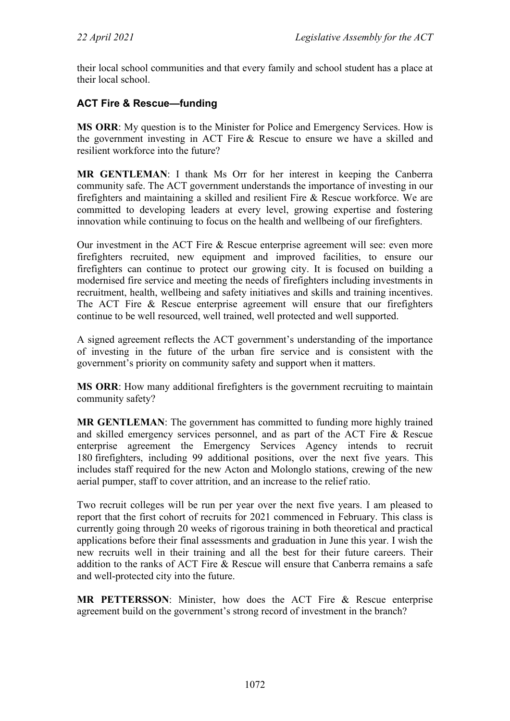their local school communities and that every family and school student has a place at their local school.

### **ACT Fire & Rescue—funding**

**MS ORR**: My question is to the Minister for Police and Emergency Services. How is the government investing in ACT Fire & Rescue to ensure we have a skilled and resilient workforce into the future?

**MR GENTLEMAN**: I thank Ms Orr for her interest in keeping the Canberra community safe. The ACT government understands the importance of investing in our firefighters and maintaining a skilled and resilient Fire & Rescue workforce. We are committed to developing leaders at every level, growing expertise and fostering innovation while continuing to focus on the health and wellbeing of our firefighters.

Our investment in the ACT Fire & Rescue enterprise agreement will see: even more firefighters recruited, new equipment and improved facilities, to ensure our firefighters can continue to protect our growing city. It is focused on building a modernised fire service and meeting the needs of firefighters including investments in recruitment, health, wellbeing and safety initiatives and skills and training incentives. The ACT Fire & Rescue enterprise agreement will ensure that our firefighters continue to be well resourced, well trained, well protected and well supported.

A signed agreement reflects the ACT government's understanding of the importance of investing in the future of the urban fire service and is consistent with the government's priority on community safety and support when it matters.

**MS ORR**: How many additional firefighters is the government recruiting to maintain community safety?

**MR GENTLEMAN**: The government has committed to funding more highly trained and skilled emergency services personnel, and as part of the ACT Fire & Rescue enterprise agreement the Emergency Services Agency intends to recruit 180 firefighters, including 99 additional positions, over the next five years. This includes staff required for the new Acton and Molonglo stations, crewing of the new aerial pumper, staff to cover attrition, and an increase to the relief ratio.

Two recruit colleges will be run per year over the next five years. I am pleased to report that the first cohort of recruits for 2021 commenced in February. This class is currently going through 20 weeks of rigorous training in both theoretical and practical applications before their final assessments and graduation in June this year. I wish the new recruits well in their training and all the best for their future careers. Their addition to the ranks of ACT Fire & Rescue will ensure that Canberra remains a safe and well-protected city into the future.

**MR PETTERSSON**: Minister, how does the ACT Fire & Rescue enterprise agreement build on the government's strong record of investment in the branch?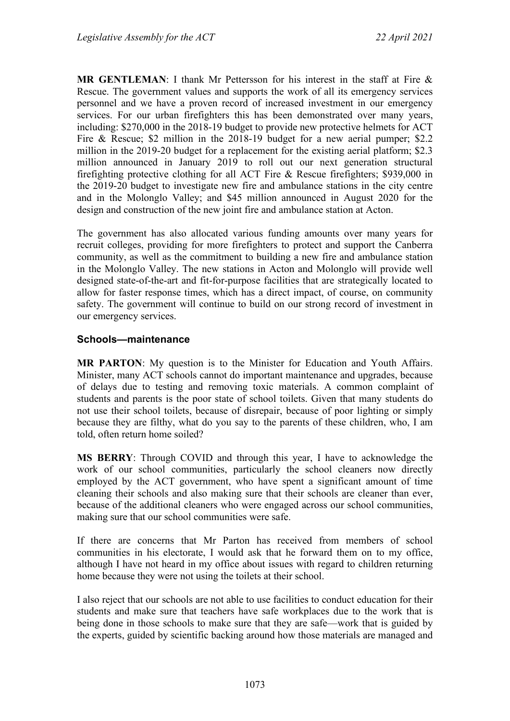**MR GENTLEMAN**: I thank Mr Pettersson for his interest in the staff at Fire & Rescue. The government values and supports the work of all its emergency services personnel and we have a proven record of increased investment in our emergency services. For our urban firefighters this has been demonstrated over many years, including: \$270,000 in the 2018-19 budget to provide new protective helmets for ACT Fire & Rescue; \$2 million in the 2018-19 budget for a new aerial pumper; \$2.2 million in the 2019-20 budget for a replacement for the existing aerial platform; \$2.3 million announced in January 2019 to roll out our next generation structural firefighting protective clothing for all ACT Fire & Rescue firefighters; \$939,000 in the 2019-20 budget to investigate new fire and ambulance stations in the city centre and in the Molonglo Valley; and \$45 million announced in August 2020 for the design and construction of the new joint fire and ambulance station at Acton.

The government has also allocated various funding amounts over many years for recruit colleges, providing for more firefighters to protect and support the Canberra community, as well as the commitment to building a new fire and ambulance station in the Molonglo Valley. The new stations in Acton and Molonglo will provide well designed state-of-the-art and fit-for-purpose facilities that are strategically located to allow for faster response times, which has a direct impact, of course, on community safety. The government will continue to build on our strong record of investment in our emergency services.

#### **Schools—maintenance**

**MR PARTON**: My question is to the Minister for Education and Youth Affairs. Minister, many ACT schools cannot do important maintenance and upgrades, because of delays due to testing and removing toxic materials. A common complaint of students and parents is the poor state of school toilets. Given that many students do not use their school toilets, because of disrepair, because of poor lighting or simply because they are filthy, what do you say to the parents of these children, who, I am told, often return home soiled?

**MS BERRY**: Through COVID and through this year, I have to acknowledge the work of our school communities, particularly the school cleaners now directly employed by the ACT government, who have spent a significant amount of time cleaning their schools and also making sure that their schools are cleaner than ever, because of the additional cleaners who were engaged across our school communities, making sure that our school communities were safe.

If there are concerns that Mr Parton has received from members of school communities in his electorate, I would ask that he forward them on to my office, although I have not heard in my office about issues with regard to children returning home because they were not using the toilets at their school.

I also reject that our schools are not able to use facilities to conduct education for their students and make sure that teachers have safe workplaces due to the work that is being done in those schools to make sure that they are safe—work that is guided by the experts, guided by scientific backing around how those materials are managed and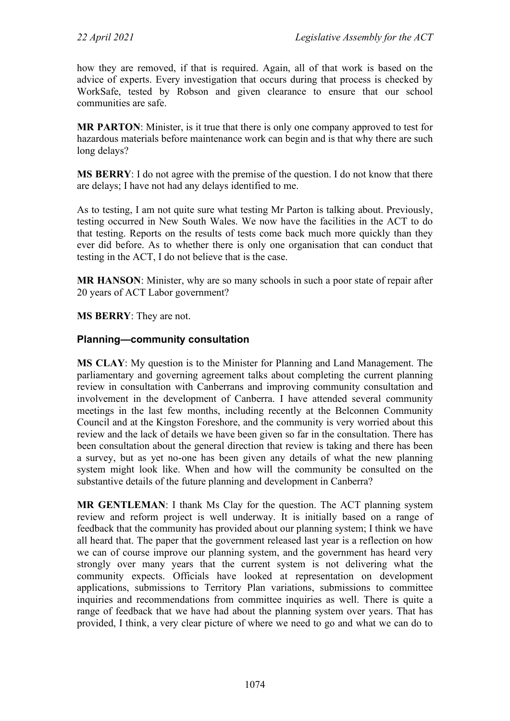how they are removed, if that is required. Again, all of that work is based on the advice of experts. Every investigation that occurs during that process is checked by WorkSafe, tested by Robson and given clearance to ensure that our school communities are safe.

**MR PARTON**: Minister, is it true that there is only one company approved to test for hazardous materials before maintenance work can begin and is that why there are such long delays?

**MS BERRY**: I do not agree with the premise of the question. I do not know that there are delays; I have not had any delays identified to me.

As to testing, I am not quite sure what testing Mr Parton is talking about. Previously, testing occurred in New South Wales. We now have the facilities in the ACT to do that testing. Reports on the results of tests come back much more quickly than they ever did before. As to whether there is only one organisation that can conduct that testing in the ACT, I do not believe that is the case.

**MR HANSON**: Minister, why are so many schools in such a poor state of repair after 20 years of ACT Labor government?

**MS BERRY**: They are not.

#### **Planning—community consultation**

**MS CLAY**: My question is to the Minister for Planning and Land Management. The parliamentary and governing agreement talks about completing the current planning review in consultation with Canberrans and improving community consultation and involvement in the development of Canberra. I have attended several community meetings in the last few months, including recently at the Belconnen Community Council and at the Kingston Foreshore, and the community is very worried about this review and the lack of details we have been given so far in the consultation. There has been consultation about the general direction that review is taking and there has been a survey, but as yet no-one has been given any details of what the new planning system might look like. When and how will the community be consulted on the substantive details of the future planning and development in Canberra?

**MR GENTLEMAN**: I thank Ms Clay for the question. The ACT planning system review and reform project is well underway. It is initially based on a range of feedback that the community has provided about our planning system; I think we have all heard that. The paper that the government released last year is a reflection on how we can of course improve our planning system, and the government has heard very strongly over many years that the current system is not delivering what the community expects. Officials have looked at representation on development applications, submissions to Territory Plan variations, submissions to committee inquiries and recommendations from committee inquiries as well. There is quite a range of feedback that we have had about the planning system over years. That has provided, I think, a very clear picture of where we need to go and what we can do to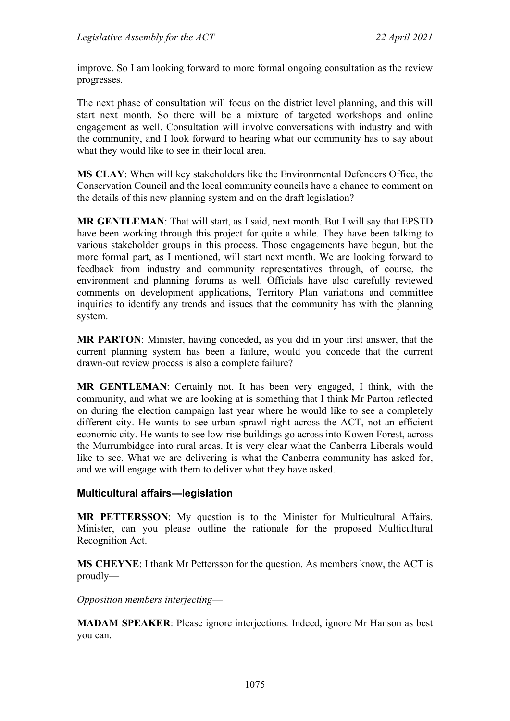improve. So I am looking forward to more formal ongoing consultation as the review progresses.

The next phase of consultation will focus on the district level planning, and this will start next month. So there will be a mixture of targeted workshops and online engagement as well. Consultation will involve conversations with industry and with the community, and I look forward to hearing what our community has to say about what they would like to see in their local area.

**MS CLAY**: When will key stakeholders like the Environmental Defenders Office, the Conservation Council and the local community councils have a chance to comment on the details of this new planning system and on the draft legislation?

**MR GENTLEMAN**: That will start, as I said, next month. But I will say that EPSTD have been working through this project for quite a while. They have been talking to various stakeholder groups in this process. Those engagements have begun, but the more formal part, as I mentioned, will start next month. We are looking forward to feedback from industry and community representatives through, of course, the environment and planning forums as well. Officials have also carefully reviewed comments on development applications, Territory Plan variations and committee inquiries to identify any trends and issues that the community has with the planning system.

**MR PARTON**: Minister, having conceded, as you did in your first answer, that the current planning system has been a failure, would you concede that the current drawn-out review process is also a complete failure?

**MR GENTLEMAN**: Certainly not. It has been very engaged, I think, with the community, and what we are looking at is something that I think Mr Parton reflected on during the election campaign last year where he would like to see a completely different city. He wants to see urban sprawl right across the ACT, not an efficient economic city. He wants to see low-rise buildings go across into Kowen Forest, across the Murrumbidgee into rural areas. It is very clear what the Canberra Liberals would like to see. What we are delivering is what the Canberra community has asked for, and we will engage with them to deliver what they have asked.

#### **Multicultural affairs—legislation**

**MR PETTERSSON**: My question is to the Minister for Multicultural Affairs. Minister, can you please outline the rationale for the proposed Multicultural Recognition Act.

**MS CHEYNE**: I thank Mr Pettersson for the question. As members know, the ACT is proudly—

*Opposition members interjecting*—

**MADAM SPEAKER**: Please ignore interjections. Indeed, ignore Mr Hanson as best you can.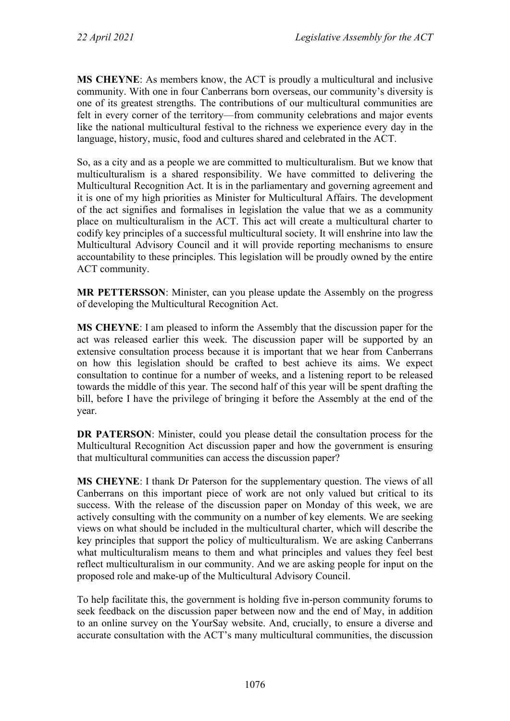**MS CHEYNE**: As members know, the ACT is proudly a multicultural and inclusive community. With one in four Canberrans born overseas, our community's diversity is one of its greatest strengths. The contributions of our multicultural communities are felt in every corner of the territory—from community celebrations and major events like the national multicultural festival to the richness we experience every day in the language, history, music, food and cultures shared and celebrated in the ACT.

So, as a city and as a people we are committed to multiculturalism. But we know that multiculturalism is a shared responsibility. We have committed to delivering the Multicultural Recognition Act. It is in the parliamentary and governing agreement and it is one of my high priorities as Minister for Multicultural Affairs. The development of the act signifies and formalises in legislation the value that we as a community place on multiculturalism in the ACT. This act will create a multicultural charter to codify key principles of a successful multicultural society. It will enshrine into law the Multicultural Advisory Council and it will provide reporting mechanisms to ensure accountability to these principles. This legislation will be proudly owned by the entire ACT community.

**MR PETTERSSON**: Minister, can you please update the Assembly on the progress of developing the Multicultural Recognition Act.

**MS CHEYNE**: I am pleased to inform the Assembly that the discussion paper for the act was released earlier this week. The discussion paper will be supported by an extensive consultation process because it is important that we hear from Canberrans on how this legislation should be crafted to best achieve its aims. We expect consultation to continue for a number of weeks, and a listening report to be released towards the middle of this year. The second half of this year will be spent drafting the bill, before I have the privilege of bringing it before the Assembly at the end of the year.

**DR PATERSON**: Minister, could you please detail the consultation process for the Multicultural Recognition Act discussion paper and how the government is ensuring that multicultural communities can access the discussion paper?

**MS CHEYNE**: I thank Dr Paterson for the supplementary question. The views of all Canberrans on this important piece of work are not only valued but critical to its success. With the release of the discussion paper on Monday of this week, we are actively consulting with the community on a number of key elements. We are seeking views on what should be included in the multicultural charter, which will describe the key principles that support the policy of multiculturalism. We are asking Canberrans what multiculturalism means to them and what principles and values they feel best reflect multiculturalism in our community. And we are asking people for input on the proposed role and make-up of the Multicultural Advisory Council.

To help facilitate this, the government is holding five in-person community forums to seek feedback on the discussion paper between now and the end of May, in addition to an online survey on the YourSay website. And, crucially, to ensure a diverse and accurate consultation with the ACT's many multicultural communities, the discussion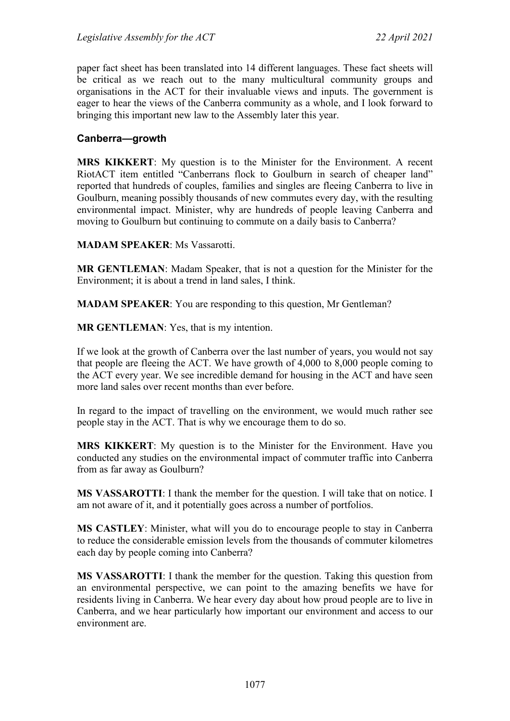paper fact sheet has been translated into 14 different languages. These fact sheets will be critical as we reach out to the many multicultural community groups and organisations in the ACT for their invaluable views and inputs. The government is eager to hear the views of the Canberra community as a whole, and I look forward to bringing this important new law to the Assembly later this year.

#### **Canberra—growth**

**MRS KIKKERT**: My question is to the Minister for the Environment. A recent RiotACT item entitled "Canberrans flock to Goulburn in search of cheaper land" reported that hundreds of couples, families and singles are fleeing Canberra to live in Goulburn, meaning possibly thousands of new commutes every day, with the resulting environmental impact. Minister, why are hundreds of people leaving Canberra and moving to Goulburn but continuing to commute on a daily basis to Canberra?

**MADAM SPEAKER**: Ms Vassarotti.

**MR GENTLEMAN**: Madam Speaker, that is not a question for the Minister for the Environment; it is about a trend in land sales, I think.

**MADAM SPEAKER**: You are responding to this question, Mr Gentleman?

**MR GENTLEMAN**: Yes, that is my intention.

If we look at the growth of Canberra over the last number of years, you would not say that people are fleeing the ACT. We have growth of 4,000 to 8,000 people coming to the ACT every year. We see incredible demand for housing in the ACT and have seen more land sales over recent months than ever before.

In regard to the impact of travelling on the environment, we would much rather see people stay in the ACT. That is why we encourage them to do so.

**MRS KIKKERT**: My question is to the Minister for the Environment. Have you conducted any studies on the environmental impact of commuter traffic into Canberra from as far away as Goulburn?

**MS VASSAROTTI**: I thank the member for the question. I will take that on notice. I am not aware of it, and it potentially goes across a number of portfolios.

**MS CASTLEY**: Minister, what will you do to encourage people to stay in Canberra to reduce the considerable emission levels from the thousands of commuter kilometres each day by people coming into Canberra?

**MS VASSAROTTI**: I thank the member for the question. Taking this question from an environmental perspective, we can point to the amazing benefits we have for residents living in Canberra. We hear every day about how proud people are to live in Canberra, and we hear particularly how important our environment and access to our environment are.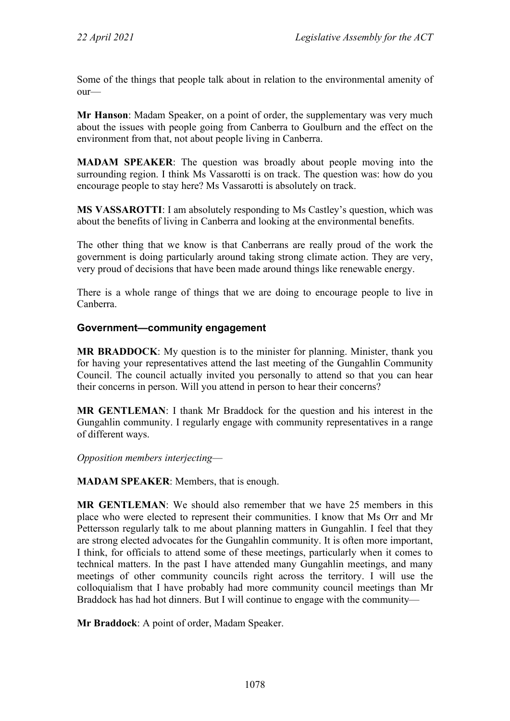Some of the things that people talk about in relation to the environmental amenity of our—

**Mr Hanson**: Madam Speaker, on a point of order, the supplementary was very much about the issues with people going from Canberra to Goulburn and the effect on the environment from that, not about people living in Canberra.

**MADAM SPEAKER**: The question was broadly about people moving into the surrounding region. I think Ms Vassarotti is on track. The question was: how do you encourage people to stay here? Ms Vassarotti is absolutely on track.

**MS VASSAROTTI**: I am absolutely responding to Ms Castley's question, which was about the benefits of living in Canberra and looking at the environmental benefits.

The other thing that we know is that Canberrans are really proud of the work the government is doing particularly around taking strong climate action. They are very, very proud of decisions that have been made around things like renewable energy.

There is a whole range of things that we are doing to encourage people to live in Canberra.

#### **Government—community engagement**

**MR BRADDOCK**: My question is to the minister for planning. Minister, thank you for having your representatives attend the last meeting of the Gungahlin Community Council. The council actually invited you personally to attend so that you can hear their concerns in person. Will you attend in person to hear their concerns?

**MR GENTLEMAN**: I thank Mr Braddock for the question and his interest in the Gungahlin community. I regularly engage with community representatives in a range of different ways.

*Opposition members interjecting*—

**MADAM SPEAKER**: Members, that is enough.

**MR GENTLEMAN**: We should also remember that we have 25 members in this place who were elected to represent their communities. I know that Ms Orr and Mr Pettersson regularly talk to me about planning matters in Gungahlin. I feel that they are strong elected advocates for the Gungahlin community. It is often more important, I think, for officials to attend some of these meetings, particularly when it comes to technical matters. In the past I have attended many Gungahlin meetings, and many meetings of other community councils right across the territory. I will use the colloquialism that I have probably had more community council meetings than Mr Braddock has had hot dinners. But I will continue to engage with the community—

**Mr Braddock**: A point of order, Madam Speaker.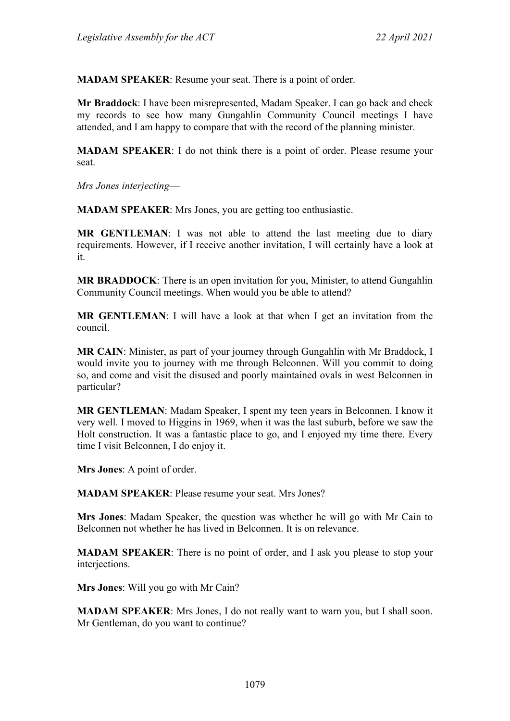**MADAM SPEAKER**: Resume your seat. There is a point of order.

**Mr Braddock**: I have been misrepresented, Madam Speaker. I can go back and check my records to see how many Gungahlin Community Council meetings I have attended, and I am happy to compare that with the record of the planning minister.

**MADAM SPEAKER**: I do not think there is a point of order. Please resume your seat.

*Mrs Jones interjecting*—

**MADAM SPEAKER**: Mrs Jones, you are getting too enthusiastic.

**MR GENTLEMAN**: I was not able to attend the last meeting due to diary requirements. However, if I receive another invitation, I will certainly have a look at it.

**MR BRADDOCK**: There is an open invitation for you, Minister, to attend Gungahlin Community Council meetings. When would you be able to attend?

**MR GENTLEMAN**: I will have a look at that when I get an invitation from the council.

**MR CAIN**: Minister, as part of your journey through Gungahlin with Mr Braddock, I would invite you to journey with me through Belconnen. Will you commit to doing so, and come and visit the disused and poorly maintained ovals in west Belconnen in particular?

**MR GENTLEMAN**: Madam Speaker, I spent my teen years in Belconnen. I know it very well. I moved to Higgins in 1969, when it was the last suburb, before we saw the Holt construction. It was a fantastic place to go, and I enjoyed my time there. Every time I visit Belconnen, I do enjoy it.

**Mrs Jones**: A point of order.

**MADAM SPEAKER**: Please resume your seat. Mrs Jones?

**Mrs Jones**: Madam Speaker, the question was whether he will go with Mr Cain to Belconnen not whether he has lived in Belconnen. It is on relevance.

**MADAM SPEAKER**: There is no point of order, and I ask you please to stop your interjections.

**Mrs Jones**: Will you go with Mr Cain?

**MADAM SPEAKER**: Mrs Jones, I do not really want to warn you, but I shall soon. Mr Gentleman, do you want to continue?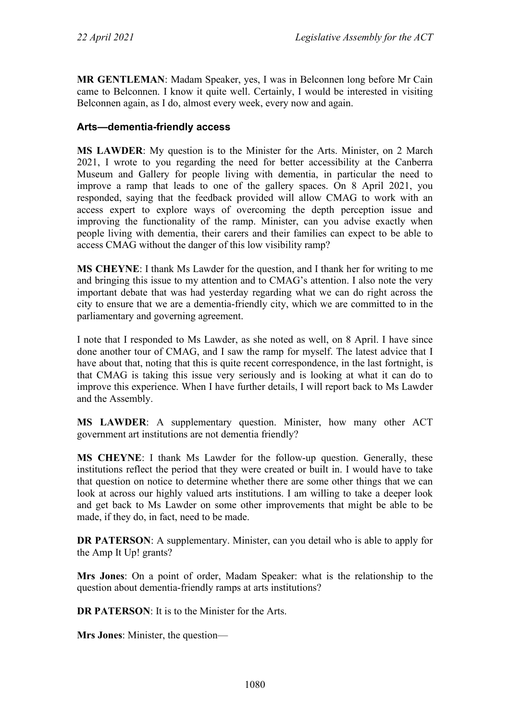**MR GENTLEMAN**: Madam Speaker, yes, I was in Belconnen long before Mr Cain came to Belconnen. I know it quite well. Certainly, I would be interested in visiting Belconnen again, as I do, almost every week, every now and again.

### **Arts—dementia-friendly access**

**MS LAWDER**: My question is to the Minister for the Arts. Minister, on 2 March 2021, I wrote to you regarding the need for better accessibility at the Canberra Museum and Gallery for people living with dementia, in particular the need to improve a ramp that leads to one of the gallery spaces. On 8 April 2021, you responded, saying that the feedback provided will allow CMAG to work with an access expert to explore ways of overcoming the depth perception issue and improving the functionality of the ramp. Minister, can you advise exactly when people living with dementia, their carers and their families can expect to be able to access CMAG without the danger of this low visibility ramp?

**MS CHEYNE**: I thank Ms Lawder for the question, and I thank her for writing to me and bringing this issue to my attention and to CMAG's attention. I also note the very important debate that was had yesterday regarding what we can do right across the city to ensure that we are a dementia-friendly city, which we are committed to in the parliamentary and governing agreement.

I note that I responded to Ms Lawder, as she noted as well, on 8 April. I have since done another tour of CMAG, and I saw the ramp for myself. The latest advice that I have about that, noting that this is quite recent correspondence, in the last fortnight, is that CMAG is taking this issue very seriously and is looking at what it can do to improve this experience. When I have further details, I will report back to Ms Lawder and the Assembly.

**MS LAWDER**: A supplementary question. Minister, how many other ACT government art institutions are not dementia friendly?

**MS CHEYNE**: I thank Ms Lawder for the follow-up question. Generally, these institutions reflect the period that they were created or built in. I would have to take that question on notice to determine whether there are some other things that we can look at across our highly valued arts institutions. I am willing to take a deeper look and get back to Ms Lawder on some other improvements that might be able to be made, if they do, in fact, need to be made.

**DR PATERSON:** A supplementary. Minister, can you detail who is able to apply for the Amp It Up! grants?

**Mrs Jones**: On a point of order, Madam Speaker: what is the relationship to the question about dementia-friendly ramps at arts institutions?

**DR PATERSON**: It is to the Minister for the Arts.

**Mrs Jones**: Minister, the question—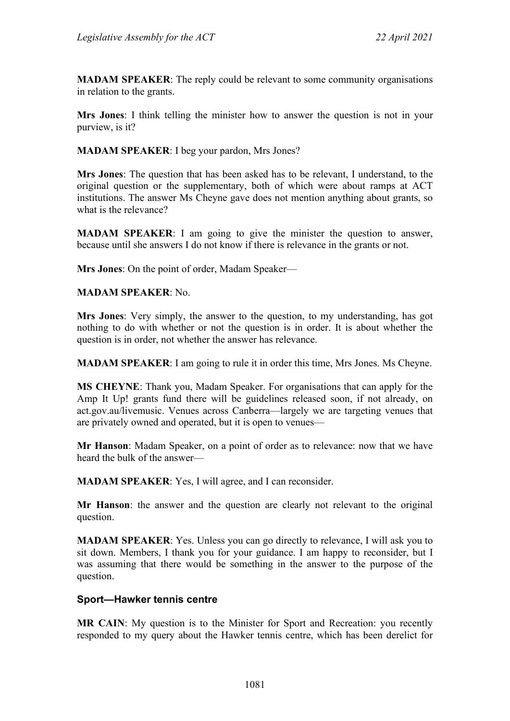**MADAM SPEAKER**: The reply could be relevant to some community organisations in relation to the grants.

**Mrs Jones**: I think telling the minister how to answer the question is not in your purview, is it?

**MADAM SPEAKER**: I beg your pardon, Mrs Jones?

**Mrs Jones**: The question that has been asked has to be relevant, I understand, to the original question or the supplementary, both of which were about ramps at ACT institutions. The answer Ms Cheyne gave does not mention anything about grants, so what is the relevance?

**MADAM SPEAKER**: I am going to give the minister the question to answer, because until she answers I do not know if there is relevance in the grants or not.

**Mrs Jones**: On the point of order, Madam Speaker—

**MADAM SPEAKER**: No.

**Mrs Jones**: Very simply, the answer to the question, to my understanding, has got nothing to do with whether or not the question is in order. It is about whether the question is in order, not whether the answer has relevance.

**MADAM SPEAKER**: I am going to rule it in order this time, Mrs Jones. Ms Cheyne.

**MS CHEYNE**: Thank you, Madam Speaker. For organisations that can apply for the Amp It Up! grants fund there will be guidelines released soon, if not already, on act.gov.au/livemusic. Venues across Canberra—largely we are targeting venues that are privately owned and operated, but it is open to venues—

**Mr Hanson**: Madam Speaker, on a point of order as to relevance: now that we have heard the bulk of the answer—

**MADAM SPEAKER**: Yes, I will agree, and I can reconsider.

**Mr Hanson**: the answer and the question are clearly not relevant to the original question.

**MADAM SPEAKER**: Yes. Unless you can go directly to relevance, I will ask you to sit down. Members, I thank you for your guidance. I am happy to reconsider, but I was assuming that there would be something in the answer to the purpose of the question.

#### **Sport—Hawker tennis centre**

**MR CAIN**: My question is to the Minister for Sport and Recreation: you recently responded to my query about the Hawker tennis centre, which has been derelict for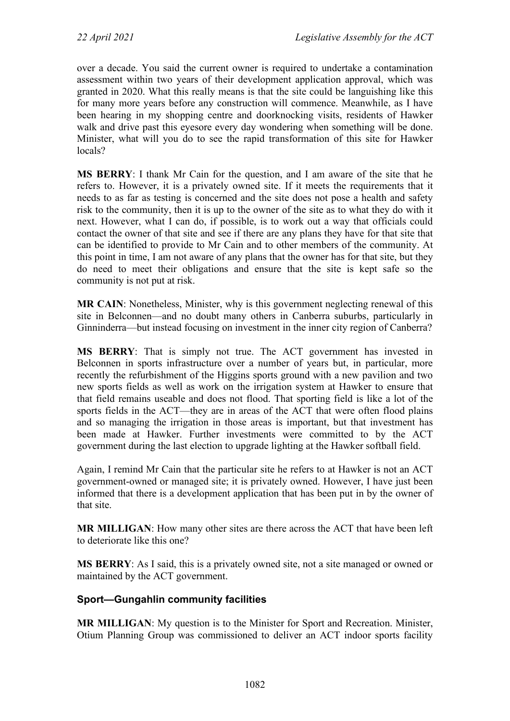over a decade. You said the current owner is required to undertake a contamination assessment within two years of their development application approval, which was granted in 2020. What this really means is that the site could be languishing like this for many more years before any construction will commence. Meanwhile, as I have been hearing in my shopping centre and doorknocking visits, residents of Hawker walk and drive past this eyesore every day wondering when something will be done. Minister, what will you do to see the rapid transformation of this site for Hawker locals?

**MS BERRY**: I thank Mr Cain for the question, and I am aware of the site that he refers to. However, it is a privately owned site. If it meets the requirements that it needs to as far as testing is concerned and the site does not pose a health and safety risk to the community, then it is up to the owner of the site as to what they do with it next. However, what I can do, if possible, is to work out a way that officials could contact the owner of that site and see if there are any plans they have for that site that can be identified to provide to Mr Cain and to other members of the community. At this point in time, I am not aware of any plans that the owner has for that site, but they do need to meet their obligations and ensure that the site is kept safe so the community is not put at risk.

**MR CAIN**: Nonetheless, Minister, why is this government neglecting renewal of this site in Belconnen—and no doubt many others in Canberra suburbs, particularly in Ginninderra—but instead focusing on investment in the inner city region of Canberra?

**MS BERRY**: That is simply not true. The ACT government has invested in Belconnen in sports infrastructure over a number of years but, in particular, more recently the refurbishment of the Higgins sports ground with a new pavilion and two new sports fields as well as work on the irrigation system at Hawker to ensure that that field remains useable and does not flood. That sporting field is like a lot of the sports fields in the ACT—they are in areas of the ACT that were often flood plains and so managing the irrigation in those areas is important, but that investment has been made at Hawker. Further investments were committed to by the ACT government during the last election to upgrade lighting at the Hawker softball field.

Again, I remind Mr Cain that the particular site he refers to at Hawker is not an ACT government-owned or managed site; it is privately owned. However, I have just been informed that there is a development application that has been put in by the owner of that site.

**MR MILLIGAN**: How many other sites are there across the ACT that have been left to deteriorate like this one?

**MS BERRY**: As I said, this is a privately owned site, not a site managed or owned or maintained by the ACT government.

### **Sport—Gungahlin community facilities**

**MR MILLIGAN**: My question is to the Minister for Sport and Recreation. Minister, Otium Planning Group was commissioned to deliver an ACT indoor sports facility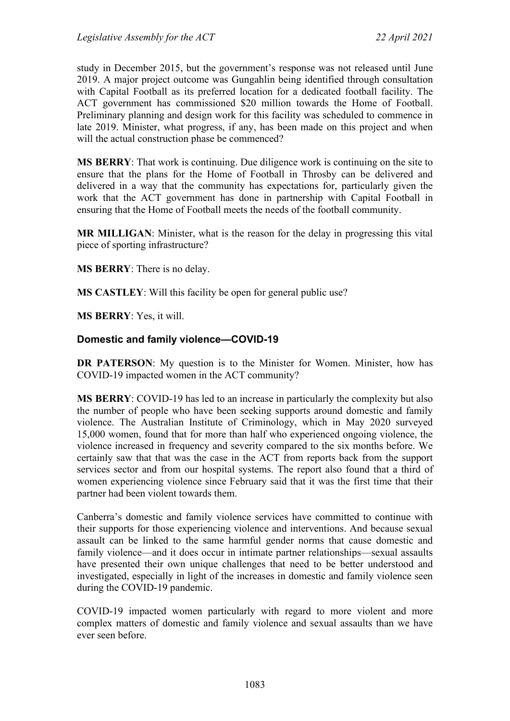study in December 2015, but the government's response was not released until June 2019. A major project outcome was Gungahlin being identified through consultation with Capital Football as its preferred location for a dedicated football facility. The ACT government has commissioned \$20 million towards the Home of Football. Preliminary planning and design work for this facility was scheduled to commence in late 2019. Minister, what progress, if any, has been made on this project and when will the actual construction phase be commenced?

**MS BERRY**: That work is continuing. Due diligence work is continuing on the site to ensure that the plans for the Home of Football in Throsby can be delivered and delivered in a way that the community has expectations for, particularly given the work that the ACT government has done in partnership with Capital Football in ensuring that the Home of Football meets the needs of the football community.

**MR MILLIGAN**: Minister, what is the reason for the delay in progressing this vital piece of sporting infrastructure?

**MS BERRY**: There is no delay.

**MS CASTLEY**: Will this facility be open for general public use?

**MS BERRY**: Yes, it will.

#### **Domestic and family violence—COVID-19**

**DR PATERSON**: My question is to the Minister for Women. Minister, how has COVID-19 impacted women in the ACT community?

**MS BERRY**: COVID-19 has led to an increase in particularly the complexity but also the number of people who have been seeking supports around domestic and family violence. The Australian Institute of Criminology, which in May 2020 surveyed 15,000 women, found that for more than half who experienced ongoing violence, the violence increased in frequency and severity compared to the six months before. We certainly saw that that was the case in the ACT from reports back from the support services sector and from our hospital systems. The report also found that a third of women experiencing violence since February said that it was the first time that their partner had been violent towards them.

Canberra's domestic and family violence services have committed to continue with their supports for those experiencing violence and interventions. And because sexual assault can be linked to the same harmful gender norms that cause domestic and family violence—and it does occur in intimate partner relationships—sexual assaults have presented their own unique challenges that need to be better understood and investigated, especially in light of the increases in domestic and family violence seen during the COVID-19 pandemic.

COVID-19 impacted women particularly with regard to more violent and more complex matters of domestic and family violence and sexual assaults than we have ever seen before.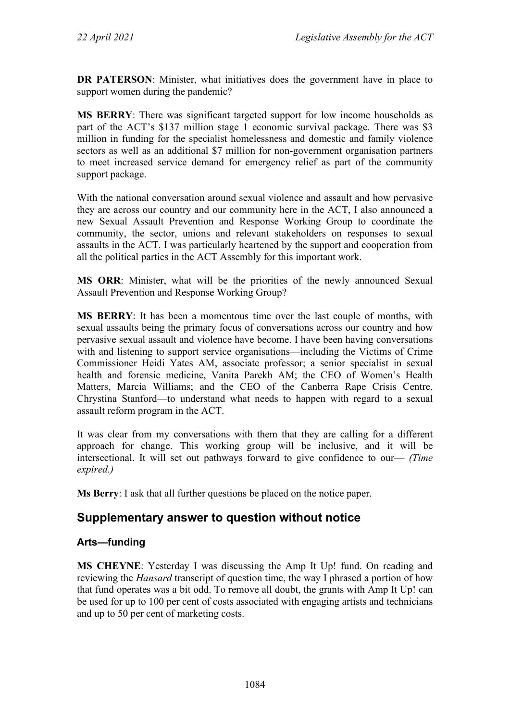**DR PATERSON**: Minister, what initiatives does the government have in place to support women during the pandemic?

**MS BERRY**: There was significant targeted support for low income households as part of the ACT's \$137 million stage 1 economic survival package. There was \$3 million in funding for the specialist homelessness and domestic and family violence sectors as well as an additional \$7 million for non-government organisation partners to meet increased service demand for emergency relief as part of the community support package.

With the national conversation around sexual violence and assault and how pervasive they are across our country and our community here in the ACT, I also announced a new Sexual Assault Prevention and Response Working Group to coordinate the community, the sector, unions and relevant stakeholders on responses to sexual assaults in the ACT. I was particularly heartened by the support and cooperation from all the political parties in the ACT Assembly for this important work.

**MS ORR**: Minister, what will be the priorities of the newly announced Sexual Assault Prevention and Response Working Group?

**MS BERRY**: It has been a momentous time over the last couple of months, with sexual assaults being the primary focus of conversations across our country and how pervasive sexual assault and violence have become. I have been having conversations with and listening to support service organisations—including the Victims of Crime Commissioner Heidi Yates AM, associate professor; a senior specialist in sexual health and forensic medicine, Vanita Parekh AM; the CEO of Women's Health Matters, Marcia Williams; and the CEO of the Canberra Rape Crisis Centre, Chrystina Stanford—to understand what needs to happen with regard to a sexual assault reform program in the ACT.

It was clear from my conversations with them that they are calling for a different approach for change. This working group will be inclusive, and it will be intersectional. It will set out pathways forward to give confidence to our— *(Time expired.)*

**Ms Berry**: I ask that all further questions be placed on the notice paper.

## **Supplementary answer to question without notice**

### **Arts—funding**

**MS CHEYNE**: Yesterday I was discussing the Amp It Up! fund. On reading and reviewing the *Hansard* transcript of question time, the way I phrased a portion of how that fund operates was a bit odd. To remove all doubt, the grants with Amp It Up! can be used for up to 100 per cent of costs associated with engaging artists and technicians and up to 50 per cent of marketing costs.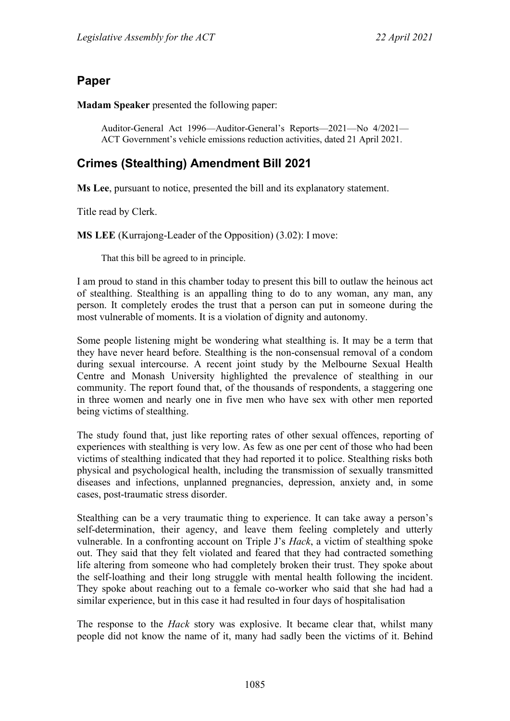## **Paper**

**Madam Speaker** presented the following paper:

Auditor-General Act 1996—Auditor-General's Reports—2021—No 4/2021— ACT Government's vehicle emissions reduction activities, dated 21 April 2021.

# **Crimes (Stealthing) Amendment Bill 2021**

**Ms Lee**, pursuant to notice, presented the bill and its explanatory statement.

Title read by Clerk.

**MS LEE** (Kurrajong-Leader of the Opposition) (3.02): I move:

That this bill be agreed to in principle.

I am proud to stand in this chamber today to present this bill to outlaw the heinous act of stealthing. Stealthing is an appalling thing to do to any woman, any man, any person. It completely erodes the trust that a person can put in someone during the most vulnerable of moments. It is a violation of dignity and autonomy.

Some people listening might be wondering what stealthing is. It may be a term that they have never heard before. Stealthing is the non-consensual removal of a condom during sexual intercourse. A recent joint study by the Melbourne Sexual Health Centre and Monash University highlighted the prevalence of stealthing in our community. The report found that, of the thousands of respondents, a staggering one in three women and nearly one in five men who have sex with other men reported being victims of stealthing.

The study found that, just like reporting rates of other sexual offences, reporting of experiences with stealthing is very low. As few as one per cent of those who had been victims of stealthing indicated that they had reported it to police. Stealthing risks both physical and psychological health, including the transmission of sexually transmitted diseases and infections, unplanned pregnancies, depression, anxiety and, in some cases, post-traumatic stress disorder.

Stealthing can be a very traumatic thing to experience. It can take away a person's self-determination, their agency, and leave them feeling completely and utterly vulnerable. In a confronting account on Triple J's *Hack*, a victim of stealthing spoke out. They said that they felt violated and feared that they had contracted something life altering from someone who had completely broken their trust. They spoke about the self-loathing and their long struggle with mental health following the incident. They spoke about reaching out to a female co-worker who said that she had had a similar experience, but in this case it had resulted in four days of hospitalisation

The response to the *Hack* story was explosive. It became clear that, whilst many people did not know the name of it, many had sadly been the victims of it. Behind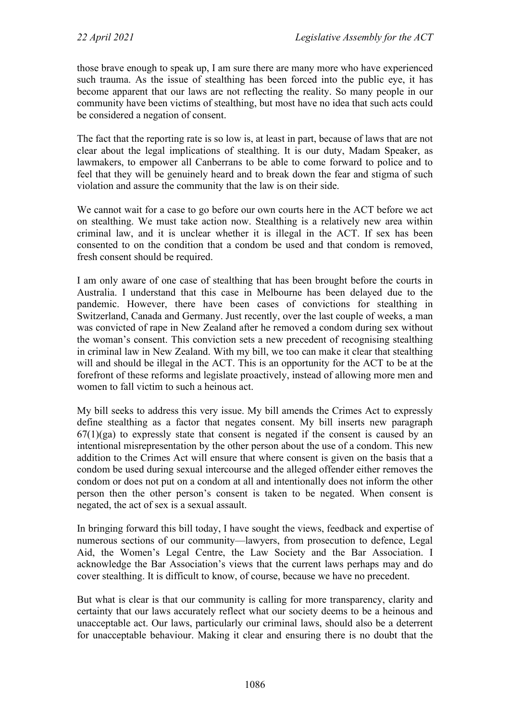those brave enough to speak up, I am sure there are many more who have experienced such trauma. As the issue of stealthing has been forced into the public eye, it has become apparent that our laws are not reflecting the reality. So many people in our community have been victims of stealthing, but most have no idea that such acts could be considered a negation of consent.

The fact that the reporting rate is so low is, at least in part, because of laws that are not clear about the legal implications of stealthing. It is our duty, Madam Speaker, as lawmakers, to empower all Canberrans to be able to come forward to police and to feel that they will be genuinely heard and to break down the fear and stigma of such violation and assure the community that the law is on their side.

We cannot wait for a case to go before our own courts here in the ACT before we act on stealthing. We must take action now. Stealthing is a relatively new area within criminal law, and it is unclear whether it is illegal in the ACT. If sex has been consented to on the condition that a condom be used and that condom is removed, fresh consent should be required.

I am only aware of one case of stealthing that has been brought before the courts in Australia. I understand that this case in Melbourne has been delayed due to the pandemic. However, there have been cases of convictions for stealthing in Switzerland, Canada and Germany. Just recently, over the last couple of weeks, a man was convicted of rape in New Zealand after he removed a condom during sex without the woman's consent. This conviction sets a new precedent of recognising stealthing in criminal law in New Zealand. With my bill, we too can make it clear that stealthing will and should be illegal in the ACT. This is an opportunity for the ACT to be at the forefront of these reforms and legislate proactively, instead of allowing more men and women to fall victim to such a heinous act.

My bill seeks to address this very issue. My bill amends the Crimes Act to expressly define stealthing as a factor that negates consent. My bill inserts new paragraph  $67(1)(ga)$  to expressly state that consent is negated if the consent is caused by an intentional misrepresentation by the other person about the use of a condom. This new addition to the Crimes Act will ensure that where consent is given on the basis that a condom be used during sexual intercourse and the alleged offender either removes the condom or does not put on a condom at all and intentionally does not inform the other person then the other person's consent is taken to be negated. When consent is negated, the act of sex is a sexual assault.

In bringing forward this bill today, I have sought the views, feedback and expertise of numerous sections of our community—lawyers, from prosecution to defence, Legal Aid, the Women's Legal Centre, the Law Society and the Bar Association. I acknowledge the Bar Association's views that the current laws perhaps may and do cover stealthing. It is difficult to know, of course, because we have no precedent.

But what is clear is that our community is calling for more transparency, clarity and certainty that our laws accurately reflect what our society deems to be a heinous and unacceptable act. Our laws, particularly our criminal laws, should also be a deterrent for unacceptable behaviour. Making it clear and ensuring there is no doubt that the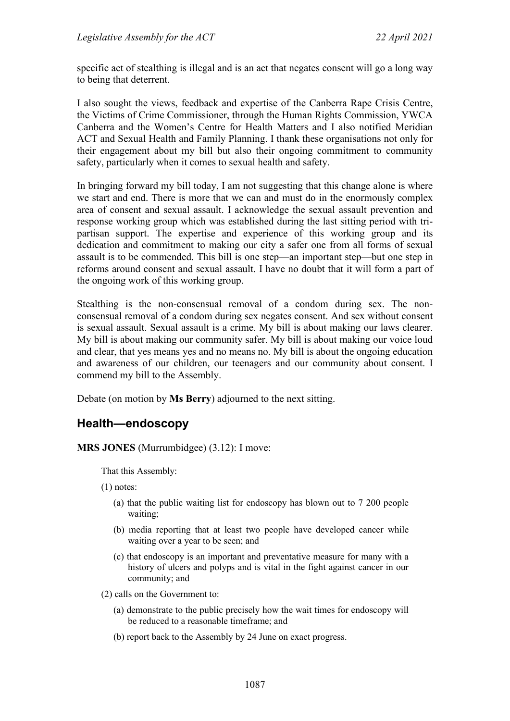specific act of stealthing is illegal and is an act that negates consent will go a long way to being that deterrent.

I also sought the views, feedback and expertise of the Canberra Rape Crisis Centre, the Victims of Crime Commissioner, through the Human Rights Commission, YWCA Canberra and the Women's Centre for Health Matters and I also notified Meridian ACT and Sexual Health and Family Planning. I thank these organisations not only for their engagement about my bill but also their ongoing commitment to community safety, particularly when it comes to sexual health and safety.

In bringing forward my bill today, I am not suggesting that this change alone is where we start and end. There is more that we can and must do in the enormously complex area of consent and sexual assault. I acknowledge the sexual assault prevention and response working group which was established during the last sitting period with tripartisan support. The expertise and experience of this working group and its dedication and commitment to making our city a safer one from all forms of sexual assault is to be commended. This bill is one step—an important step—but one step in reforms around consent and sexual assault. I have no doubt that it will form a part of the ongoing work of this working group.

Stealthing is the non-consensual removal of a condom during sex. The nonconsensual removal of a condom during sex negates consent. And sex without consent is sexual assault. Sexual assault is a crime. My bill is about making our laws clearer. My bill is about making our community safer. My bill is about making our voice loud and clear, that yes means yes and no means no. My bill is about the ongoing education and awareness of our children, our teenagers and our community about consent. I commend my bill to the Assembly.

Debate (on motion by **Ms Berry**) adjourned to the next sitting.

## **Health—endoscopy**

**MRS JONES** (Murrumbidgee) (3.12): I move:

That this Assembly:

- (1) notes:
	- (a) that the public waiting list for endoscopy has blown out to 7 200 people waiting;
	- (b) media reporting that at least two people have developed cancer while waiting over a year to be seen; and
	- (c) that endoscopy is an important and preventative measure for many with a history of ulcers and polyps and is vital in the fight against cancer in our community; and
- (2) calls on the Government to:
	- (a) demonstrate to the public precisely how the wait times for endoscopy will be reduced to a reasonable timeframe; and
	- (b) report back to the Assembly by 24 June on exact progress.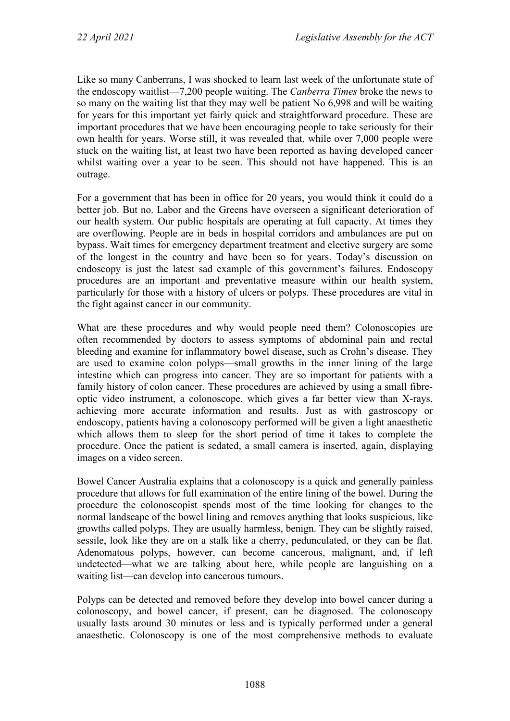Like so many Canberrans, I was shocked to learn last week of the unfortunate state of the endoscopy waitlist—7,200 people waiting. The *Canberra Times* broke the news to so many on the waiting list that they may well be patient No 6,998 and will be waiting for years for this important yet fairly quick and straightforward procedure. These are important procedures that we have been encouraging people to take seriously for their own health for years. Worse still, it was revealed that, while over 7,000 people were stuck on the waiting list, at least two have been reported as having developed cancer whilst waiting over a year to be seen. This should not have happened. This is an outrage.

For a government that has been in office for 20 years, you would think it could do a better job. But no. Labor and the Greens have overseen a significant deterioration of our health system. Our public hospitals are operating at full capacity. At times they are overflowing. People are in beds in hospital corridors and ambulances are put on bypass. Wait times for emergency department treatment and elective surgery are some of the longest in the country and have been so for years. Today's discussion on endoscopy is just the latest sad example of this government's failures. Endoscopy procedures are an important and preventative measure within our health system, particularly for those with a history of ulcers or polyps. These procedures are vital in the fight against cancer in our community.

What are these procedures and why would people need them? Colonoscopies are often recommended by doctors to assess symptoms of abdominal pain and rectal bleeding and examine for inflammatory bowel disease, such as Crohn's disease. They are used to examine colon polyps—small growths in the inner lining of the large intestine which can progress into cancer. They are so important for patients with a family history of colon cancer. These procedures are achieved by using a small fibreoptic video instrument, a colonoscope, which gives a far better view than X-rays, achieving more accurate information and results. Just as with gastroscopy or endoscopy, patients having a colonoscopy performed will be given a light anaesthetic which allows them to sleep for the short period of time it takes to complete the procedure. Once the patient is sedated, a small camera is inserted, again, displaying images on a video screen.

Bowel Cancer Australia explains that a colonoscopy is a quick and generally painless procedure that allows for full examination of the entire lining of the bowel. During the procedure the colonoscopist spends most of the time looking for changes to the normal landscape of the bowel lining and removes anything that looks suspicious, like growths called polyps. They are usually harmless, benign. They can be slightly raised, sessile, look like they are on a stalk like a cherry, pedunculated, or they can be flat. Adenomatous polyps, however, can become cancerous, malignant, and, if left undetected—what we are talking about here, while people are languishing on a waiting list—can develop into cancerous tumours.

Polyps can be detected and removed before they develop into bowel cancer during a colonoscopy, and bowel cancer, if present, can be diagnosed. The colonoscopy usually lasts around 30 minutes or less and is typically performed under a general anaesthetic. Colonoscopy is one of the most comprehensive methods to evaluate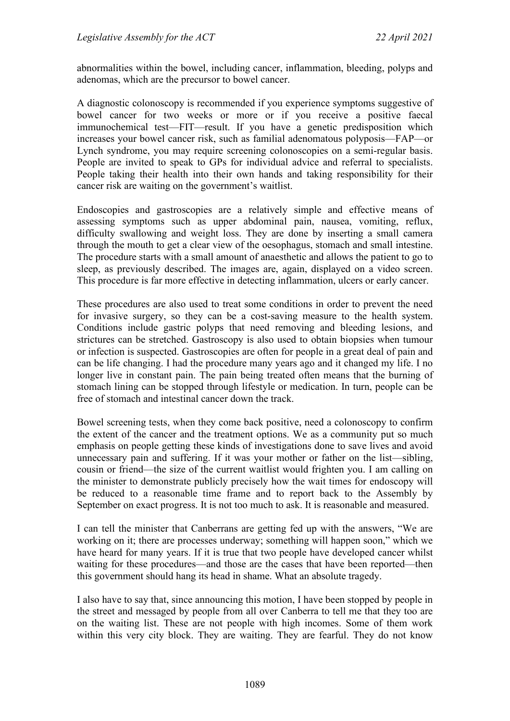abnormalities within the bowel, including cancer, inflammation, bleeding, polyps and adenomas, which are the precursor to bowel cancer.

A diagnostic colonoscopy is recommended if you experience symptoms suggestive of bowel cancer for two weeks or more or if you receive a positive faecal immunochemical test—FIT—result. If you have a genetic predisposition which increases your bowel cancer risk, such as familial adenomatous polyposis—FAP—or Lynch syndrome, you may require screening colonoscopies on a semi-regular basis. People are invited to speak to GPs for individual advice and referral to specialists. People taking their health into their own hands and taking responsibility for their cancer risk are waiting on the government's waitlist.

Endoscopies and gastroscopies are a relatively simple and effective means of assessing symptoms such as upper abdominal pain, nausea, vomiting, reflux, difficulty swallowing and weight loss. They are done by inserting a small camera through the mouth to get a clear view of the oesophagus, stomach and small intestine. The procedure starts with a small amount of anaesthetic and allows the patient to go to sleep, as previously described. The images are, again, displayed on a video screen. This procedure is far more effective in detecting inflammation, ulcers or early cancer.

These procedures are also used to treat some conditions in order to prevent the need for invasive surgery, so they can be a cost-saving measure to the health system. Conditions include gastric polyps that need removing and bleeding lesions, and strictures can be stretched. Gastroscopy is also used to obtain biopsies when tumour or infection is suspected. Gastroscopies are often for people in a great deal of pain and can be life changing. I had the procedure many years ago and it changed my life. I no longer live in constant pain. The pain being treated often means that the burning of stomach lining can be stopped through lifestyle or medication. In turn, people can be free of stomach and intestinal cancer down the track.

Bowel screening tests, when they come back positive, need a colonoscopy to confirm the extent of the cancer and the treatment options. We as a community put so much emphasis on people getting these kinds of investigations done to save lives and avoid unnecessary pain and suffering. If it was your mother or father on the list—sibling, cousin or friend—the size of the current waitlist would frighten you. I am calling on the minister to demonstrate publicly precisely how the wait times for endoscopy will be reduced to a reasonable time frame and to report back to the Assembly by September on exact progress. It is not too much to ask. It is reasonable and measured.

I can tell the minister that Canberrans are getting fed up with the answers, "We are working on it; there are processes underway; something will happen soon," which we have heard for many years. If it is true that two people have developed cancer whilst waiting for these procedures—and those are the cases that have been reported—then this government should hang its head in shame. What an absolute tragedy.

I also have to say that, since announcing this motion, I have been stopped by people in the street and messaged by people from all over Canberra to tell me that they too are on the waiting list. These are not people with high incomes. Some of them work within this very city block. They are waiting. They are fearful. They do not know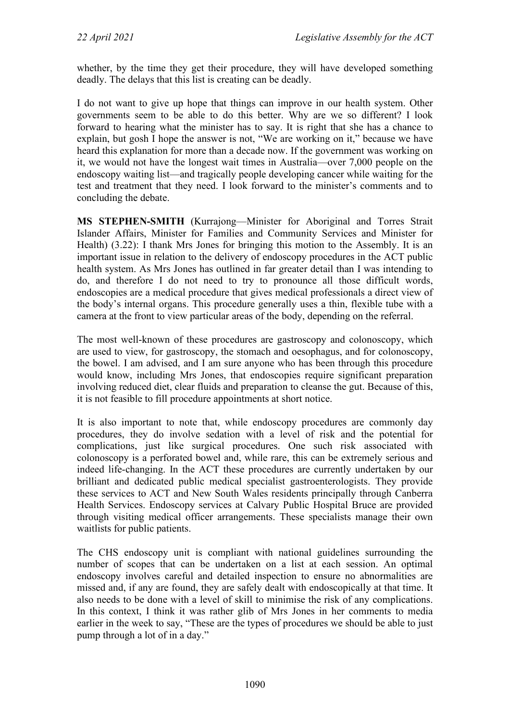whether, by the time they get their procedure, they will have developed something deadly. The delays that this list is creating can be deadly.

I do not want to give up hope that things can improve in our health system. Other governments seem to be able to do this better. Why are we so different? I look forward to hearing what the minister has to say. It is right that she has a chance to explain, but gosh I hope the answer is not, "We are working on it," because we have heard this explanation for more than a decade now. If the government was working on it, we would not have the longest wait times in Australia—over 7,000 people on the endoscopy waiting list—and tragically people developing cancer while waiting for the test and treatment that they need. I look forward to the minister's comments and to concluding the debate.

**MS STEPHEN-SMITH** (Kurrajong—Minister for Aboriginal and Torres Strait Islander Affairs, Minister for Families and Community Services and Minister for Health) (3.22): I thank Mrs Jones for bringing this motion to the Assembly. It is an important issue in relation to the delivery of endoscopy procedures in the ACT public health system. As Mrs Jones has outlined in far greater detail than I was intending to do, and therefore I do not need to try to pronounce all those difficult words, endoscopies are a medical procedure that gives medical professionals a direct view of the body's internal organs. This procedure generally uses a thin, flexible tube with a camera at the front to view particular areas of the body, depending on the referral.

The most well-known of these procedures are gastroscopy and colonoscopy, which are used to view, for gastroscopy, the stomach and oesophagus, and for colonoscopy, the bowel. I am advised, and I am sure anyone who has been through this procedure would know, including Mrs Jones, that endoscopies require significant preparation involving reduced diet, clear fluids and preparation to cleanse the gut. Because of this, it is not feasible to fill procedure appointments at short notice.

It is also important to note that, while endoscopy procedures are commonly day procedures, they do involve sedation with a level of risk and the potential for complications, just like surgical procedures. One such risk associated with colonoscopy is a perforated bowel and, while rare, this can be extremely serious and indeed life-changing. In the ACT these procedures are currently undertaken by our brilliant and dedicated public medical specialist gastroenterologists. They provide these services to ACT and New South Wales residents principally through Canberra Health Services. Endoscopy services at Calvary Public Hospital Bruce are provided through visiting medical officer arrangements. These specialists manage their own waitlists for public patients.

The CHS endoscopy unit is compliant with national guidelines surrounding the number of scopes that can be undertaken on a list at each session. An optimal endoscopy involves careful and detailed inspection to ensure no abnormalities are missed and, if any are found, they are safely dealt with endoscopically at that time. It also needs to be done with a level of skill to minimise the risk of any complications. In this context, I think it was rather glib of Mrs Jones in her comments to media earlier in the week to say, "These are the types of procedures we should be able to just pump through a lot of in a day."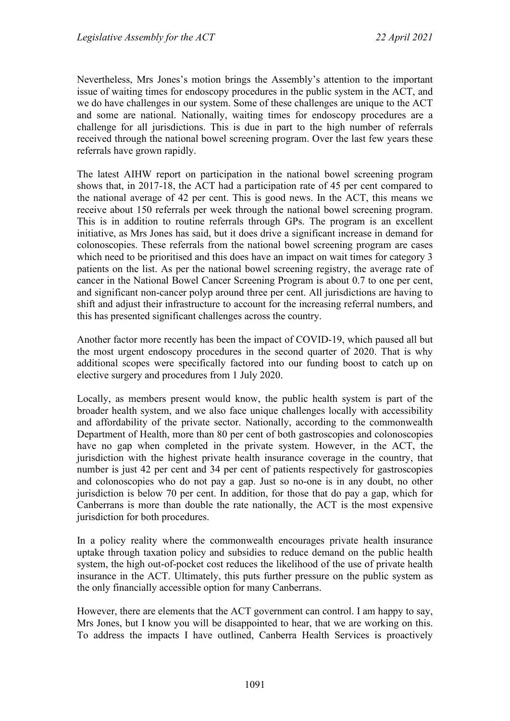Nevertheless, Mrs Jones's motion brings the Assembly's attention to the important issue of waiting times for endoscopy procedures in the public system in the ACT, and we do have challenges in our system. Some of these challenges are unique to the ACT and some are national. Nationally, waiting times for endoscopy procedures are a challenge for all jurisdictions. This is due in part to the high number of referrals received through the national bowel screening program. Over the last few years these referrals have grown rapidly.

The latest AIHW report on participation in the national bowel screening program shows that, in 2017-18, the ACT had a participation rate of 45 per cent compared to the national average of 42 per cent. This is good news. In the ACT, this means we receive about 150 referrals per week through the national bowel screening program. This is in addition to routine referrals through GPs. The program is an excellent initiative, as Mrs Jones has said, but it does drive a significant increase in demand for colonoscopies. These referrals from the national bowel screening program are cases which need to be prioritised and this does have an impact on wait times for category 3 patients on the list. As per the national bowel screening registry, the average rate of cancer in the National Bowel Cancer Screening Program is about 0.7 to one per cent, and significant non-cancer polyp around three per cent. All jurisdictions are having to shift and adjust their infrastructure to account for the increasing referral numbers, and this has presented significant challenges across the country.

Another factor more recently has been the impact of COVID-19, which paused all but the most urgent endoscopy procedures in the second quarter of 2020. That is why additional scopes were specifically factored into our funding boost to catch up on elective surgery and procedures from 1 July 2020.

Locally, as members present would know, the public health system is part of the broader health system, and we also face unique challenges locally with accessibility and affordability of the private sector. Nationally, according to the commonwealth Department of Health, more than 80 per cent of both gastroscopies and colonoscopies have no gap when completed in the private system. However, in the ACT, the jurisdiction with the highest private health insurance coverage in the country, that number is just 42 per cent and 34 per cent of patients respectively for gastroscopies and colonoscopies who do not pay a gap. Just so no-one is in any doubt, no other jurisdiction is below 70 per cent. In addition, for those that do pay a gap, which for Canberrans is more than double the rate nationally, the ACT is the most expensive jurisdiction for both procedures.

In a policy reality where the commonwealth encourages private health insurance uptake through taxation policy and subsidies to reduce demand on the public health system, the high out-of-pocket cost reduces the likelihood of the use of private health insurance in the ACT. Ultimately, this puts further pressure on the public system as the only financially accessible option for many Canberrans.

However, there are elements that the ACT government can control. I am happy to say, Mrs Jones, but I know you will be disappointed to hear, that we are working on this. To address the impacts I have outlined, Canberra Health Services is proactively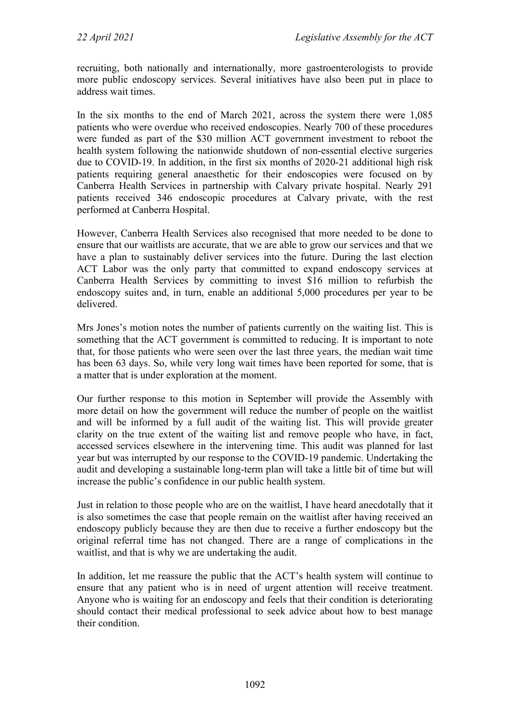recruiting, both nationally and internationally, more gastroenterologists to provide more public endoscopy services. Several initiatives have also been put in place to address wait times.

In the six months to the end of March 2021, across the system there were 1,085 patients who were overdue who received endoscopies. Nearly 700 of these procedures were funded as part of the \$30 million ACT government investment to reboot the health system following the nationwide shutdown of non-essential elective surgeries due to COVID-19. In addition, in the first six months of 2020-21 additional high risk patients requiring general anaesthetic for their endoscopies were focused on by Canberra Health Services in partnership with Calvary private hospital. Nearly 291 patients received 346 endoscopic procedures at Calvary private, with the rest performed at Canberra Hospital.

However, Canberra Health Services also recognised that more needed to be done to ensure that our waitlists are accurate, that we are able to grow our services and that we have a plan to sustainably deliver services into the future. During the last election ACT Labor was the only party that committed to expand endoscopy services at Canberra Health Services by committing to invest \$16 million to refurbish the endoscopy suites and, in turn, enable an additional 5,000 procedures per year to be delivered.

Mrs Jones's motion notes the number of patients currently on the waiting list. This is something that the ACT government is committed to reducing. It is important to note that, for those patients who were seen over the last three years, the median wait time has been 63 days. So, while very long wait times have been reported for some, that is a matter that is under exploration at the moment.

Our further response to this motion in September will provide the Assembly with more detail on how the government will reduce the number of people on the waitlist and will be informed by a full audit of the waiting list. This will provide greater clarity on the true extent of the waiting list and remove people who have, in fact, accessed services elsewhere in the intervening time. This audit was planned for last year but was interrupted by our response to the COVID-19 pandemic. Undertaking the audit and developing a sustainable long-term plan will take a little bit of time but will increase the public's confidence in our public health system.

Just in relation to those people who are on the waitlist, I have heard anecdotally that it is also sometimes the case that people remain on the waitlist after having received an endoscopy publicly because they are then due to receive a further endoscopy but the original referral time has not changed. There are a range of complications in the waitlist, and that is why we are undertaking the audit.

In addition, let me reassure the public that the ACT's health system will continue to ensure that any patient who is in need of urgent attention will receive treatment. Anyone who is waiting for an endoscopy and feels that their condition is deteriorating should contact their medical professional to seek advice about how to best manage their condition.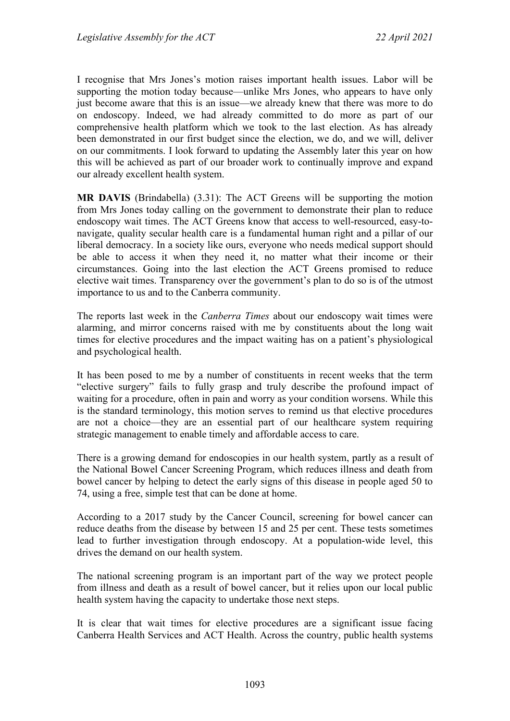I recognise that Mrs Jones's motion raises important health issues. Labor will be supporting the motion today because—unlike Mrs Jones, who appears to have only just become aware that this is an issue—we already knew that there was more to do on endoscopy. Indeed, we had already committed to do more as part of our comprehensive health platform which we took to the last election. As has already been demonstrated in our first budget since the election, we do, and we will, deliver on our commitments. I look forward to updating the Assembly later this year on how this will be achieved as part of our broader work to continually improve and expand our already excellent health system.

**MR DAVIS** (Brindabella) (3.31): The ACT Greens will be supporting the motion from Mrs Jones today calling on the government to demonstrate their plan to reduce endoscopy wait times. The ACT Greens know that access to well-resourced, easy-tonavigate, quality secular health care is a fundamental human right and a pillar of our liberal democracy. In a society like ours, everyone who needs medical support should be able to access it when they need it, no matter what their income or their circumstances. Going into the last election the ACT Greens promised to reduce elective wait times. Transparency over the government's plan to do so is of the utmost importance to us and to the Canberra community.

The reports last week in the *Canberra Times* about our endoscopy wait times were alarming, and mirror concerns raised with me by constituents about the long wait times for elective procedures and the impact waiting has on a patient's physiological and psychological health.

It has been posed to me by a number of constituents in recent weeks that the term "elective surgery" fails to fully grasp and truly describe the profound impact of waiting for a procedure, often in pain and worry as your condition worsens. While this is the standard terminology, this motion serves to remind us that elective procedures are not a choice—they are an essential part of our healthcare system requiring strategic management to enable timely and affordable access to care.

There is a growing demand for endoscopies in our health system, partly as a result of the National Bowel Cancer Screening Program, which reduces illness and death from bowel cancer by helping to detect the early signs of this disease in people aged 50 to 74, using a free, simple test that can be done at home.

According to a 2017 study by the Cancer Council, screening for bowel cancer can reduce deaths from the disease by between 15 and 25 per cent. These tests sometimes lead to further investigation through endoscopy. At a population-wide level, this drives the demand on our health system.

The national screening program is an important part of the way we protect people from illness and death as a result of bowel cancer, but it relies upon our local public health system having the capacity to undertake those next steps.

It is clear that wait times for elective procedures are a significant issue facing Canberra Health Services and ACT Health. Across the country, public health systems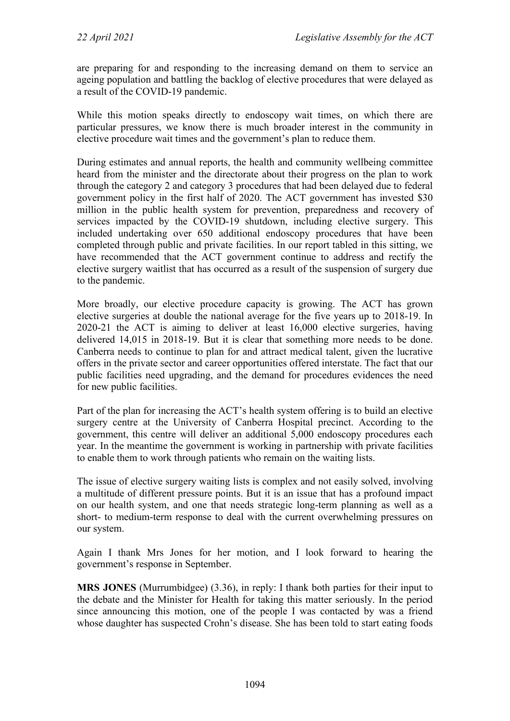are preparing for and responding to the increasing demand on them to service an ageing population and battling the backlog of elective procedures that were delayed as a result of the COVID-19 pandemic.

While this motion speaks directly to endoscopy wait times, on which there are particular pressures, we know there is much broader interest in the community in elective procedure wait times and the government's plan to reduce them.

During estimates and annual reports, the health and community wellbeing committee heard from the minister and the directorate about their progress on the plan to work through the category 2 and category 3 procedures that had been delayed due to federal government policy in the first half of 2020. The ACT government has invested \$30 million in the public health system for prevention, preparedness and recovery of services impacted by the COVID-19 shutdown, including elective surgery. This included undertaking over 650 additional endoscopy procedures that have been completed through public and private facilities. In our report tabled in this sitting, we have recommended that the ACT government continue to address and rectify the elective surgery waitlist that has occurred as a result of the suspension of surgery due to the pandemic.

More broadly, our elective procedure capacity is growing. The ACT has grown elective surgeries at double the national average for the five years up to 2018-19. In 2020-21 the ACT is aiming to deliver at least 16,000 elective surgeries, having delivered 14,015 in 2018-19. But it is clear that something more needs to be done. Canberra needs to continue to plan for and attract medical talent, given the lucrative offers in the private sector and career opportunities offered interstate. The fact that our public facilities need upgrading, and the demand for procedures evidences the need for new public facilities.

Part of the plan for increasing the ACT's health system offering is to build an elective surgery centre at the University of Canberra Hospital precinct. According to the government, this centre will deliver an additional 5,000 endoscopy procedures each year. In the meantime the government is working in partnership with private facilities to enable them to work through patients who remain on the waiting lists.

The issue of elective surgery waiting lists is complex and not easily solved, involving a multitude of different pressure points. But it is an issue that has a profound impact on our health system, and one that needs strategic long-term planning as well as a short- to medium-term response to deal with the current overwhelming pressures on our system.

Again I thank Mrs Jones for her motion, and I look forward to hearing the government's response in September.

**MRS JONES** (Murrumbidgee) (3.36), in reply: I thank both parties for their input to the debate and the Minister for Health for taking this matter seriously. In the period since announcing this motion, one of the people I was contacted by was a friend whose daughter has suspected Crohn's disease. She has been told to start eating foods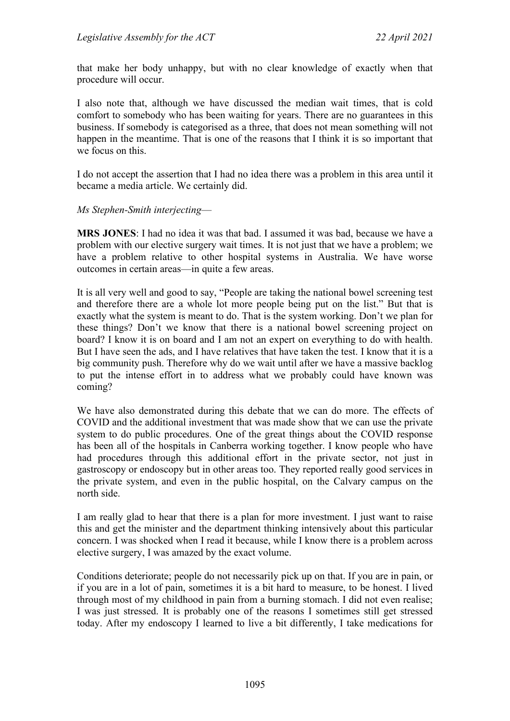that make her body unhappy, but with no clear knowledge of exactly when that procedure will occur.

I also note that, although we have discussed the median wait times, that is cold comfort to somebody who has been waiting for years. There are no guarantees in this business. If somebody is categorised as a three, that does not mean something will not happen in the meantime. That is one of the reasons that I think it is so important that we focus on this.

I do not accept the assertion that I had no idea there was a problem in this area until it became a media article. We certainly did.

*Ms Stephen-Smith interjecting*—

**MRS JONES**: I had no idea it was that bad. I assumed it was bad, because we have a problem with our elective surgery wait times. It is not just that we have a problem; we have a problem relative to other hospital systems in Australia. We have worse outcomes in certain areas—in quite a few areas.

It is all very well and good to say, "People are taking the national bowel screening test and therefore there are a whole lot more people being put on the list." But that is exactly what the system is meant to do. That is the system working. Don't we plan for these things? Don't we know that there is a national bowel screening project on board? I know it is on board and I am not an expert on everything to do with health. But I have seen the ads, and I have relatives that have taken the test. I know that it is a big community push. Therefore why do we wait until after we have a massive backlog to put the intense effort in to address what we probably could have known was coming?

We have also demonstrated during this debate that we can do more. The effects of COVID and the additional investment that was made show that we can use the private system to do public procedures. One of the great things about the COVID response has been all of the hospitals in Canberra working together. I know people who have had procedures through this additional effort in the private sector, not just in gastroscopy or endoscopy but in other areas too. They reported really good services in the private system, and even in the public hospital, on the Calvary campus on the north side.

I am really glad to hear that there is a plan for more investment. I just want to raise this and get the minister and the department thinking intensively about this particular concern. I was shocked when I read it because, while I know there is a problem across elective surgery, I was amazed by the exact volume.

Conditions deteriorate; people do not necessarily pick up on that. If you are in pain, or if you are in a lot of pain, sometimes it is a bit hard to measure, to be honest. I lived through most of my childhood in pain from a burning stomach. I did not even realise; I was just stressed. It is probably one of the reasons I sometimes still get stressed today. After my endoscopy I learned to live a bit differently, I take medications for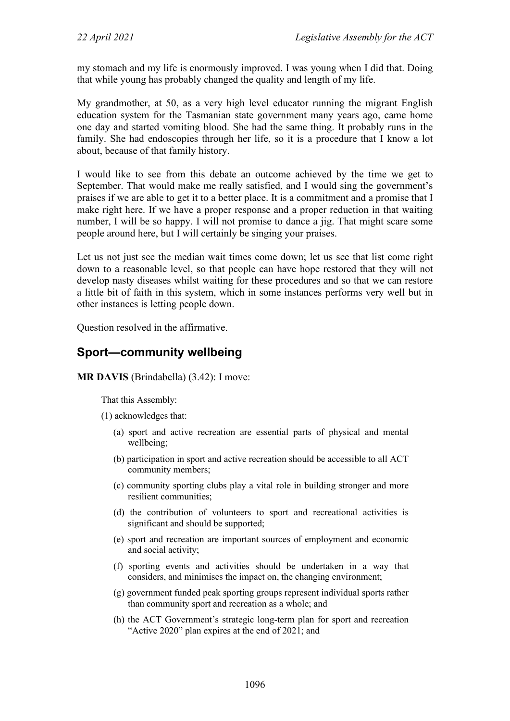my stomach and my life is enormously improved. I was young when I did that. Doing that while young has probably changed the quality and length of my life.

My grandmother, at 50, as a very high level educator running the migrant English education system for the Tasmanian state government many years ago, came home one day and started vomiting blood. She had the same thing. It probably runs in the family. She had endoscopies through her life, so it is a procedure that I know a lot about, because of that family history.

I would like to see from this debate an outcome achieved by the time we get to September. That would make me really satisfied, and I would sing the government's praises if we are able to get it to a better place. It is a commitment and a promise that I make right here. If we have a proper response and a proper reduction in that waiting number, I will be so happy. I will not promise to dance a jig. That might scare some people around here, but I will certainly be singing your praises.

Let us not just see the median wait times come down; let us see that list come right down to a reasonable level, so that people can have hope restored that they will not develop nasty diseases whilst waiting for these procedures and so that we can restore a little bit of faith in this system, which in some instances performs very well but in other instances is letting people down.

Question resolved in the affirmative.

## **Sport—community wellbeing**

**MR DAVIS** (Brindabella) (3.42): I move:

That this Assembly:

- (1) acknowledges that:
	- (a) sport and active recreation are essential parts of physical and mental wellbeing;
	- (b) participation in sport and active recreation should be accessible to all ACT community members;
	- (c) community sporting clubs play a vital role in building stronger and more resilient communities;
	- (d) the contribution of volunteers to sport and recreational activities is significant and should be supported;
	- (e) sport and recreation are important sources of employment and economic and social activity;
	- (f) sporting events and activities should be undertaken in a way that considers, and minimises the impact on, the changing environment;
	- (g) government funded peak sporting groups represent individual sports rather than community sport and recreation as a whole; and
	- (h) the ACT Government's strategic long-term plan for sport and recreation "Active 2020" plan expires at the end of 2021; and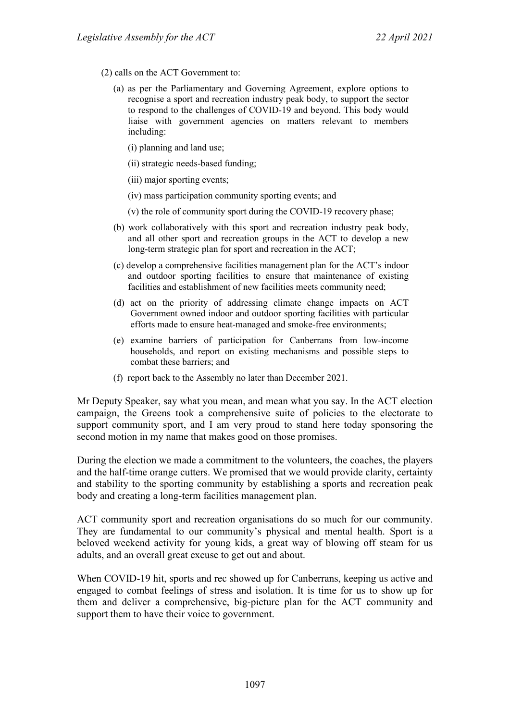- (2) calls on the ACT Government to:
	- (a) as per the Parliamentary and Governing Agreement, explore options to recognise a sport and recreation industry peak body, to support the sector to respond to the challenges of COVID-19 and beyond. This body would liaise with government agencies on matters relevant to members including:
		- (i) planning and land use;
		- (ii) strategic needs-based funding;
		- (iii) major sporting events;
		- (iv) mass participation community sporting events; and
		- (v) the role of community sport during the COVID-19 recovery phase;
	- (b) work collaboratively with this sport and recreation industry peak body, and all other sport and recreation groups in the ACT to develop a new long-term strategic plan for sport and recreation in the ACT;
	- (c) develop a comprehensive facilities management plan for the ACT's indoor and outdoor sporting facilities to ensure that maintenance of existing facilities and establishment of new facilities meets community need;
	- (d) act on the priority of addressing climate change impacts on ACT Government owned indoor and outdoor sporting facilities with particular efforts made to ensure heat-managed and smoke-free environments;
	- (e) examine barriers of participation for Canberrans from low-income households, and report on existing mechanisms and possible steps to combat these barriers; and
	- (f) report back to the Assembly no later than December 2021.

Mr Deputy Speaker, say what you mean, and mean what you say. In the ACT election campaign, the Greens took a comprehensive suite of policies to the electorate to support community sport, and I am very proud to stand here today sponsoring the second motion in my name that makes good on those promises.

During the election we made a commitment to the volunteers, the coaches, the players and the half-time orange cutters. We promised that we would provide clarity, certainty and stability to the sporting community by establishing a sports and recreation peak body and creating a long-term facilities management plan.

ACT community sport and recreation organisations do so much for our community. They are fundamental to our community's physical and mental health. Sport is a beloved weekend activity for young kids, a great way of blowing off steam for us adults, and an overall great excuse to get out and about.

When COVID-19 hit, sports and rec showed up for Canberrans, keeping us active and engaged to combat feelings of stress and isolation. It is time for us to show up for them and deliver a comprehensive, big-picture plan for the ACT community and support them to have their voice to government.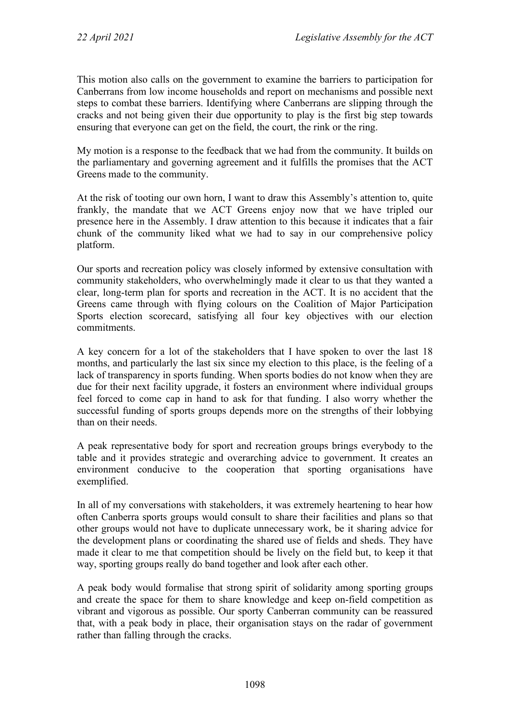This motion also calls on the government to examine the barriers to participation for Canberrans from low income households and report on mechanisms and possible next steps to combat these barriers. Identifying where Canberrans are slipping through the cracks and not being given their due opportunity to play is the first big step towards ensuring that everyone can get on the field, the court, the rink or the ring.

My motion is a response to the feedback that we had from the community. It builds on the parliamentary and governing agreement and it fulfills the promises that the ACT Greens made to the community.

At the risk of tooting our own horn, I want to draw this Assembly's attention to, quite frankly, the mandate that we ACT Greens enjoy now that we have tripled our presence here in the Assembly. I draw attention to this because it indicates that a fair chunk of the community liked what we had to say in our comprehensive policy platform.

Our sports and recreation policy was closely informed by extensive consultation with community stakeholders, who overwhelmingly made it clear to us that they wanted a clear, long-term plan for sports and recreation in the ACT. It is no accident that the Greens came through with flying colours on the Coalition of Major Participation Sports election scorecard, satisfying all four key objectives with our election commitments.

A key concern for a lot of the stakeholders that I have spoken to over the last 18 months, and particularly the last six since my election to this place, is the feeling of a lack of transparency in sports funding. When sports bodies do not know when they are due for their next facility upgrade, it fosters an environment where individual groups feel forced to come cap in hand to ask for that funding. I also worry whether the successful funding of sports groups depends more on the strengths of their lobbying than on their needs.

A peak representative body for sport and recreation groups brings everybody to the table and it provides strategic and overarching advice to government. It creates an environment conducive to the cooperation that sporting organisations have exemplified.

In all of my conversations with stakeholders, it was extremely heartening to hear how often Canberra sports groups would consult to share their facilities and plans so that other groups would not have to duplicate unnecessary work, be it sharing advice for the development plans or coordinating the shared use of fields and sheds. They have made it clear to me that competition should be lively on the field but, to keep it that way, sporting groups really do band together and look after each other.

A peak body would formalise that strong spirit of solidarity among sporting groups and create the space for them to share knowledge and keep on-field competition as vibrant and vigorous as possible. Our sporty Canberran community can be reassured that, with a peak body in place, their organisation stays on the radar of government rather than falling through the cracks.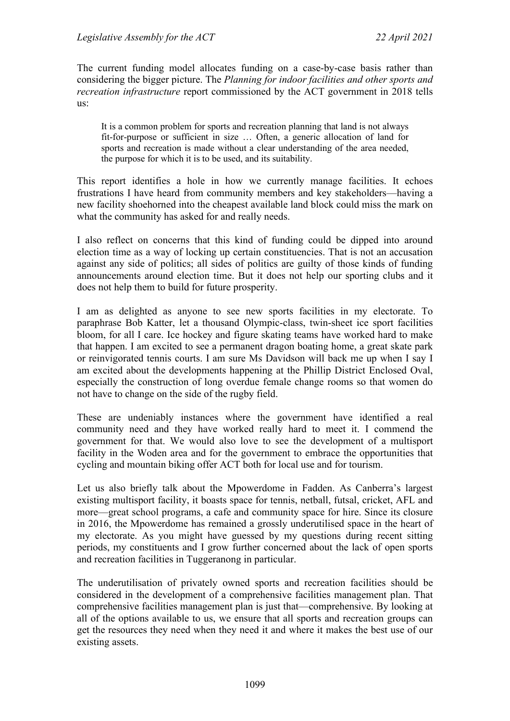The current funding model allocates funding on a case-by-case basis rather than considering the bigger picture. The *Planning for indoor facilities and other sports and recreation infrastructure* report commissioned by the ACT government in 2018 tells us:

It is a common problem for sports and recreation planning that land is not always fit-for-purpose or sufficient in size … Often, a generic allocation of land for sports and recreation is made without a clear understanding of the area needed, the purpose for which it is to be used, and its suitability.

This report identifies a hole in how we currently manage facilities. It echoes frustrations I have heard from community members and key stakeholders—having a new facility shoehorned into the cheapest available land block could miss the mark on what the community has asked for and really needs.

I also reflect on concerns that this kind of funding could be dipped into around election time as a way of locking up certain constituencies. That is not an accusation against any side of politics; all sides of politics are guilty of those kinds of funding announcements around election time. But it does not help our sporting clubs and it does not help them to build for future prosperity.

I am as delighted as anyone to see new sports facilities in my electorate. To paraphrase Bob Katter, let a thousand Olympic-class, twin-sheet ice sport facilities bloom, for all I care. Ice hockey and figure skating teams have worked hard to make that happen. I am excited to see a permanent dragon boating home, a great skate park or reinvigorated tennis courts. I am sure Ms Davidson will back me up when I say I am excited about the developments happening at the Phillip District Enclosed Oval, especially the construction of long overdue female change rooms so that women do not have to change on the side of the rugby field.

These are undeniably instances where the government have identified a real community need and they have worked really hard to meet it. I commend the government for that. We would also love to see the development of a multisport facility in the Woden area and for the government to embrace the opportunities that cycling and mountain biking offer ACT both for local use and for tourism.

Let us also briefly talk about the Mpowerdome in Fadden. As Canberra's largest existing multisport facility, it boasts space for tennis, netball, futsal, cricket, AFL and more—great school programs, a cafe and community space for hire. Since its closure in 2016, the Mpowerdome has remained a grossly underutilised space in the heart of my electorate. As you might have guessed by my questions during recent sitting periods, my constituents and I grow further concerned about the lack of open sports and recreation facilities in Tuggeranong in particular.

The underutilisation of privately owned sports and recreation facilities should be considered in the development of a comprehensive facilities management plan. That comprehensive facilities management plan is just that—comprehensive. By looking at all of the options available to us, we ensure that all sports and recreation groups can get the resources they need when they need it and where it makes the best use of our existing assets.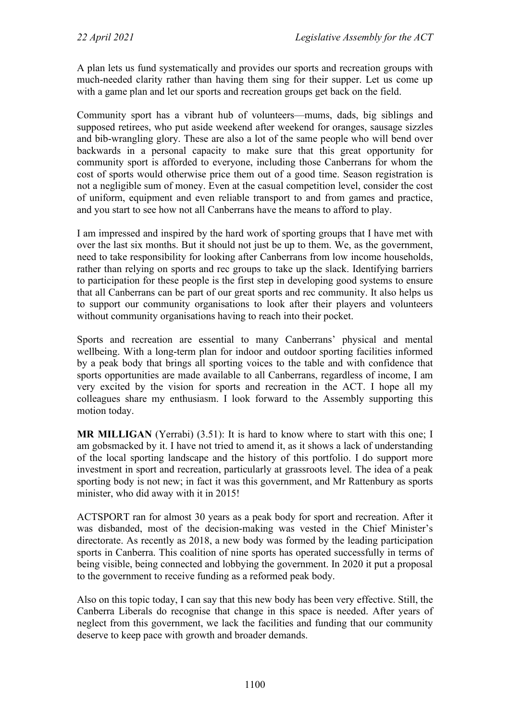A plan lets us fund systematically and provides our sports and recreation groups with much-needed clarity rather than having them sing for their supper. Let us come up with a game plan and let our sports and recreation groups get back on the field.

Community sport has a vibrant hub of volunteers—mums, dads, big siblings and supposed retirees, who put aside weekend after weekend for oranges, sausage sizzles and bib-wrangling glory. These are also a lot of the same people who will bend over backwards in a personal capacity to make sure that this great opportunity for community sport is afforded to everyone, including those Canberrans for whom the cost of sports would otherwise price them out of a good time. Season registration is not a negligible sum of money. Even at the casual competition level, consider the cost of uniform, equipment and even reliable transport to and from games and practice, and you start to see how not all Canberrans have the means to afford to play.

I am impressed and inspired by the hard work of sporting groups that I have met with over the last six months. But it should not just be up to them. We, as the government, need to take responsibility for looking after Canberrans from low income households, rather than relying on sports and rec groups to take up the slack. Identifying barriers to participation for these people is the first step in developing good systems to ensure that all Canberrans can be part of our great sports and rec community. It also helps us to support our community organisations to look after their players and volunteers without community organisations having to reach into their pocket.

Sports and recreation are essential to many Canberrans' physical and mental wellbeing. With a long-term plan for indoor and outdoor sporting facilities informed by a peak body that brings all sporting voices to the table and with confidence that sports opportunities are made available to all Canberrans, regardless of income, I am very excited by the vision for sports and recreation in the ACT. I hope all my colleagues share my enthusiasm. I look forward to the Assembly supporting this motion today.

**MR MILLIGAN** (Yerrabi) (3.51): It is hard to know where to start with this one; I am gobsmacked by it. I have not tried to amend it, as it shows a lack of understanding of the local sporting landscape and the history of this portfolio. I do support more investment in sport and recreation, particularly at grassroots level. The idea of a peak sporting body is not new; in fact it was this government, and Mr Rattenbury as sports minister, who did away with it in 2015!

ACTSPORT ran for almost 30 years as a peak body for sport and recreation. After it was disbanded, most of the decision-making was vested in the Chief Minister's directorate. As recently as 2018, a new body was formed by the leading participation sports in Canberra. This coalition of nine sports has operated successfully in terms of being visible, being connected and lobbying the government. In 2020 it put a proposal to the government to receive funding as a reformed peak body.

Also on this topic today, I can say that this new body has been very effective. Still, the Canberra Liberals do recognise that change in this space is needed. After years of neglect from this government, we lack the facilities and funding that our community deserve to keep pace with growth and broader demands.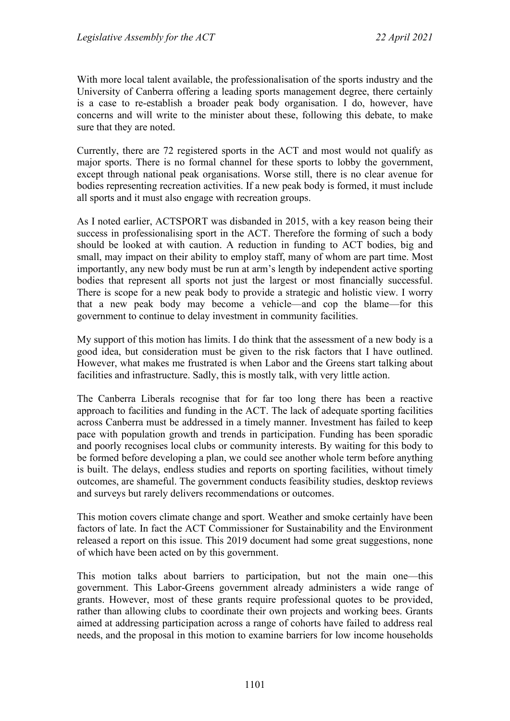With more local talent available, the professionalisation of the sports industry and the University of Canberra offering a leading sports management degree, there certainly is a case to re-establish a broader peak body organisation. I do, however, have concerns and will write to the minister about these, following this debate, to make sure that they are noted.

Currently, there are 72 registered sports in the ACT and most would not qualify as major sports. There is no formal channel for these sports to lobby the government, except through national peak organisations. Worse still, there is no clear avenue for bodies representing recreation activities. If a new peak body is formed, it must include all sports and it must also engage with recreation groups.

As I noted earlier, ACTSPORT was disbanded in 2015, with a key reason being their success in professionalising sport in the ACT. Therefore the forming of such a body should be looked at with caution. A reduction in funding to ACT bodies, big and small, may impact on their ability to employ staff, many of whom are part time. Most importantly, any new body must be run at arm's length by independent active sporting bodies that represent all sports not just the largest or most financially successful. There is scope for a new peak body to provide a strategic and holistic view. I worry that a new peak body may become a vehicle—and cop the blame—for this government to continue to delay investment in community facilities.

My support of this motion has limits. I do think that the assessment of a new body is a good idea, but consideration must be given to the risk factors that I have outlined. However, what makes me frustrated is when Labor and the Greens start talking about facilities and infrastructure. Sadly, this is mostly talk, with very little action.

The Canberra Liberals recognise that for far too long there has been a reactive approach to facilities and funding in the ACT. The lack of adequate sporting facilities across Canberra must be addressed in a timely manner. Investment has failed to keep pace with population growth and trends in participation. Funding has been sporadic and poorly recognises local clubs or community interests. By waiting for this body to be formed before developing a plan, we could see another whole term before anything is built. The delays, endless studies and reports on sporting facilities, without timely outcomes, are shameful. The government conducts feasibility studies, desktop reviews and surveys but rarely delivers recommendations or outcomes.

This motion covers climate change and sport. Weather and smoke certainly have been factors of late. In fact the ACT Commissioner for Sustainability and the Environment released a report on this issue. This 2019 document had some great suggestions, none of which have been acted on by this government.

This motion talks about barriers to participation, but not the main one—this government. This Labor-Greens government already administers a wide range of grants. However, most of these grants require professional quotes to be provided, rather than allowing clubs to coordinate their own projects and working bees. Grants aimed at addressing participation across a range of cohorts have failed to address real needs, and the proposal in this motion to examine barriers for low income households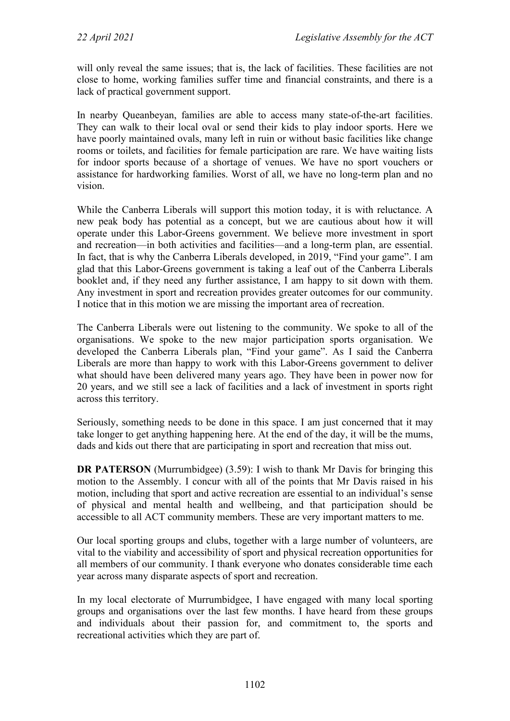will only reveal the same issues; that is, the lack of facilities. These facilities are not close to home, working families suffer time and financial constraints, and there is a lack of practical government support.

In nearby Queanbeyan, families are able to access many state-of-the-art facilities. They can walk to their local oval or send their kids to play indoor sports. Here we have poorly maintained ovals, many left in ruin or without basic facilities like change rooms or toilets, and facilities for female participation are rare. We have waiting lists for indoor sports because of a shortage of venues. We have no sport vouchers or assistance for hardworking families. Worst of all, we have no long-term plan and no vision.

While the Canberra Liberals will support this motion today, it is with reluctance. A new peak body has potential as a concept, but we are cautious about how it will operate under this Labor-Greens government. We believe more investment in sport and recreation—in both activities and facilities—and a long-term plan, are essential. In fact, that is why the Canberra Liberals developed, in 2019, "Find your game". I am glad that this Labor-Greens government is taking a leaf out of the Canberra Liberals booklet and, if they need any further assistance, I am happy to sit down with them. Any investment in sport and recreation provides greater outcomes for our community. I notice that in this motion we are missing the important area of recreation.

The Canberra Liberals were out listening to the community. We spoke to all of the organisations. We spoke to the new major participation sports organisation. We developed the Canberra Liberals plan, "Find your game". As I said the Canberra Liberals are more than happy to work with this Labor-Greens government to deliver what should have been delivered many years ago. They have been in power now for 20 years, and we still see a lack of facilities and a lack of investment in sports right across this territory.

Seriously, something needs to be done in this space. I am just concerned that it may take longer to get anything happening here. At the end of the day, it will be the mums, dads and kids out there that are participating in sport and recreation that miss out.

**DR PATERSON** (Murrumbidgee) (3.59): I wish to thank Mr Davis for bringing this motion to the Assembly. I concur with all of the points that Mr Davis raised in his motion, including that sport and active recreation are essential to an individual's sense of physical and mental health and wellbeing, and that participation should be accessible to all ACT community members. These are very important matters to me.

Our local sporting groups and clubs, together with a large number of volunteers, are vital to the viability and accessibility of sport and physical recreation opportunities for all members of our community. I thank everyone who donates considerable time each year across many disparate aspects of sport and recreation.

In my local electorate of Murrumbidgee, I have engaged with many local sporting groups and organisations over the last few months. I have heard from these groups and individuals about their passion for, and commitment to, the sports and recreational activities which they are part of.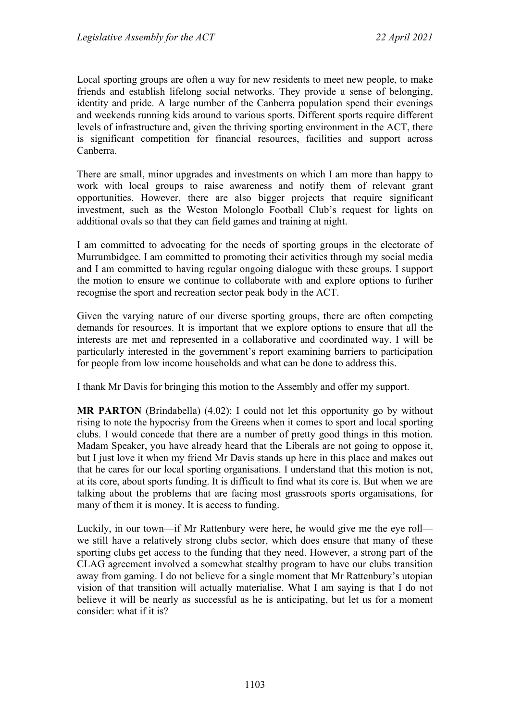Local sporting groups are often a way for new residents to meet new people, to make friends and establish lifelong social networks. They provide a sense of belonging, identity and pride. A large number of the Canberra population spend their evenings and weekends running kids around to various sports. Different sports require different levels of infrastructure and, given the thriving sporting environment in the ACT, there is significant competition for financial resources, facilities and support across Canberra.

There are small, minor upgrades and investments on which I am more than happy to work with local groups to raise awareness and notify them of relevant grant opportunities. However, there are also bigger projects that require significant investment, such as the Weston Molonglo Football Club's request for lights on additional ovals so that they can field games and training at night.

I am committed to advocating for the needs of sporting groups in the electorate of Murrumbidgee. I am committed to promoting their activities through my social media and I am committed to having regular ongoing dialogue with these groups. I support the motion to ensure we continue to collaborate with and explore options to further recognise the sport and recreation sector peak body in the ACT.

Given the varying nature of our diverse sporting groups, there are often competing demands for resources. It is important that we explore options to ensure that all the interests are met and represented in a collaborative and coordinated way. I will be particularly interested in the government's report examining barriers to participation for people from low income households and what can be done to address this.

I thank Mr Davis for bringing this motion to the Assembly and offer my support.

**MR PARTON** (Brindabella) (4.02): I could not let this opportunity go by without rising to note the hypocrisy from the Greens when it comes to sport and local sporting clubs. I would concede that there are a number of pretty good things in this motion. Madam Speaker, you have already heard that the Liberals are not going to oppose it, but I just love it when my friend Mr Davis stands up here in this place and makes out that he cares for our local sporting organisations. I understand that this motion is not, at its core, about sports funding. It is difficult to find what its core is. But when we are talking about the problems that are facing most grassroots sports organisations, for many of them it is money. It is access to funding.

Luckily, in our town—if Mr Rattenbury were here, he would give me the eye roll we still have a relatively strong clubs sector, which does ensure that many of these sporting clubs get access to the funding that they need. However, a strong part of the CLAG agreement involved a somewhat stealthy program to have our clubs transition away from gaming. I do not believe for a single moment that Mr Rattenbury's utopian vision of that transition will actually materialise. What I am saying is that I do not believe it will be nearly as successful as he is anticipating, but let us for a moment consider: what if it is?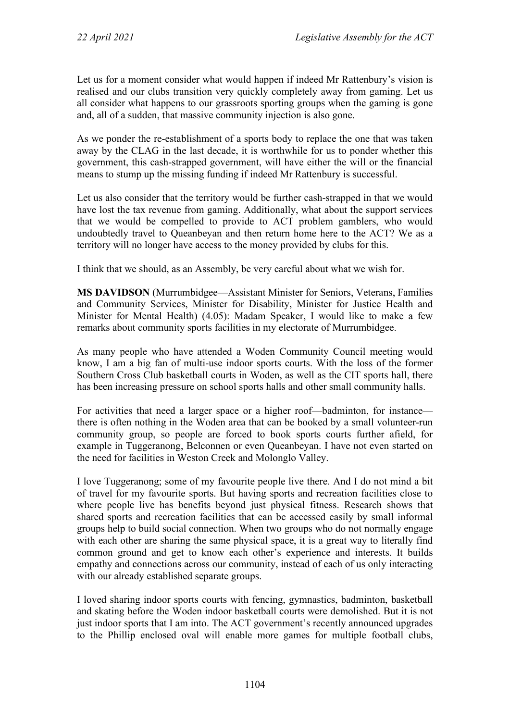Let us for a moment consider what would happen if indeed Mr Rattenbury's vision is realised and our clubs transition very quickly completely away from gaming. Let us all consider what happens to our grassroots sporting groups when the gaming is gone and, all of a sudden, that massive community injection is also gone.

As we ponder the re-establishment of a sports body to replace the one that was taken away by the CLAG in the last decade, it is worthwhile for us to ponder whether this government, this cash-strapped government, will have either the will or the financial means to stump up the missing funding if indeed Mr Rattenbury is successful.

Let us also consider that the territory would be further cash-strapped in that we would have lost the tax revenue from gaming. Additionally, what about the support services that we would be compelled to provide to ACT problem gamblers, who would undoubtedly travel to Queanbeyan and then return home here to the ACT? We as a territory will no longer have access to the money provided by clubs for this.

I think that we should, as an Assembly, be very careful about what we wish for.

**MS DAVIDSON** (Murrumbidgee—Assistant Minister for Seniors, Veterans, Families and Community Services, Minister for Disability, Minister for Justice Health and Minister for Mental Health) (4.05): Madam Speaker, I would like to make a few remarks about community sports facilities in my electorate of Murrumbidgee.

As many people who have attended a Woden Community Council meeting would know, I am a big fan of multi-use indoor sports courts. With the loss of the former Southern Cross Club basketball courts in Woden, as well as the CIT sports hall, there has been increasing pressure on school sports halls and other small community halls.

For activities that need a larger space or a higher roof—badminton, for instance there is often nothing in the Woden area that can be booked by a small volunteer-run community group, so people are forced to book sports courts further afield, for example in Tuggeranong, Belconnen or even Queanbeyan. I have not even started on the need for facilities in Weston Creek and Molonglo Valley.

I love Tuggeranong; some of my favourite people live there. And I do not mind a bit of travel for my favourite sports. But having sports and recreation facilities close to where people live has benefits beyond just physical fitness. Research shows that shared sports and recreation facilities that can be accessed easily by small informal groups help to build social connection. When two groups who do not normally engage with each other are sharing the same physical space, it is a great way to literally find common ground and get to know each other's experience and interests. It builds empathy and connections across our community, instead of each of us only interacting with our already established separate groups.

I loved sharing indoor sports courts with fencing, gymnastics, badminton, basketball and skating before the Woden indoor basketball courts were demolished. But it is not just indoor sports that I am into. The ACT government's recently announced upgrades to the Phillip enclosed oval will enable more games for multiple football clubs,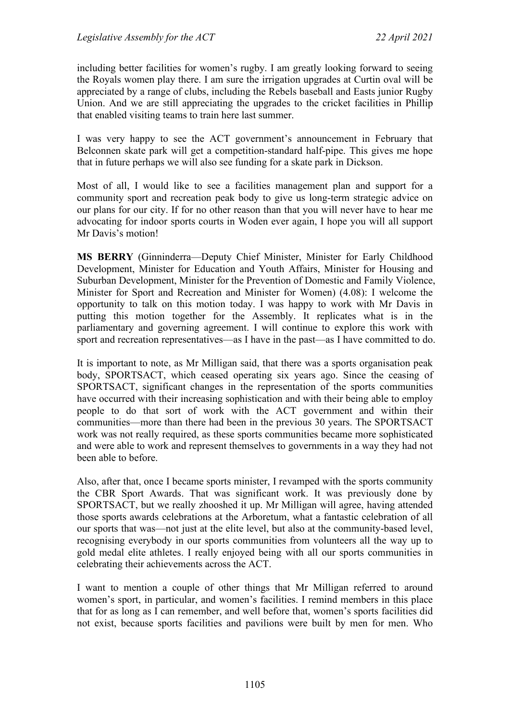including better facilities for women's rugby. I am greatly looking forward to seeing the Royals women play there. I am sure the irrigation upgrades at Curtin oval will be appreciated by a range of clubs, including the Rebels baseball and Easts junior Rugby Union. And we are still appreciating the upgrades to the cricket facilities in Phillip that enabled visiting teams to train here last summer.

I was very happy to see the ACT government's announcement in February that Belconnen skate park will get a competition-standard half-pipe. This gives me hope that in future perhaps we will also see funding for a skate park in Dickson.

Most of all, I would like to see a facilities management plan and support for a community sport and recreation peak body to give us long-term strategic advice on our plans for our city. If for no other reason than that you will never have to hear me advocating for indoor sports courts in Woden ever again, I hope you will all support Mr Davis's motion!

**MS BERRY** (Ginninderra—Deputy Chief Minister, Minister for Early Childhood Development, Minister for Education and Youth Affairs, Minister for Housing and Suburban Development, Minister for the Prevention of Domestic and Family Violence, Minister for Sport and Recreation and Minister for Women) (4.08): I welcome the opportunity to talk on this motion today. I was happy to work with Mr Davis in putting this motion together for the Assembly. It replicates what is in the parliamentary and governing agreement. I will continue to explore this work with sport and recreation representatives—as I have in the past—as I have committed to do.

It is important to note, as Mr Milligan said, that there was a sports organisation peak body, SPORTSACT, which ceased operating six years ago. Since the ceasing of SPORTSACT, significant changes in the representation of the sports communities have occurred with their increasing sophistication and with their being able to employ people to do that sort of work with the ACT government and within their communities—more than there had been in the previous 30 years. The SPORTSACT work was not really required, as these sports communities became more sophisticated and were able to work and represent themselves to governments in a way they had not been able to before.

Also, after that, once I became sports minister, I revamped with the sports community the CBR Sport Awards. That was significant work. It was previously done by SPORTSACT, but we really zhooshed it up. Mr Milligan will agree, having attended those sports awards celebrations at the Arboretum, what a fantastic celebration of all our sports that was—not just at the elite level, but also at the community-based level, recognising everybody in our sports communities from volunteers all the way up to gold medal elite athletes. I really enjoyed being with all our sports communities in celebrating their achievements across the ACT.

I want to mention a couple of other things that Mr Milligan referred to around women's sport, in particular, and women's facilities. I remind members in this place that for as long as I can remember, and well before that, women's sports facilities did not exist, because sports facilities and pavilions were built by men for men. Who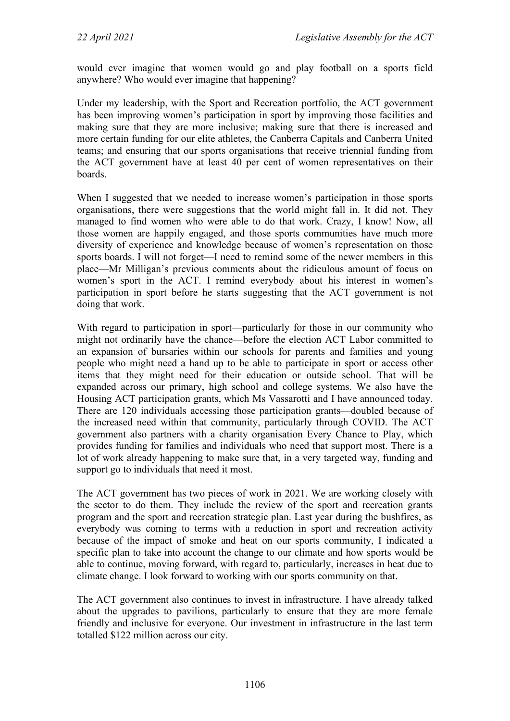would ever imagine that women would go and play football on a sports field anywhere? Who would ever imagine that happening?

Under my leadership, with the Sport and Recreation portfolio, the ACT government has been improving women's participation in sport by improving those facilities and making sure that they are more inclusive; making sure that there is increased and more certain funding for our elite athletes, the Canberra Capitals and Canberra United teams; and ensuring that our sports organisations that receive triennial funding from the ACT government have at least 40 per cent of women representatives on their boards.

When I suggested that we needed to increase women's participation in those sports organisations, there were suggestions that the world might fall in. It did not. They managed to find women who were able to do that work. Crazy, I know! Now, all those women are happily engaged, and those sports communities have much more diversity of experience and knowledge because of women's representation on those sports boards. I will not forget—I need to remind some of the newer members in this place—Mr Milligan's previous comments about the ridiculous amount of focus on women's sport in the ACT. I remind everybody about his interest in women's participation in sport before he starts suggesting that the ACT government is not doing that work.

With regard to participation in sport—particularly for those in our community who might not ordinarily have the chance—before the election ACT Labor committed to an expansion of bursaries within our schools for parents and families and young people who might need a hand up to be able to participate in sport or access other items that they might need for their education or outside school. That will be expanded across our primary, high school and college systems. We also have the Housing ACT participation grants, which Ms Vassarotti and I have announced today. There are 120 individuals accessing those participation grants—doubled because of the increased need within that community, particularly through COVID. The ACT government also partners with a charity organisation Every Chance to Play, which provides funding for families and individuals who need that support most. There is a lot of work already happening to make sure that, in a very targeted way, funding and support go to individuals that need it most.

The ACT government has two pieces of work in 2021. We are working closely with the sector to do them. They include the review of the sport and recreation grants program and the sport and recreation strategic plan. Last year during the bushfires, as everybody was coming to terms with a reduction in sport and recreation activity because of the impact of smoke and heat on our sports community, I indicated a specific plan to take into account the change to our climate and how sports would be able to continue, moving forward, with regard to, particularly, increases in heat due to climate change. I look forward to working with our sports community on that.

The ACT government also continues to invest in infrastructure. I have already talked about the upgrades to pavilions, particularly to ensure that they are more female friendly and inclusive for everyone. Our investment in infrastructure in the last term totalled \$122 million across our city.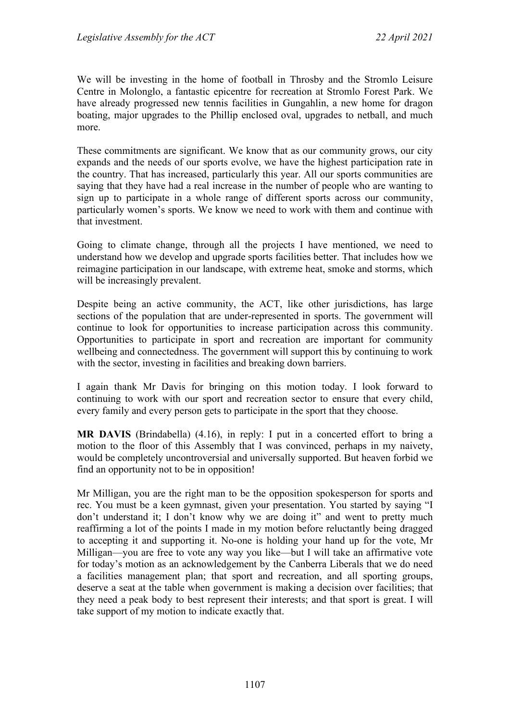We will be investing in the home of football in Throsby and the Stromlo Leisure Centre in Molonglo, a fantastic epicentre for recreation at Stromlo Forest Park. We have already progressed new tennis facilities in Gungahlin, a new home for dragon boating, major upgrades to the Phillip enclosed oval, upgrades to netball, and much more.

These commitments are significant. We know that as our community grows, our city expands and the needs of our sports evolve, we have the highest participation rate in the country. That has increased, particularly this year. All our sports communities are saying that they have had a real increase in the number of people who are wanting to sign up to participate in a whole range of different sports across our community, particularly women's sports. We know we need to work with them and continue with that investment.

Going to climate change, through all the projects I have mentioned, we need to understand how we develop and upgrade sports facilities better. That includes how we reimagine participation in our landscape, with extreme heat, smoke and storms, which will be increasingly prevalent.

Despite being an active community, the ACT, like other jurisdictions, has large sections of the population that are under-represented in sports. The government will continue to look for opportunities to increase participation across this community. Opportunities to participate in sport and recreation are important for community wellbeing and connectedness. The government will support this by continuing to work with the sector, investing in facilities and breaking down barriers.

I again thank Mr Davis for bringing on this motion today. I look forward to continuing to work with our sport and recreation sector to ensure that every child, every family and every person gets to participate in the sport that they choose.

**MR DAVIS** (Brindabella) (4.16), in reply: I put in a concerted effort to bring a motion to the floor of this Assembly that I was convinced, perhaps in my naivety, would be completely uncontroversial and universally supported. But heaven forbid we find an opportunity not to be in opposition!

Mr Milligan, you are the right man to be the opposition spokesperson for sports and rec. You must be a keen gymnast, given your presentation. You started by saying "I don't understand it; I don't know why we are doing it" and went to pretty much reaffirming a lot of the points I made in my motion before reluctantly being dragged to accepting it and supporting it. No-one is holding your hand up for the vote, Mr Milligan—you are free to vote any way you like—but I will take an affirmative vote for today's motion as an acknowledgement by the Canberra Liberals that we do need a facilities management plan; that sport and recreation, and all sporting groups, deserve a seat at the table when government is making a decision over facilities; that they need a peak body to best represent their interests; and that sport is great. I will take support of my motion to indicate exactly that.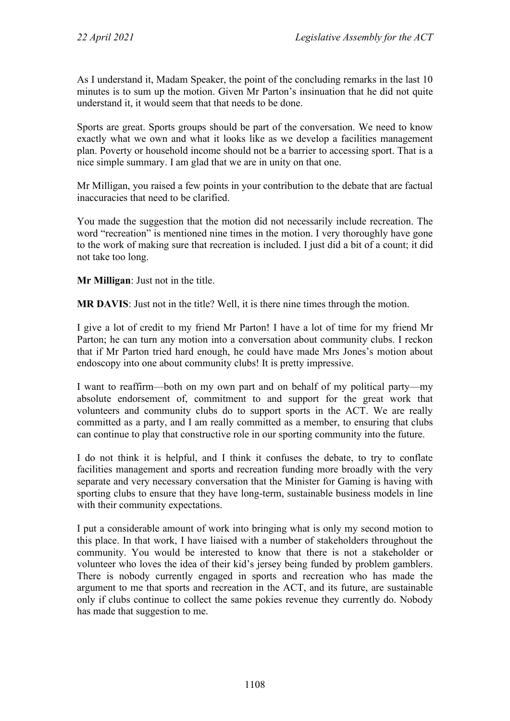As I understand it, Madam Speaker, the point of the concluding remarks in the last 10 minutes is to sum up the motion. Given Mr Parton's insinuation that he did not quite understand it, it would seem that that needs to be done.

Sports are great. Sports groups should be part of the conversation. We need to know exactly what we own and what it looks like as we develop a facilities management plan. Poverty or household income should not be a barrier to accessing sport. That is a nice simple summary. I am glad that we are in unity on that one.

Mr Milligan, you raised a few points in your contribution to the debate that are factual inaccuracies that need to be clarified.

You made the suggestion that the motion did not necessarily include recreation. The word "recreation" is mentioned nine times in the motion. I very thoroughly have gone to the work of making sure that recreation is included. I just did a bit of a count; it did not take too long.

**Mr Milligan**: Just not in the title.

**MR DAVIS**: Just not in the title? Well, it is there nine times through the motion.

I give a lot of credit to my friend Mr Parton! I have a lot of time for my friend Mr Parton; he can turn any motion into a conversation about community clubs. I reckon that if Mr Parton tried hard enough, he could have made Mrs Jones's motion about endoscopy into one about community clubs! It is pretty impressive.

I want to reaffirm—both on my own part and on behalf of my political party—my absolute endorsement of, commitment to and support for the great work that volunteers and community clubs do to support sports in the ACT. We are really committed as a party, and I am really committed as a member, to ensuring that clubs can continue to play that constructive role in our sporting community into the future.

I do not think it is helpful, and I think it confuses the debate, to try to conflate facilities management and sports and recreation funding more broadly with the very separate and very necessary conversation that the Minister for Gaming is having with sporting clubs to ensure that they have long-term, sustainable business models in line with their community expectations.

I put a considerable amount of work into bringing what is only my second motion to this place. In that work, I have liaised with a number of stakeholders throughout the community. You would be interested to know that there is not a stakeholder or volunteer who loves the idea of their kid's jersey being funded by problem gamblers. There is nobody currently engaged in sports and recreation who has made the argument to me that sports and recreation in the ACT, and its future, are sustainable only if clubs continue to collect the same pokies revenue they currently do. Nobody has made that suggestion to me.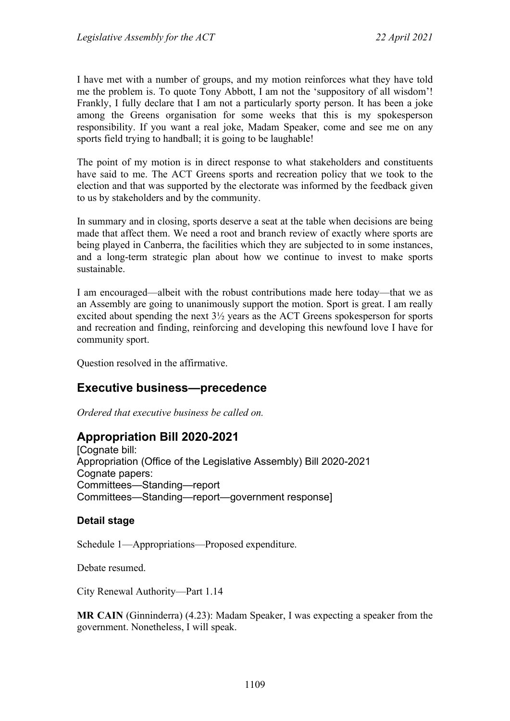I have met with a number of groups, and my motion reinforces what they have told me the problem is. To quote Tony Abbott, I am not the 'suppository of all wisdom'! Frankly, I fully declare that I am not a particularly sporty person. It has been a joke among the Greens organisation for some weeks that this is my spokesperson responsibility. If you want a real joke, Madam Speaker, come and see me on any sports field trying to handball; it is going to be laughable!

The point of my motion is in direct response to what stakeholders and constituents have said to me. The ACT Greens sports and recreation policy that we took to the election and that was supported by the electorate was informed by the feedback given to us by stakeholders and by the community.

In summary and in closing, sports deserve a seat at the table when decisions are being made that affect them. We need a root and branch review of exactly where sports are being played in Canberra, the facilities which they are subjected to in some instances, and a long-term strategic plan about how we continue to invest to make sports sustainable.

I am encouraged—albeit with the robust contributions made here today—that we as an Assembly are going to unanimously support the motion. Sport is great. I am really excited about spending the next 3½ years as the ACT Greens spokesperson for sports and recreation and finding, reinforcing and developing this newfound love I have for community sport.

Question resolved in the affirmative.

## **Executive business—precedence**

*Ordered that executive business be called on.*

# **Appropriation Bill 2020-2021**

[Cognate bill: Appropriation (Office of the Legislative Assembly) Bill 2020-2021 Cognate papers: Committees—Standing—report Committees—Standing—report—government response]

## **Detail stage**

Schedule 1—Appropriations—Proposed expenditure.

Debate resumed.

City Renewal Authority—Part 1.14

**MR CAIN** (Ginninderra) (4.23): Madam Speaker, I was expecting a speaker from the government. Nonetheless, I will speak.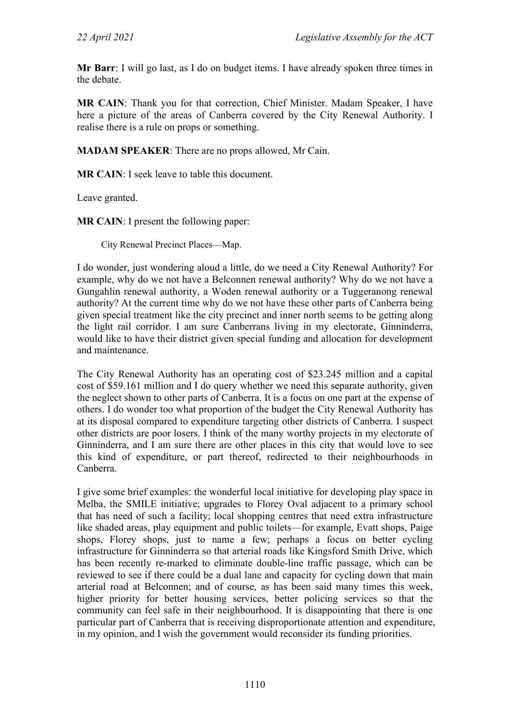**Mr Barr**: I will go last, as I do on budget items. I have already spoken three times in the debate.

**MR CAIN**: Thank you for that correction, Chief Minister. Madam Speaker, I have here a picture of the areas of Canberra covered by the City Renewal Authority. I realise there is a rule on props or something.

**MADAM SPEAKER**: There are no props allowed, Mr Cain.

**MR CAIN**: I seek leave to table this document.

Leave granted.

**MR CAIN**: I present the following paper:

City Renewal Precinct Places—Map.

I do wonder, just wondering aloud a little, do we need a City Renewal Authority? For example, why do we not have a Belconnen renewal authority? Why do we not have a Gungahlin renewal authority, a Woden renewal authority or a Tuggeranong renewal authority? At the current time why do we not have these other parts of Canberra being given special treatment like the city precinct and inner north seems to be getting along the light rail corridor. I am sure Canberrans living in my electorate, Ginninderra, would like to have their district given special funding and allocation for development and maintenance.

The City Renewal Authority has an operating cost of \$23.245 million and a capital cost of \$59.161 million and I do query whether we need this separate authority, given the neglect shown to other parts of Canberra. It is a focus on one part at the expense of others. I do wonder too what proportion of the budget the City Renewal Authority has at its disposal compared to expenditure targeting other districts of Canberra. I suspect other districts are poor losers. I think of the many worthy projects in my electorate of Ginninderra, and I am sure there are other places in this city that would love to see this kind of expenditure, or part thereof, redirected to their neighbourhoods in Canberra.

I give some brief examples: the wonderful local initiative for developing play space in Melba, the SMILE initiative; upgrades to Florey Oval adjacent to a primary school that has need of such a facility; local shopping centres that need extra infrastructure like shaded areas, play equipment and public toilets—for example, Evatt shops, Paige shops, Florey shops, just to name a few; perhaps a focus on better cycling infrastructure for Ginninderra so that arterial roads like Kingsford Smith Drive, which has been recently re-marked to eliminate double-line traffic passage, which can be reviewed to see if there could be a dual lane and capacity for cycling down that main arterial road at Belconnen; and of course, as has been said many times this week, higher priority for better housing services, better policing services so that the community can feel safe in their neighbourhood. It is disappointing that there is one particular part of Canberra that is receiving disproportionate attention and expenditure, in my opinion, and I wish the government would reconsider its funding priorities.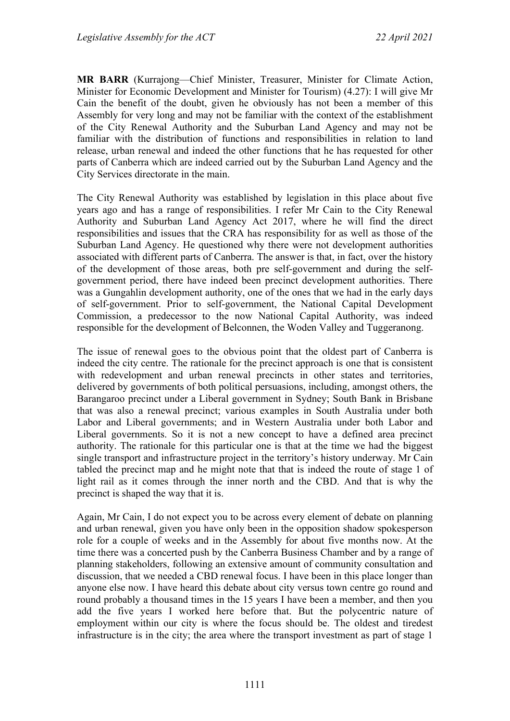**MR BARR** (Kurrajong—Chief Minister, Treasurer, Minister for Climate Action, Minister for Economic Development and Minister for Tourism) (4.27): I will give Mr Cain the benefit of the doubt, given he obviously has not been a member of this Assembly for very long and may not be familiar with the context of the establishment of the City Renewal Authority and the Suburban Land Agency and may not be familiar with the distribution of functions and responsibilities in relation to land release, urban renewal and indeed the other functions that he has requested for other parts of Canberra which are indeed carried out by the Suburban Land Agency and the City Services directorate in the main.

The City Renewal Authority was established by legislation in this place about five years ago and has a range of responsibilities. I refer Mr Cain to the City Renewal Authority and Suburban Land Agency Act 2017, where he will find the direct responsibilities and issues that the CRA has responsibility for as well as those of the Suburban Land Agency. He questioned why there were not development authorities associated with different parts of Canberra. The answer is that, in fact, over the history of the development of those areas, both pre self-government and during the selfgovernment period, there have indeed been precinct development authorities. There was a Gungahlin development authority, one of the ones that we had in the early days of self-government. Prior to self-government, the National Capital Development Commission, a predecessor to the now National Capital Authority, was indeed responsible for the development of Belconnen, the Woden Valley and Tuggeranong.

The issue of renewal goes to the obvious point that the oldest part of Canberra is indeed the city centre. The rationale for the precinct approach is one that is consistent with redevelopment and urban renewal precincts in other states and territories, delivered by governments of both political persuasions, including, amongst others, the Barangaroo precinct under a Liberal government in Sydney; South Bank in Brisbane that was also a renewal precinct; various examples in South Australia under both Labor and Liberal governments; and in Western Australia under both Labor and Liberal governments. So it is not a new concept to have a defined area precinct authority. The rationale for this particular one is that at the time we had the biggest single transport and infrastructure project in the territory's history underway. Mr Cain tabled the precinct map and he might note that that is indeed the route of stage 1 of light rail as it comes through the inner north and the CBD. And that is why the precinct is shaped the way that it is.

Again, Mr Cain, I do not expect you to be across every element of debate on planning and urban renewal, given you have only been in the opposition shadow spokesperson role for a couple of weeks and in the Assembly for about five months now. At the time there was a concerted push by the Canberra Business Chamber and by a range of planning stakeholders, following an extensive amount of community consultation and discussion, that we needed a CBD renewal focus. I have been in this place longer than anyone else now. I have heard this debate about city versus town centre go round and round probably a thousand times in the 15 years I have been a member, and then you add the five years I worked here before that. But the polycentric nature of employment within our city is where the focus should be. The oldest and tiredest infrastructure is in the city; the area where the transport investment as part of stage 1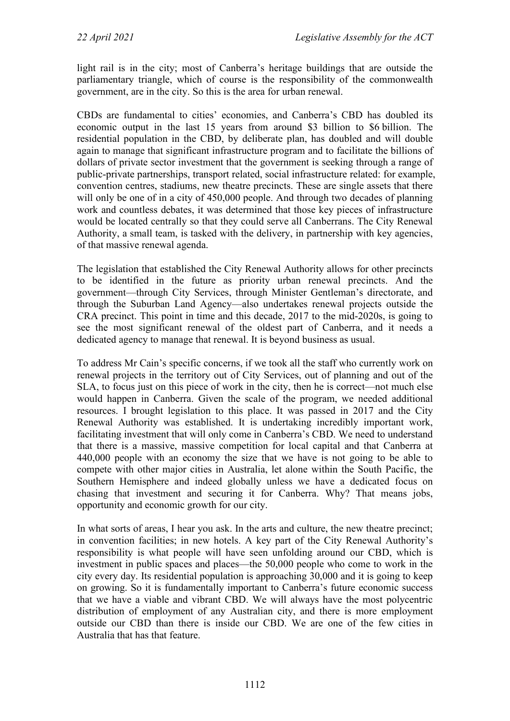light rail is in the city; most of Canberra's heritage buildings that are outside the parliamentary triangle, which of course is the responsibility of the commonwealth government, are in the city. So this is the area for urban renewal.

CBDs are fundamental to cities' economies, and Canberra's CBD has doubled its economic output in the last 15 years from around \$3 billion to \$6 billion. The residential population in the CBD, by deliberate plan, has doubled and will double again to manage that significant infrastructure program and to facilitate the billions of dollars of private sector investment that the government is seeking through a range of public-private partnerships, transport related, social infrastructure related: for example, convention centres, stadiums, new theatre precincts. These are single assets that there will only be one of in a city of 450,000 people. And through two decades of planning work and countless debates, it was determined that those key pieces of infrastructure would be located centrally so that they could serve all Canberrans. The City Renewal Authority, a small team, is tasked with the delivery, in partnership with key agencies, of that massive renewal agenda.

The legislation that established the City Renewal Authority allows for other precincts to be identified in the future as priority urban renewal precincts. And the government—through City Services, through Minister Gentleman's directorate, and through the Suburban Land Agency—also undertakes renewal projects outside the CRA precinct. This point in time and this decade, 2017 to the mid-2020s, is going to see the most significant renewal of the oldest part of Canberra, and it needs a dedicated agency to manage that renewal. It is beyond business as usual.

To address Mr Cain's specific concerns, if we took all the staff who currently work on renewal projects in the territory out of City Services, out of planning and out of the SLA, to focus just on this piece of work in the city, then he is correct—not much else would happen in Canberra. Given the scale of the program, we needed additional resources. I brought legislation to this place. It was passed in 2017 and the City Renewal Authority was established. It is undertaking incredibly important work, facilitating investment that will only come in Canberra's CBD. We need to understand that there is a massive, massive competition for local capital and that Canberra at 440,000 people with an economy the size that we have is not going to be able to compete with other major cities in Australia, let alone within the South Pacific, the Southern Hemisphere and indeed globally unless we have a dedicated focus on chasing that investment and securing it for Canberra. Why? That means jobs, opportunity and economic growth for our city.

In what sorts of areas, I hear you ask. In the arts and culture, the new theatre precinct; in convention facilities; in new hotels. A key part of the City Renewal Authority's responsibility is what people will have seen unfolding around our CBD, which is investment in public spaces and places—the 50,000 people who come to work in the city every day. Its residential population is approaching 30,000 and it is going to keep on growing. So it is fundamentally important to Canberra's future economic success that we have a viable and vibrant CBD. We will always have the most polycentric distribution of employment of any Australian city, and there is more employment outside our CBD than there is inside our CBD. We are one of the few cities in Australia that has that feature.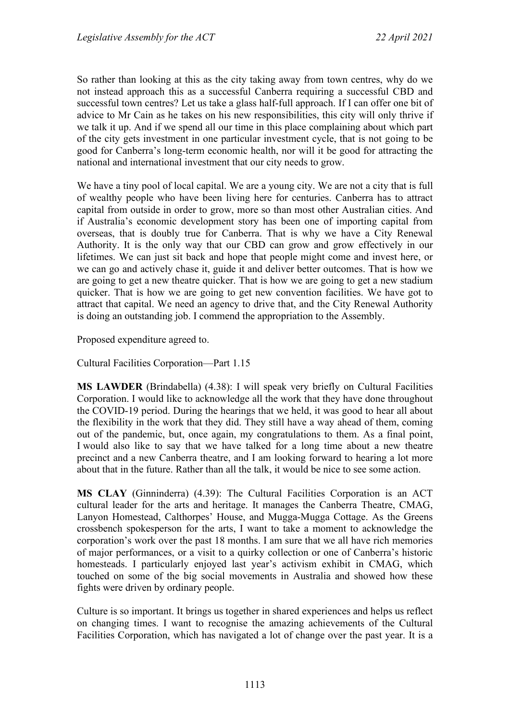So rather than looking at this as the city taking away from town centres, why do we not instead approach this as a successful Canberra requiring a successful CBD and successful town centres? Let us take a glass half-full approach. If I can offer one bit of advice to Mr Cain as he takes on his new responsibilities, this city will only thrive if we talk it up. And if we spend all our time in this place complaining about which part of the city gets investment in one particular investment cycle, that is not going to be good for Canberra's long-term economic health, nor will it be good for attracting the national and international investment that our city needs to grow.

We have a tiny pool of local capital. We are a young city. We are not a city that is full of wealthy people who have been living here for centuries. Canberra has to attract capital from outside in order to grow, more so than most other Australian cities. And if Australia's economic development story has been one of importing capital from overseas, that is doubly true for Canberra. That is why we have a City Renewal Authority. It is the only way that our CBD can grow and grow effectively in our lifetimes. We can just sit back and hope that people might come and invest here, or we can go and actively chase it, guide it and deliver better outcomes. That is how we are going to get a new theatre quicker. That is how we are going to get a new stadium quicker. That is how we are going to get new convention facilities. We have got to attract that capital. We need an agency to drive that, and the City Renewal Authority is doing an outstanding job. I commend the appropriation to the Assembly.

Proposed expenditure agreed to.

Cultural Facilities Corporation—Part 1.15

**MS LAWDER** (Brindabella) (4.38): I will speak very briefly on Cultural Facilities Corporation. I would like to acknowledge all the work that they have done throughout the COVID-19 period. During the hearings that we held, it was good to hear all about the flexibility in the work that they did. They still have a way ahead of them, coming out of the pandemic, but, once again, my congratulations to them. As a final point, I would also like to say that we have talked for a long time about a new theatre precinct and a new Canberra theatre, and I am looking forward to hearing a lot more about that in the future. Rather than all the talk, it would be nice to see some action.

**MS CLAY** (Ginninderra) (4.39): The Cultural Facilities Corporation is an ACT cultural leader for the arts and heritage. It manages the Canberra Theatre, CMAG, Lanyon Homestead, Calthorpes' House, and Mugga-Mugga Cottage. As the Greens crossbench spokesperson for the arts, I want to take a moment to acknowledge the corporation's work over the past 18 months. I am sure that we all have rich memories of major performances, or a visit to a quirky collection or one of Canberra's historic homesteads. I particularly enjoyed last year's activism exhibit in CMAG, which touched on some of the big social movements in Australia and showed how these fights were driven by ordinary people.

Culture is so important. It brings us together in shared experiences and helps us reflect on changing times. I want to recognise the amazing achievements of the Cultural Facilities Corporation, which has navigated a lot of change over the past year. It is a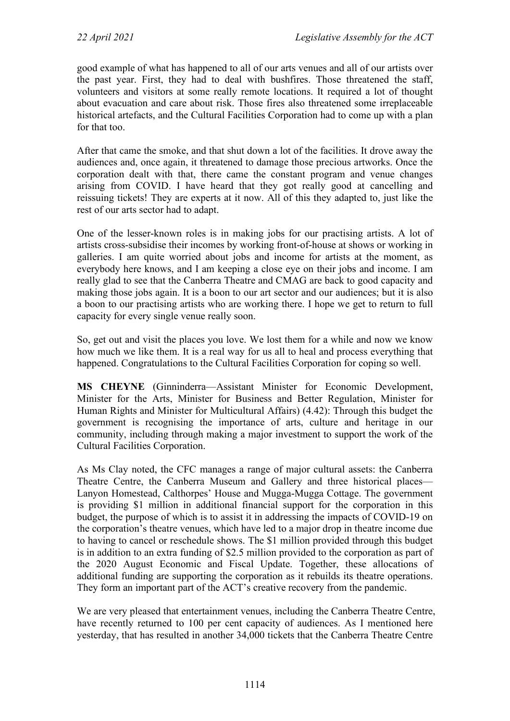good example of what has happened to all of our arts venues and all of our artists over the past year. First, they had to deal with bushfires. Those threatened the staff, volunteers and visitors at some really remote locations. It required a lot of thought about evacuation and care about risk. Those fires also threatened some irreplaceable historical artefacts, and the Cultural Facilities Corporation had to come up with a plan for that too.

After that came the smoke, and that shut down a lot of the facilities. It drove away the audiences and, once again, it threatened to damage those precious artworks. Once the corporation dealt with that, there came the constant program and venue changes arising from COVID. I have heard that they got really good at cancelling and reissuing tickets! They are experts at it now. All of this they adapted to, just like the rest of our arts sector had to adapt.

One of the lesser-known roles is in making jobs for our practising artists. A lot of artists cross-subsidise their incomes by working front-of-house at shows or working in galleries. I am quite worried about jobs and income for artists at the moment, as everybody here knows, and I am keeping a close eye on their jobs and income. I am really glad to see that the Canberra Theatre and CMAG are back to good capacity and making those jobs again. It is a boon to our art sector and our audiences; but it is also a boon to our practising artists who are working there. I hope we get to return to full capacity for every single venue really soon.

So, get out and visit the places you love. We lost them for a while and now we know how much we like them. It is a real way for us all to heal and process everything that happened. Congratulations to the Cultural Facilities Corporation for coping so well.

**MS CHEYNE** (Ginninderra—Assistant Minister for Economic Development, Minister for the Arts, Minister for Business and Better Regulation, Minister for Human Rights and Minister for Multicultural Affairs) (4.42): Through this budget the government is recognising the importance of arts, culture and heritage in our community, including through making a major investment to support the work of the Cultural Facilities Corporation.

As Ms Clay noted, the CFC manages a range of major cultural assets: the Canberra Theatre Centre, the Canberra Museum and Gallery and three historical places— Lanyon Homestead, Calthorpes' House and Mugga-Mugga Cottage. The government is providing \$1 million in additional financial support for the corporation in this budget, the purpose of which is to assist it in addressing the impacts of COVID-19 on the corporation's theatre venues, which have led to a major drop in theatre income due to having to cancel or reschedule shows. The \$1 million provided through this budget is in addition to an extra funding of \$2.5 million provided to the corporation as part of the 2020 August Economic and Fiscal Update. Together, these allocations of additional funding are supporting the corporation as it rebuilds its theatre operations. They form an important part of the ACT's creative recovery from the pandemic.

We are very pleased that entertainment venues, including the Canberra Theatre Centre, have recently returned to 100 per cent capacity of audiences. As I mentioned here yesterday, that has resulted in another 34,000 tickets that the Canberra Theatre Centre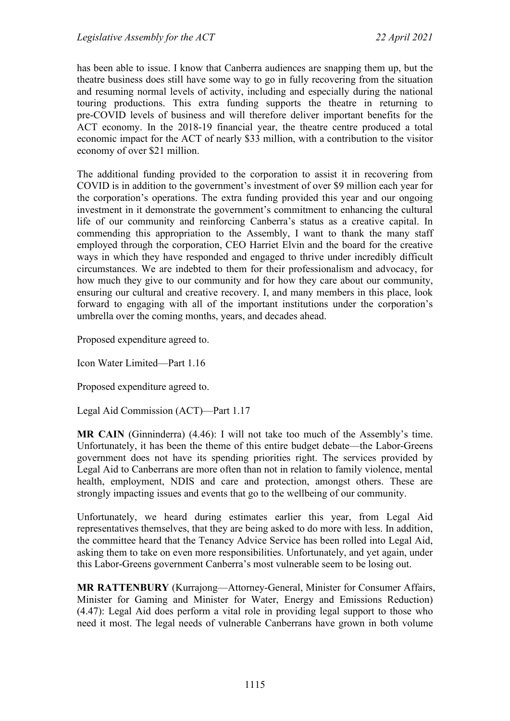has been able to issue. I know that Canberra audiences are snapping them up, but the theatre business does still have some way to go in fully recovering from the situation and resuming normal levels of activity, including and especially during the national touring productions. This extra funding supports the theatre in returning to pre-COVID levels of business and will therefore deliver important benefits for the ACT economy. In the 2018-19 financial year, the theatre centre produced a total economic impact for the ACT of nearly \$33 million, with a contribution to the visitor economy of over \$21 million.

The additional funding provided to the corporation to assist it in recovering from COVID is in addition to the government's investment of over \$9 million each year for the corporation's operations. The extra funding provided this year and our ongoing investment in it demonstrate the government's commitment to enhancing the cultural life of our community and reinforcing Canberra's status as a creative capital. In commending this appropriation to the Assembly, I want to thank the many staff employed through the corporation, CEO Harriet Elvin and the board for the creative ways in which they have responded and engaged to thrive under incredibly difficult circumstances. We are indebted to them for their professionalism and advocacy, for how much they give to our community and for how they care about our community, ensuring our cultural and creative recovery. I, and many members in this place, look forward to engaging with all of the important institutions under the corporation's umbrella over the coming months, years, and decades ahead.

Proposed expenditure agreed to.

Icon Water Limited—Part 1.16

Proposed expenditure agreed to.

Legal Aid Commission (ACT)—Part 1.17

**MR CAIN** (Ginninderra) (4.46): I will not take too much of the Assembly's time. Unfortunately, it has been the theme of this entire budget debate—the Labor-Greens government does not have its spending priorities right. The services provided by Legal Aid to Canberrans are more often than not in relation to family violence, mental health, employment, NDIS and care and protection, amongst others. These are strongly impacting issues and events that go to the wellbeing of our community.

Unfortunately, we heard during estimates earlier this year, from Legal Aid representatives themselves, that they are being asked to do more with less. In addition, the committee heard that the Tenancy Advice Service has been rolled into Legal Aid, asking them to take on even more responsibilities. Unfortunately, and yet again, under this Labor-Greens government Canberra's most vulnerable seem to be losing out.

**MR RATTENBURY** (Kurrajong—Attorney-General, Minister for Consumer Affairs, Minister for Gaming and Minister for Water, Energy and Emissions Reduction) (4.47): Legal Aid does perform a vital role in providing legal support to those who need it most. The legal needs of vulnerable Canberrans have grown in both volume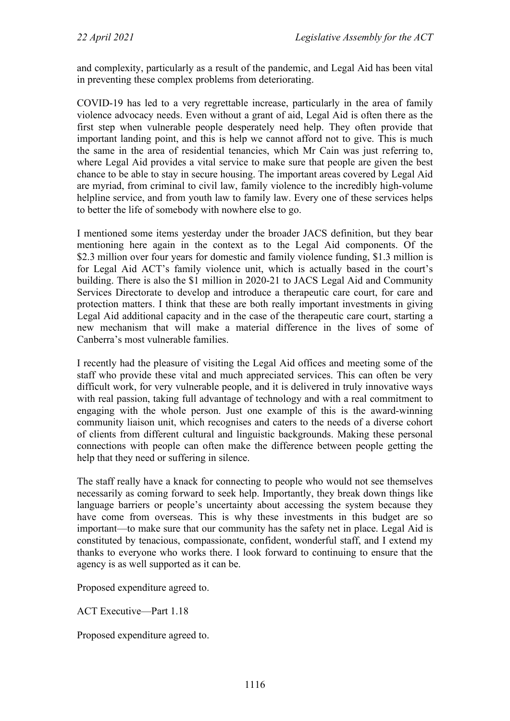and complexity, particularly as a result of the pandemic, and Legal Aid has been vital in preventing these complex problems from deteriorating.

COVID-19 has led to a very regrettable increase, particularly in the area of family violence advocacy needs. Even without a grant of aid, Legal Aid is often there as the first step when vulnerable people desperately need help. They often provide that important landing point, and this is help we cannot afford not to give. This is much the same in the area of residential tenancies, which Mr Cain was just referring to, where Legal Aid provides a vital service to make sure that people are given the best chance to be able to stay in secure housing. The important areas covered by Legal Aid are myriad, from criminal to civil law, family violence to the incredibly high-volume helpline service, and from youth law to family law. Every one of these services helps to better the life of somebody with nowhere else to go.

I mentioned some items yesterday under the broader JACS definition, but they bear mentioning here again in the context as to the Legal Aid components. Of the \$2.3 million over four years for domestic and family violence funding, \$1.3 million is for Legal Aid ACT's family violence unit, which is actually based in the court's building. There is also the \$1 million in 2020-21 to JACS Legal Aid and Community Services Directorate to develop and introduce a therapeutic care court, for care and protection matters. I think that these are both really important investments in giving Legal Aid additional capacity and in the case of the therapeutic care court, starting a new mechanism that will make a material difference in the lives of some of Canberra's most vulnerable families.

I recently had the pleasure of visiting the Legal Aid offices and meeting some of the staff who provide these vital and much appreciated services. This can often be very difficult work, for very vulnerable people, and it is delivered in truly innovative ways with real passion, taking full advantage of technology and with a real commitment to engaging with the whole person. Just one example of this is the award-winning community liaison unit, which recognises and caters to the needs of a diverse cohort of clients from different cultural and linguistic backgrounds. Making these personal connections with people can often make the difference between people getting the help that they need or suffering in silence.

The staff really have a knack for connecting to people who would not see themselves necessarily as coming forward to seek help. Importantly, they break down things like language barriers or people's uncertainty about accessing the system because they have come from overseas. This is why these investments in this budget are so important—to make sure that our community has the safety net in place. Legal Aid is constituted by tenacious, compassionate, confident, wonderful staff, and I extend my thanks to everyone who works there. I look forward to continuing to ensure that the agency is as well supported as it can be.

Proposed expenditure agreed to.

ACT Executive—Part 1.18

Proposed expenditure agreed to.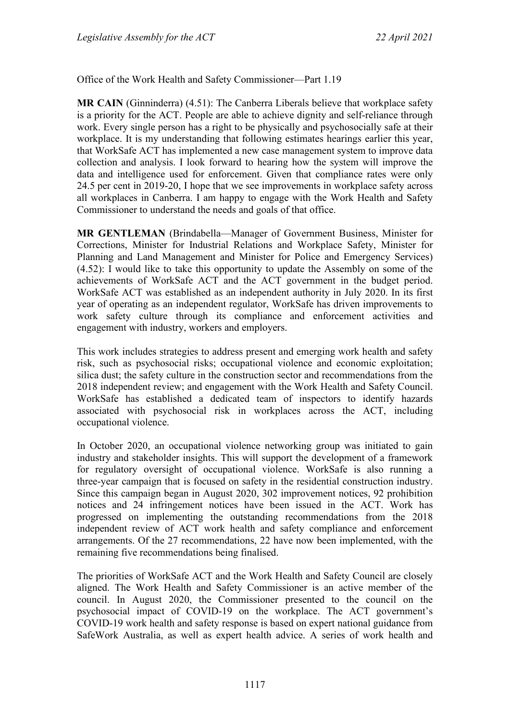Office of the Work Health and Safety Commissioner—Part 1.19

**MR CAIN** (Ginninderra) (4.51): The Canberra Liberals believe that workplace safety is a priority for the ACT. People are able to achieve dignity and self-reliance through work. Every single person has a right to be physically and psychosocially safe at their workplace. It is my understanding that following estimates hearings earlier this year, that WorkSafe ACT has implemented a new case management system to improve data collection and analysis. I look forward to hearing how the system will improve the data and intelligence used for enforcement. Given that compliance rates were only 24.5 per cent in 2019-20, I hope that we see improvements in workplace safety across all workplaces in Canberra. I am happy to engage with the Work Health and Safety Commissioner to understand the needs and goals of that office.

**MR GENTLEMAN** (Brindabella—Manager of Government Business, Minister for Corrections, Minister for Industrial Relations and Workplace Safety, Minister for Planning and Land Management and Minister for Police and Emergency Services) (4.52): I would like to take this opportunity to update the Assembly on some of the achievements of WorkSafe ACT and the ACT government in the budget period. WorkSafe ACT was established as an independent authority in July 2020. In its first year of operating as an independent regulator, WorkSafe has driven improvements to work safety culture through its compliance and enforcement activities and engagement with industry, workers and employers.

This work includes strategies to address present and emerging work health and safety risk, such as psychosocial risks; occupational violence and economic exploitation; silica dust; the safety culture in the construction sector and recommendations from the 2018 independent review; and engagement with the Work Health and Safety Council. WorkSafe has established a dedicated team of inspectors to identify hazards associated with psychosocial risk in workplaces across the ACT, including occupational violence.

In October 2020, an occupational violence networking group was initiated to gain industry and stakeholder insights. This will support the development of a framework for regulatory oversight of occupational violence. WorkSafe is also running a three-year campaign that is focused on safety in the residential construction industry. Since this campaign began in August 2020, 302 improvement notices, 92 prohibition notices and 24 infringement notices have been issued in the ACT. Work has progressed on implementing the outstanding recommendations from the 2018 independent review of ACT work health and safety compliance and enforcement arrangements. Of the 27 recommendations, 22 have now been implemented, with the remaining five recommendations being finalised.

The priorities of WorkSafe ACT and the Work Health and Safety Council are closely aligned. The Work Health and Safety Commissioner is an active member of the council. In August 2020, the Commissioner presented to the council on the psychosocial impact of COVID-19 on the workplace. The ACT government's COVID-19 work health and safety response is based on expert national guidance from SafeWork Australia, as well as expert health advice. A series of work health and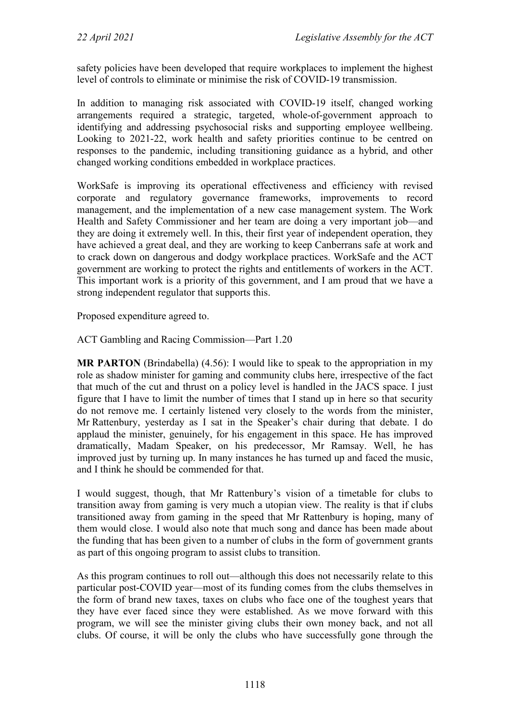safety policies have been developed that require workplaces to implement the highest level of controls to eliminate or minimise the risk of COVID-19 transmission.

In addition to managing risk associated with COVID-19 itself, changed working arrangements required a strategic, targeted, whole-of-government approach to identifying and addressing psychosocial risks and supporting employee wellbeing. Looking to 2021-22, work health and safety priorities continue to be centred on responses to the pandemic, including transitioning guidance as a hybrid, and other changed working conditions embedded in workplace practices.

WorkSafe is improving its operational effectiveness and efficiency with revised corporate and regulatory governance frameworks, improvements to record management, and the implementation of a new case management system. The Work Health and Safety Commissioner and her team are doing a very important job—and they are doing it extremely well. In this, their first year of independent operation, they have achieved a great deal, and they are working to keep Canberrans safe at work and to crack down on dangerous and dodgy workplace practices. WorkSafe and the ACT government are working to protect the rights and entitlements of workers in the ACT. This important work is a priority of this government, and I am proud that we have a strong independent regulator that supports this.

Proposed expenditure agreed to.

ACT Gambling and Racing Commission—Part 1.20

**MR PARTON** (Brindabella) (4.56): I would like to speak to the appropriation in my role as shadow minister for gaming and community clubs here, irrespective of the fact that much of the cut and thrust on a policy level is handled in the JACS space. I just figure that I have to limit the number of times that I stand up in here so that security do not remove me. I certainly listened very closely to the words from the minister, Mr Rattenbury, yesterday as I sat in the Speaker's chair during that debate. I do applaud the minister, genuinely, for his engagement in this space. He has improved dramatically, Madam Speaker, on his predecessor, Mr Ramsay. Well, he has improved just by turning up. In many instances he has turned up and faced the music, and I think he should be commended for that.

I would suggest, though, that Mr Rattenbury's vision of a timetable for clubs to transition away from gaming is very much a utopian view. The reality is that if clubs transitioned away from gaming in the speed that Mr Rattenbury is hoping, many of them would close. I would also note that much song and dance has been made about the funding that has been given to a number of clubs in the form of government grants as part of this ongoing program to assist clubs to transition.

As this program continues to roll out—although this does not necessarily relate to this particular post-COVID year—most of its funding comes from the clubs themselves in the form of brand new taxes, taxes on clubs who face one of the toughest years that they have ever faced since they were established. As we move forward with this program, we will see the minister giving clubs their own money back, and not all clubs. Of course, it will be only the clubs who have successfully gone through the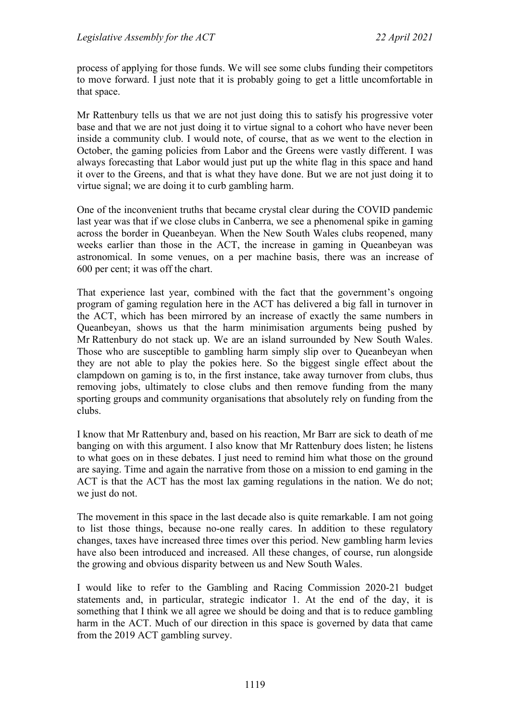process of applying for those funds. We will see some clubs funding their competitors to move forward. I just note that it is probably going to get a little uncomfortable in that space.

Mr Rattenbury tells us that we are not just doing this to satisfy his progressive voter base and that we are not just doing it to virtue signal to a cohort who have never been inside a community club. I would note, of course, that as we went to the election in October, the gaming policies from Labor and the Greens were vastly different. I was always forecasting that Labor would just put up the white flag in this space and hand it over to the Greens, and that is what they have done. But we are not just doing it to virtue signal; we are doing it to curb gambling harm.

One of the inconvenient truths that became crystal clear during the COVID pandemic last year was that if we close clubs in Canberra, we see a phenomenal spike in gaming across the border in Queanbeyan. When the New South Wales clubs reopened, many weeks earlier than those in the ACT, the increase in gaming in Queanbeyan was astronomical. In some venues, on a per machine basis, there was an increase of 600 per cent; it was off the chart.

That experience last year, combined with the fact that the government's ongoing program of gaming regulation here in the ACT has delivered a big fall in turnover in the ACT, which has been mirrored by an increase of exactly the same numbers in Queanbeyan, shows us that the harm minimisation arguments being pushed by Mr Rattenbury do not stack up. We are an island surrounded by New South Wales. Those who are susceptible to gambling harm simply slip over to Queanbeyan when they are not able to play the pokies here. So the biggest single effect about the clampdown on gaming is to, in the first instance, take away turnover from clubs, thus removing jobs, ultimately to close clubs and then remove funding from the many sporting groups and community organisations that absolutely rely on funding from the clubs.

I know that Mr Rattenbury and, based on his reaction, Mr Barr are sick to death of me banging on with this argument. I also know that Mr Rattenbury does listen; he listens to what goes on in these debates. I just need to remind him what those on the ground are saying. Time and again the narrative from those on a mission to end gaming in the ACT is that the ACT has the most lax gaming regulations in the nation. We do not; we just do not.

The movement in this space in the last decade also is quite remarkable. I am not going to list those things, because no-one really cares. In addition to these regulatory changes, taxes have increased three times over this period. New gambling harm levies have also been introduced and increased. All these changes, of course, run alongside the growing and obvious disparity between us and New South Wales.

I would like to refer to the Gambling and Racing Commission 2020-21 budget statements and, in particular, strategic indicator 1. At the end of the day, it is something that I think we all agree we should be doing and that is to reduce gambling harm in the ACT. Much of our direction in this space is governed by data that came from the 2019 ACT gambling survey.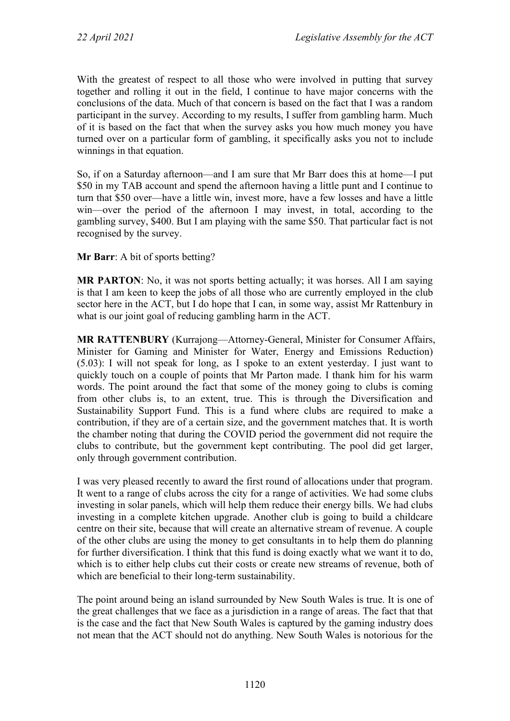With the greatest of respect to all those who were involved in putting that survey together and rolling it out in the field, I continue to have major concerns with the conclusions of the data. Much of that concern is based on the fact that I was a random participant in the survey. According to my results, I suffer from gambling harm. Much of it is based on the fact that when the survey asks you how much money you have turned over on a particular form of gambling, it specifically asks you not to include winnings in that equation.

So, if on a Saturday afternoon—and I am sure that Mr Barr does this at home—I put \$50 in my TAB account and spend the afternoon having a little punt and I continue to turn that \$50 over—have a little win, invest more, have a few losses and have a little win—over the period of the afternoon I may invest, in total, according to the gambling survey, \$400. But I am playing with the same \$50. That particular fact is not recognised by the survey.

**Mr Barr**: A bit of sports betting?

**MR PARTON**: No, it was not sports betting actually; it was horses. All I am saying is that I am keen to keep the jobs of all those who are currently employed in the club sector here in the ACT, but I do hope that I can, in some way, assist Mr Rattenbury in what is our joint goal of reducing gambling harm in the ACT.

**MR RATTENBURY** (Kurrajong—Attorney-General, Minister for Consumer Affairs, Minister for Gaming and Minister for Water, Energy and Emissions Reduction) (5.03): I will not speak for long, as I spoke to an extent yesterday. I just want to quickly touch on a couple of points that Mr Parton made. I thank him for his warm words. The point around the fact that some of the money going to clubs is coming from other clubs is, to an extent, true. This is through the Diversification and Sustainability Support Fund. This is a fund where clubs are required to make a contribution, if they are of a certain size, and the government matches that. It is worth the chamber noting that during the COVID period the government did not require the clubs to contribute, but the government kept contributing. The pool did get larger, only through government contribution.

I was very pleased recently to award the first round of allocations under that program. It went to a range of clubs across the city for a range of activities. We had some clubs investing in solar panels, which will help them reduce their energy bills. We had clubs investing in a complete kitchen upgrade. Another club is going to build a childcare centre on their site, because that will create an alternative stream of revenue. A couple of the other clubs are using the money to get consultants in to help them do planning for further diversification. I think that this fund is doing exactly what we want it to do, which is to either help clubs cut their costs or create new streams of revenue, both of which are beneficial to their long-term sustainability.

The point around being an island surrounded by New South Wales is true. It is one of the great challenges that we face as a jurisdiction in a range of areas. The fact that that is the case and the fact that New South Wales is captured by the gaming industry does not mean that the ACT should not do anything. New South Wales is notorious for the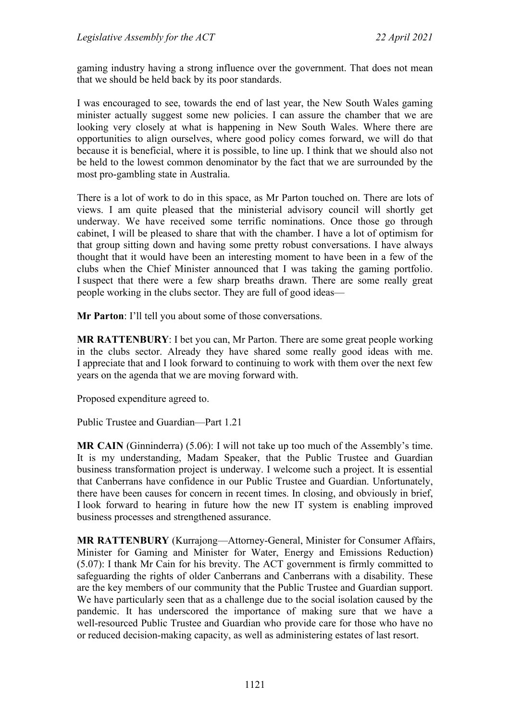gaming industry having a strong influence over the government. That does not mean that we should be held back by its poor standards.

I was encouraged to see, towards the end of last year, the New South Wales gaming minister actually suggest some new policies. I can assure the chamber that we are looking very closely at what is happening in New South Wales. Where there are opportunities to align ourselves, where good policy comes forward, we will do that because it is beneficial, where it is possible, to line up. I think that we should also not be held to the lowest common denominator by the fact that we are surrounded by the most pro-gambling state in Australia.

There is a lot of work to do in this space, as Mr Parton touched on. There are lots of views. I am quite pleased that the ministerial advisory council will shortly get underway. We have received some terrific nominations. Once those go through cabinet, I will be pleased to share that with the chamber. I have a lot of optimism for that group sitting down and having some pretty robust conversations. I have always thought that it would have been an interesting moment to have been in a few of the clubs when the Chief Minister announced that I was taking the gaming portfolio. I suspect that there were a few sharp breaths drawn. There are some really great people working in the clubs sector. They are full of good ideas—

**Mr Parton**: I'll tell you about some of those conversations.

**MR RATTENBURY**: I bet you can, Mr Parton. There are some great people working in the clubs sector. Already they have shared some really good ideas with me. I appreciate that and I look forward to continuing to work with them over the next few years on the agenda that we are moving forward with.

Proposed expenditure agreed to.

Public Trustee and Guardian—Part 1.21

**MR CAIN** (Ginninderra) (5.06): I will not take up too much of the Assembly's time. It is my understanding, Madam Speaker, that the Public Trustee and Guardian business transformation project is underway. I welcome such a project. It is essential that Canberrans have confidence in our Public Trustee and Guardian. Unfortunately, there have been causes for concern in recent times. In closing, and obviously in brief, I look forward to hearing in future how the new IT system is enabling improved business processes and strengthened assurance.

**MR RATTENBURY** (Kurrajong—Attorney-General, Minister for Consumer Affairs, Minister for Gaming and Minister for Water, Energy and Emissions Reduction) (5.07): I thank Mr Cain for his brevity. The ACT government is firmly committed to safeguarding the rights of older Canberrans and Canberrans with a disability. These are the key members of our community that the Public Trustee and Guardian support. We have particularly seen that as a challenge due to the social isolation caused by the pandemic. It has underscored the importance of making sure that we have a well-resourced Public Trustee and Guardian who provide care for those who have no or reduced decision-making capacity, as well as administering estates of last resort.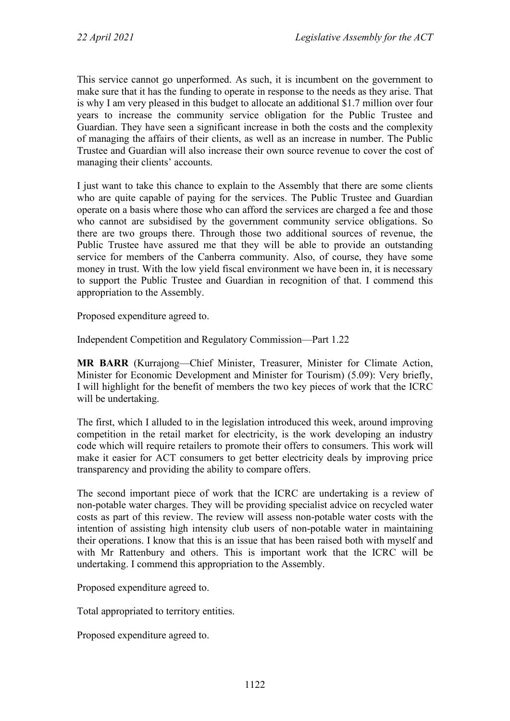This service cannot go unperformed. As such, it is incumbent on the government to make sure that it has the funding to operate in response to the needs as they arise. That is why I am very pleased in this budget to allocate an additional \$1.7 million over four years to increase the community service obligation for the Public Trustee and Guardian. They have seen a significant increase in both the costs and the complexity of managing the affairs of their clients, as well as an increase in number. The Public Trustee and Guardian will also increase their own source revenue to cover the cost of managing their clients' accounts.

I just want to take this chance to explain to the Assembly that there are some clients who are quite capable of paying for the services. The Public Trustee and Guardian operate on a basis where those who can afford the services are charged a fee and those who cannot are subsidised by the government community service obligations. So there are two groups there. Through those two additional sources of revenue, the Public Trustee have assured me that they will be able to provide an outstanding service for members of the Canberra community. Also, of course, they have some money in trust. With the low yield fiscal environment we have been in, it is necessary to support the Public Trustee and Guardian in recognition of that. I commend this appropriation to the Assembly.

Proposed expenditure agreed to.

Independent Competition and Regulatory Commission—Part 1.22

**MR BARR** (Kurrajong—Chief Minister, Treasurer, Minister for Climate Action, Minister for Economic Development and Minister for Tourism) (5.09): Very briefly, I will highlight for the benefit of members the two key pieces of work that the ICRC will be undertaking.

The first, which I alluded to in the legislation introduced this week, around improving competition in the retail market for electricity, is the work developing an industry code which will require retailers to promote their offers to consumers. This work will make it easier for ACT consumers to get better electricity deals by improving price transparency and providing the ability to compare offers.

The second important piece of work that the ICRC are undertaking is a review of non-potable water charges. They will be providing specialist advice on recycled water costs as part of this review. The review will assess non-potable water costs with the intention of assisting high intensity club users of non-potable water in maintaining their operations. I know that this is an issue that has been raised both with myself and with Mr Rattenbury and others. This is important work that the ICRC will be undertaking. I commend this appropriation to the Assembly.

Proposed expenditure agreed to.

Total appropriated to territory entities.

Proposed expenditure agreed to.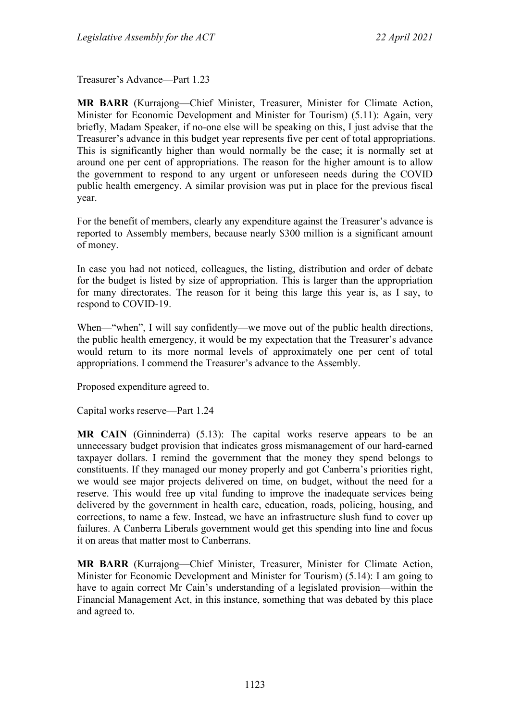Treasurer's Advance—Part 1.23

**MR BARR** (Kurrajong—Chief Minister, Treasurer, Minister for Climate Action, Minister for Economic Development and Minister for Tourism) (5.11): Again, very briefly, Madam Speaker, if no-one else will be speaking on this, I just advise that the Treasurer's advance in this budget year represents five per cent of total appropriations. This is significantly higher than would normally be the case; it is normally set at around one per cent of appropriations. The reason for the higher amount is to allow the government to respond to any urgent or unforeseen needs during the COVID public health emergency. A similar provision was put in place for the previous fiscal year.

For the benefit of members, clearly any expenditure against the Treasurer's advance is reported to Assembly members, because nearly \$300 million is a significant amount of money.

In case you had not noticed, colleagues, the listing, distribution and order of debate for the budget is listed by size of appropriation. This is larger than the appropriation for many directorates. The reason for it being this large this year is, as I say, to respond to COVID-19.

When—"when", I will say confidently—we move out of the public health directions, the public health emergency, it would be my expectation that the Treasurer's advance would return to its more normal levels of approximately one per cent of total appropriations. I commend the Treasurer's advance to the Assembly.

Proposed expenditure agreed to.

Capital works reserve—Part 1.24

**MR CAIN** (Ginninderra) (5.13): The capital works reserve appears to be an unnecessary budget provision that indicates gross mismanagement of our hard-earned taxpayer dollars. I remind the government that the money they spend belongs to constituents. If they managed our money properly and got Canberra's priorities right, we would see major projects delivered on time, on budget, without the need for a reserve. This would free up vital funding to improve the inadequate services being delivered by the government in health care, education, roads, policing, housing, and corrections, to name a few. Instead, we have an infrastructure slush fund to cover up failures. A Canberra Liberals government would get this spending into line and focus it on areas that matter most to Canberrans.

**MR BARR** (Kurrajong—Chief Minister, Treasurer, Minister for Climate Action, Minister for Economic Development and Minister for Tourism) (5.14): I am going to have to again correct Mr Cain's understanding of a legislated provision—within the Financial Management Act, in this instance, something that was debated by this place and agreed to.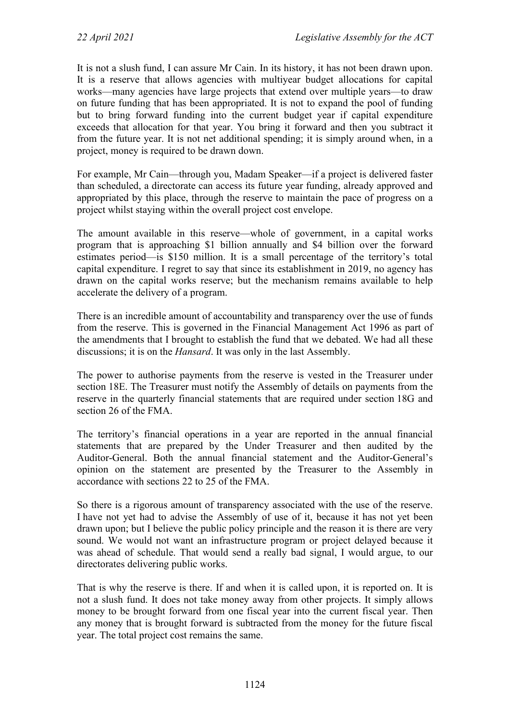It is not a slush fund, I can assure Mr Cain. In its history, it has not been drawn upon. It is a reserve that allows agencies with multiyear budget allocations for capital works—many agencies have large projects that extend over multiple years—to draw on future funding that has been appropriated. It is not to expand the pool of funding but to bring forward funding into the current budget year if capital expenditure exceeds that allocation for that year. You bring it forward and then you subtract it from the future year. It is not net additional spending; it is simply around when, in a project, money is required to be drawn down.

For example, Mr Cain—through you, Madam Speaker—if a project is delivered faster than scheduled, a directorate can access its future year funding, already approved and appropriated by this place, through the reserve to maintain the pace of progress on a project whilst staying within the overall project cost envelope.

The amount available in this reserve—whole of government, in a capital works program that is approaching \$1 billion annually and \$4 billion over the forward estimates period—is \$150 million. It is a small percentage of the territory's total capital expenditure. I regret to say that since its establishment in 2019, no agency has drawn on the capital works reserve; but the mechanism remains available to help accelerate the delivery of a program.

There is an incredible amount of accountability and transparency over the use of funds from the reserve. This is governed in the Financial Management Act 1996 as part of the amendments that I brought to establish the fund that we debated. We had all these discussions; it is on the *Hansard*. It was only in the last Assembly.

The power to authorise payments from the reserve is vested in the Treasurer under section 18E. The Treasurer must notify the Assembly of details on payments from the reserve in the quarterly financial statements that are required under section 18G and section 26 of the FMA.

The territory's financial operations in a year are reported in the annual financial statements that are prepared by the Under Treasurer and then audited by the Auditor-General. Both the annual financial statement and the Auditor-General's opinion on the statement are presented by the Treasurer to the Assembly in accordance with sections 22 to 25 of the FMA.

So there is a rigorous amount of transparency associated with the use of the reserve. I have not yet had to advise the Assembly of use of it, because it has not yet been drawn upon; but I believe the public policy principle and the reason it is there are very sound. We would not want an infrastructure program or project delayed because it was ahead of schedule. That would send a really bad signal, I would argue, to our directorates delivering public works.

That is why the reserve is there. If and when it is called upon, it is reported on. It is not a slush fund. It does not take money away from other projects. It simply allows money to be brought forward from one fiscal year into the current fiscal year. Then any money that is brought forward is subtracted from the money for the future fiscal year. The total project cost remains the same.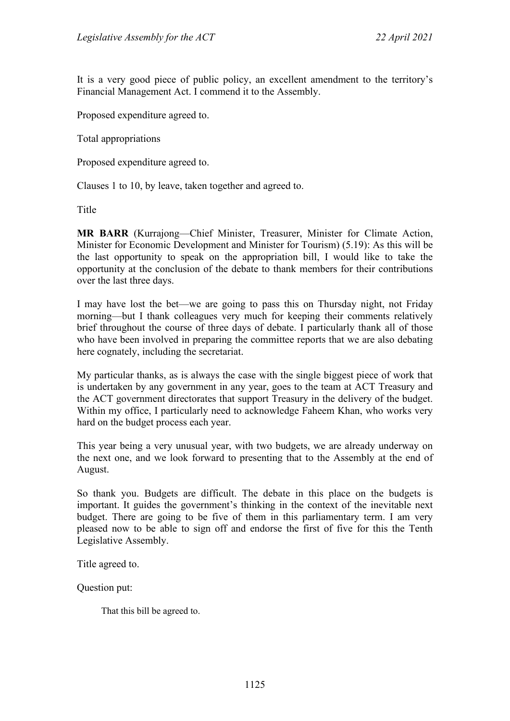It is a very good piece of public policy, an excellent amendment to the territory's Financial Management Act. I commend it to the Assembly.

Proposed expenditure agreed to.

Total appropriations

Proposed expenditure agreed to.

Clauses 1 to 10, by leave, taken together and agreed to.

Title

**MR BARR** (Kurrajong—Chief Minister, Treasurer, Minister for Climate Action, Minister for Economic Development and Minister for Tourism) (5.19): As this will be the last opportunity to speak on the appropriation bill, I would like to take the opportunity at the conclusion of the debate to thank members for their contributions over the last three days.

I may have lost the bet—we are going to pass this on Thursday night, not Friday morning—but I thank colleagues very much for keeping their comments relatively brief throughout the course of three days of debate. I particularly thank all of those who have been involved in preparing the committee reports that we are also debating here cognately, including the secretariat.

My particular thanks, as is always the case with the single biggest piece of work that is undertaken by any government in any year, goes to the team at ACT Treasury and the ACT government directorates that support Treasury in the delivery of the budget. Within my office, I particularly need to acknowledge Faheem Khan, who works very hard on the budget process each year.

This year being a very unusual year, with two budgets, we are already underway on the next one, and we look forward to presenting that to the Assembly at the end of August.

So thank you. Budgets are difficult. The debate in this place on the budgets is important. It guides the government's thinking in the context of the inevitable next budget. There are going to be five of them in this parliamentary term. I am very pleased now to be able to sign off and endorse the first of five for this the Tenth Legislative Assembly.

Title agreed to.

Question put:

That this bill be agreed to.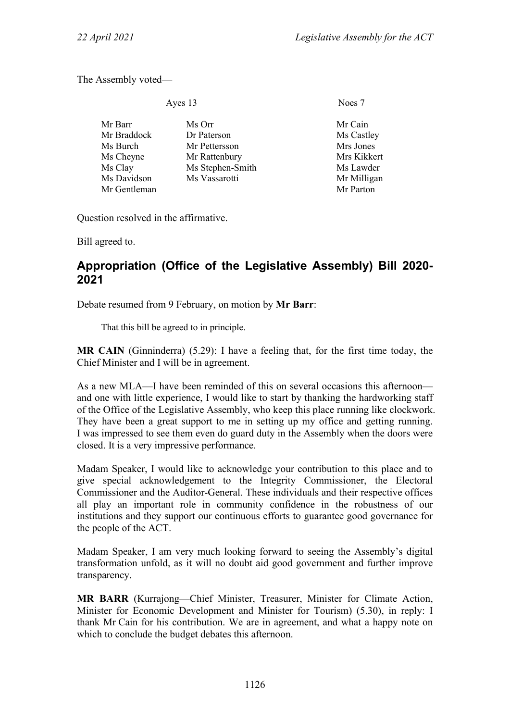The Assembly voted—

| Ayes 13 | Noes 7 |
|---------|--------|
|         |        |

| Mr Barr      | Ms Orr           | Mr Cain     |
|--------------|------------------|-------------|
| Mr Braddock  | Dr Paterson      | Ms Castley  |
| Ms Burch     | Mr Pettersson    | Mrs Jones   |
| Ms Cheyne    | Mr Rattenbury    | Mrs Kikkert |
| Ms Clay      | Ms Stephen-Smith | Ms Lawder   |
| Ms Davidson  | Ms Vassarotti    | Mr Milligan |
| Mr Gentleman |                  | Mr Parton   |

Question resolved in the affirmative.

Bill agreed to.

# **Appropriation (Office of the Legislative Assembly) Bill 2020- 2021**

Debate resumed from 9 February, on motion by **Mr Barr**:

That this bill be agreed to in principle.

**MR CAIN** (Ginninderra) (5.29): I have a feeling that, for the first time today, the Chief Minister and I will be in agreement.

As a new MLA—I have been reminded of this on several occasions this afternoon and one with little experience, I would like to start by thanking the hardworking staff of the Office of the Legislative Assembly, who keep this place running like clockwork. They have been a great support to me in setting up my office and getting running. I was impressed to see them even do guard duty in the Assembly when the doors were closed. It is a very impressive performance.

Madam Speaker, I would like to acknowledge your contribution to this place and to give special acknowledgement to the Integrity Commissioner, the Electoral Commissioner and the Auditor-General. These individuals and their respective offices all play an important role in community confidence in the robustness of our institutions and they support our continuous efforts to guarantee good governance for the people of the ACT.

Madam Speaker, I am very much looking forward to seeing the Assembly's digital transformation unfold, as it will no doubt aid good government and further improve transparency.

**MR BARR** (Kurrajong—Chief Minister, Treasurer, Minister for Climate Action, Minister for Economic Development and Minister for Tourism) (5.30), in reply: I thank Mr Cain for his contribution. We are in agreement, and what a happy note on which to conclude the budget debates this afternoon.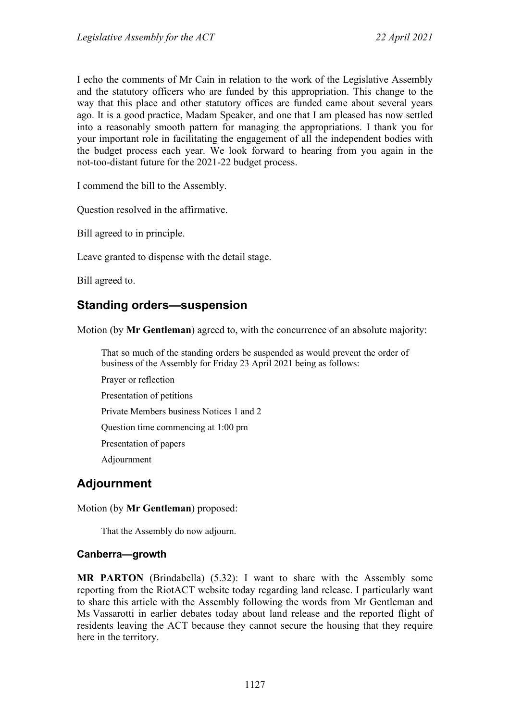I echo the comments of Mr Cain in relation to the work of the Legislative Assembly and the statutory officers who are funded by this appropriation. This change to the way that this place and other statutory offices are funded came about several years ago. It is a good practice, Madam Speaker, and one that I am pleased has now settled into a reasonably smooth pattern for managing the appropriations. I thank you for your important role in facilitating the engagement of all the independent bodies with the budget process each year. We look forward to hearing from you again in the not-too-distant future for the 2021-22 budget process.

I commend the bill to the Assembly.

Question resolved in the affirmative.

Bill agreed to in principle.

Leave granted to dispense with the detail stage.

Bill agreed to.

# **Standing orders—suspension**

Motion (by **Mr Gentleman**) agreed to, with the concurrence of an absolute majority:

That so much of the standing orders be suspended as would prevent the order of business of the Assembly for Friday 23 April 2021 being as follows:

Prayer or reflection Presentation of petitions Private Members business Notices 1 and 2 Question time commencing at 1:00 pm Presentation of papers Adjournment

# **Adjournment**

Motion (by **Mr Gentleman**) proposed:

That the Assembly do now adjourn.

## **Canberra—growth**

**MR PARTON** (Brindabella) (5.32): I want to share with the Assembly some reporting from the RiotACT website today regarding land release. I particularly want to share this article with the Assembly following the words from Mr Gentleman and Ms Vassarotti in earlier debates today about land release and the reported flight of residents leaving the ACT because they cannot secure the housing that they require here in the territory.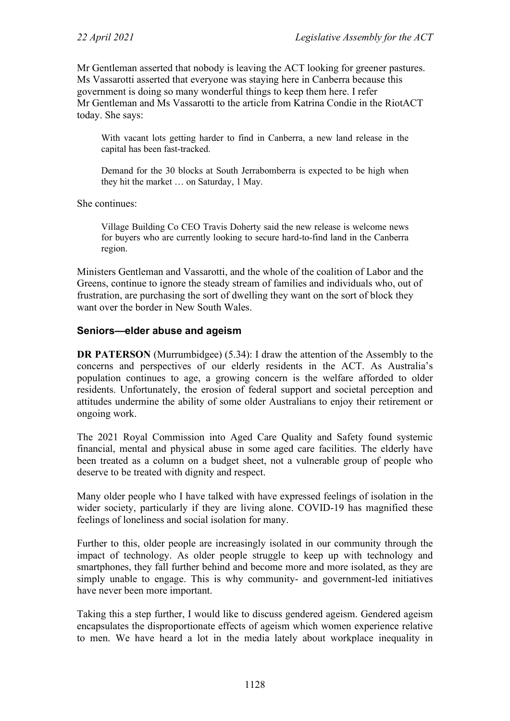Mr Gentleman asserted that nobody is leaving the ACT looking for greener pastures. Ms Vassarotti asserted that everyone was staying here in Canberra because this government is doing so many wonderful things to keep them here. I refer Mr Gentleman and Ms Vassarotti to the article from Katrina Condie in the RiotACT today. She says:

With vacant lots getting harder to find in Canberra, a new land release in the capital has been fast-tracked.

Demand for the 30 blocks at South Jerrabomberra is expected to be high when they hit the market … on Saturday, 1 May.

She continues:

Village Building Co CEO Travis Doherty said the new release is welcome news for buyers who are currently looking to secure hard-to-find land in the Canberra region.

Ministers Gentleman and Vassarotti, and the whole of the coalition of Labor and the Greens, continue to ignore the steady stream of families and individuals who, out of frustration, are purchasing the sort of dwelling they want on the sort of block they want over the border in New South Wales.

#### **Seniors—elder abuse and ageism**

**DR PATERSON** (Murrumbidgee) (5.34): I draw the attention of the Assembly to the concerns and perspectives of our elderly residents in the ACT. As Australia's population continues to age, a growing concern is the welfare afforded to older residents. Unfortunately, the erosion of federal support and societal perception and attitudes undermine the ability of some older Australians to enjoy their retirement or ongoing work.

The 2021 Royal Commission into Aged Care Quality and Safety found systemic financial, mental and physical abuse in some aged care facilities. The elderly have been treated as a column on a budget sheet, not a vulnerable group of people who deserve to be treated with dignity and respect.

Many older people who I have talked with have expressed feelings of isolation in the wider society, particularly if they are living alone. COVID-19 has magnified these feelings of loneliness and social isolation for many.

Further to this, older people are increasingly isolated in our community through the impact of technology. As older people struggle to keep up with technology and smartphones, they fall further behind and become more and more isolated, as they are simply unable to engage. This is why community- and government-led initiatives have never been more important.

Taking this a step further, I would like to discuss gendered ageism. Gendered ageism encapsulates the disproportionate effects of ageism which women experience relative to men. We have heard a lot in the media lately about workplace inequality in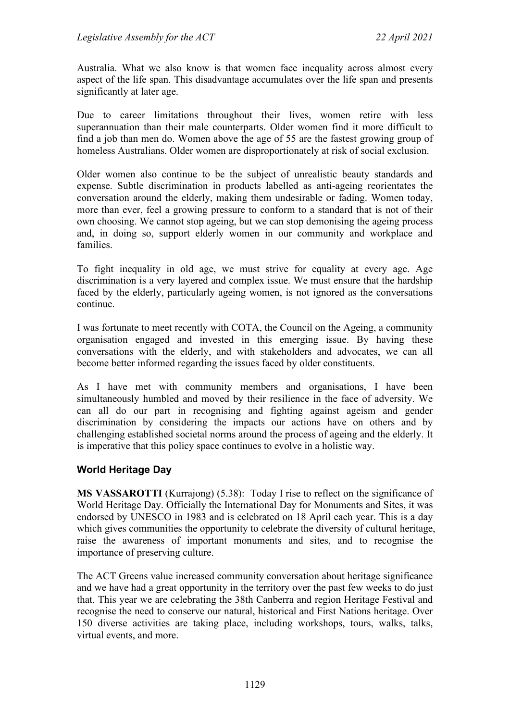Australia. What we also know is that women face inequality across almost every aspect of the life span. This disadvantage accumulates over the life span and presents significantly at later age.

Due to career limitations throughout their lives, women retire with less superannuation than their male counterparts. Older women find it more difficult to find a job than men do. Women above the age of 55 are the fastest growing group of homeless Australians. Older women are disproportionately at risk of social exclusion.

Older women also continue to be the subject of unrealistic beauty standards and expense. Subtle discrimination in products labelled as anti-ageing reorientates the conversation around the elderly, making them undesirable or fading. Women today, more than ever, feel a growing pressure to conform to a standard that is not of their own choosing. We cannot stop ageing, but we can stop demonising the ageing process and, in doing so, support elderly women in our community and workplace and families.

To fight inequality in old age, we must strive for equality at every age. Age discrimination is a very layered and complex issue. We must ensure that the hardship faced by the elderly, particularly ageing women, is not ignored as the conversations continue.

I was fortunate to meet recently with COTA, the Council on the Ageing, a community organisation engaged and invested in this emerging issue. By having these conversations with the elderly, and with stakeholders and advocates, we can all become better informed regarding the issues faced by older constituents.

As I have met with community members and organisations, I have been simultaneously humbled and moved by their resilience in the face of adversity. We can all do our part in recognising and fighting against ageism and gender discrimination by considering the impacts our actions have on others and by challenging established societal norms around the process of ageing and the elderly. It is imperative that this policy space continues to evolve in a holistic way.

## **World Heritage Day**

**MS VASSAROTTI** (Kurrajong) (5.38): Today I rise to reflect on the significance of World Heritage Day. Officially the International Day for Monuments and Sites, it was endorsed by UNESCO in 1983 and is celebrated on 18 April each year. This is a day which gives communities the opportunity to celebrate the diversity of cultural heritage, raise the awareness of important monuments and sites, and to recognise the importance of preserving culture.

The ACT Greens value increased community conversation about heritage significance and we have had a great opportunity in the territory over the past few weeks to do just that. This year we are celebrating the 38th Canberra and region Heritage Festival and recognise the need to conserve our natural, historical and First Nations heritage. Over 150 diverse activities are taking place, including workshops, tours, walks, talks, virtual events, and more.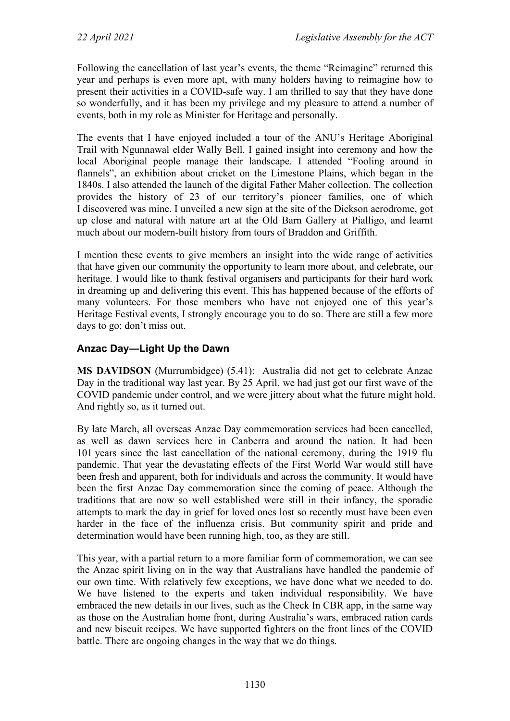Following the cancellation of last year's events, the theme "Reimagine" returned this year and perhaps is even more apt, with many holders having to reimagine how to present their activities in a COVID-safe way. I am thrilled to say that they have done so wonderfully, and it has been my privilege and my pleasure to attend a number of events, both in my role as Minister for Heritage and personally.

The events that I have enjoyed included a tour of the ANU's Heritage Aboriginal Trail with Ngunnawal elder Wally Bell. I gained insight into ceremony and how the local Aboriginal people manage their landscape. I attended "Fooling around in flannels", an exhibition about cricket on the Limestone Plains, which began in the 1840s. I also attended the launch of the digital Father Maher collection. The collection provides the history of 23 of our territory's pioneer families, one of which I discovered was mine. I unveiled a new sign at the site of the Dickson aerodrome, got up close and natural with nature art at the Old Barn Gallery at Pialligo, and learnt much about our modern-built history from tours of Braddon and Griffith.

I mention these events to give members an insight into the wide range of activities that have given our community the opportunity to learn more about, and celebrate, our heritage. I would like to thank festival organisers and participants for their hard work in dreaming up and delivering this event. This has happened because of the efforts of many volunteers. For those members who have not enjoyed one of this year's Heritage Festival events, I strongly encourage you to do so. There are still a few more days to go; don't miss out.

# **Anzac Day—Light Up the Dawn**

**MS DAVIDSON** (Murrumbidgee) (5.41): Australia did not get to celebrate Anzac Day in the traditional way last year. By 25 April, we had just got our first wave of the COVID pandemic under control, and we were jittery about what the future might hold. And rightly so, as it turned out.

By late March, all overseas Anzac Day commemoration services had been cancelled, as well as dawn services here in Canberra and around the nation. It had been 101 years since the last cancellation of the national ceremony, during the 1919 flu pandemic. That year the devastating effects of the First World War would still have been fresh and apparent, both for individuals and across the community. It would have been the first Anzac Day commemoration since the coming of peace. Although the traditions that are now so well established were still in their infancy, the sporadic attempts to mark the day in grief for loved ones lost so recently must have been even harder in the face of the influenza crisis. But community spirit and pride and determination would have been running high, too, as they are still.

This year, with a partial return to a more familiar form of commemoration, we can see the Anzac spirit living on in the way that Australians have handled the pandemic of our own time. With relatively few exceptions, we have done what we needed to do. We have listened to the experts and taken individual responsibility. We have embraced the new details in our lives, such as the Check In CBR app, in the same way as those on the Australian home front, during Australia's wars, embraced ration cards and new biscuit recipes. We have supported fighters on the front lines of the COVID battle. There are ongoing changes in the way that we do things.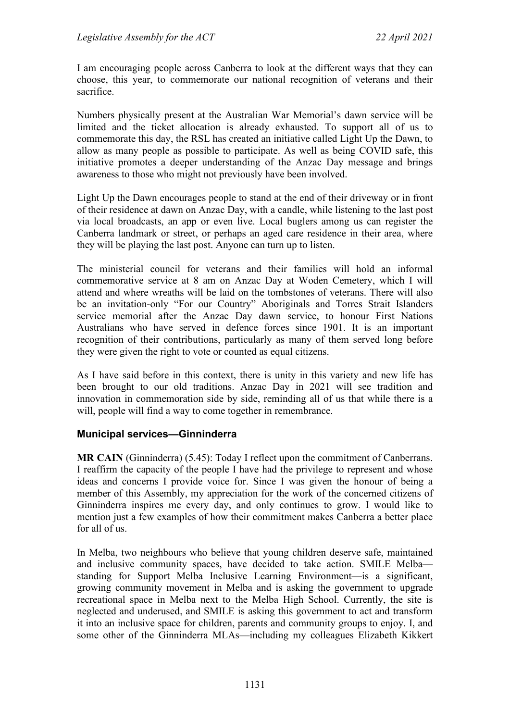I am encouraging people across Canberra to look at the different ways that they can choose, this year, to commemorate our national recognition of veterans and their sacrifice.

Numbers physically present at the Australian War Memorial's dawn service will be limited and the ticket allocation is already exhausted. To support all of us to commemorate this day, the RSL has created an initiative called Light Up the Dawn, to allow as many people as possible to participate. As well as being COVID safe, this initiative promotes a deeper understanding of the Anzac Day message and brings awareness to those who might not previously have been involved.

Light Up the Dawn encourages people to stand at the end of their driveway or in front of their residence at dawn on Anzac Day, with a candle, while listening to the last post via local broadcasts, an app or even live. Local buglers among us can register the Canberra landmark or street, or perhaps an aged care residence in their area, where they will be playing the last post. Anyone can turn up to listen.

The ministerial council for veterans and their families will hold an informal commemorative service at 8 am on Anzac Day at Woden Cemetery, which I will attend and where wreaths will be laid on the tombstones of veterans. There will also be an invitation-only "For our Country" Aboriginals and Torres Strait Islanders service memorial after the Anzac Day dawn service, to honour First Nations Australians who have served in defence forces since 1901. It is an important recognition of their contributions, particularly as many of them served long before they were given the right to vote or counted as equal citizens.

As I have said before in this context, there is unity in this variety and new life has been brought to our old traditions. Anzac Day in 2021 will see tradition and innovation in commemoration side by side, reminding all of us that while there is a will, people will find a way to come together in remembrance.

## **Municipal services—Ginninderra**

**MR CAIN** (Ginninderra) (5.45): Today I reflect upon the commitment of Canberrans. I reaffirm the capacity of the people I have had the privilege to represent and whose ideas and concerns I provide voice for. Since I was given the honour of being a member of this Assembly, my appreciation for the work of the concerned citizens of Ginninderra inspires me every day, and only continues to grow. I would like to mention just a few examples of how their commitment makes Canberra a better place for all of us.

In Melba, two neighbours who believe that young children deserve safe, maintained and inclusive community spaces, have decided to take action. SMILE Melba standing for Support Melba Inclusive Learning Environment—is a significant, growing community movement in Melba and is asking the government to upgrade recreational space in Melba next to the Melba High School. Currently, the site is neglected and underused, and SMILE is asking this government to act and transform it into an inclusive space for children, parents and community groups to enjoy. I, and some other of the Ginninderra MLAs—including my colleagues Elizabeth Kikkert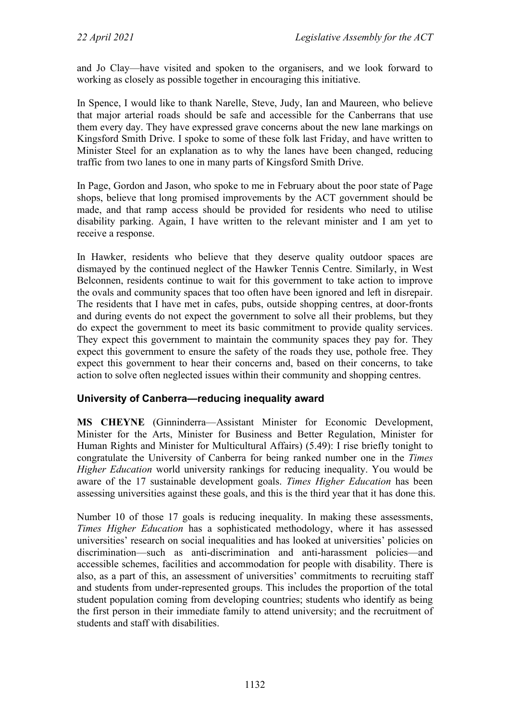and Jo Clay—have visited and spoken to the organisers, and we look forward to working as closely as possible together in encouraging this initiative.

In Spence, I would like to thank Narelle, Steve, Judy, Ian and Maureen, who believe that major arterial roads should be safe and accessible for the Canberrans that use them every day. They have expressed grave concerns about the new lane markings on Kingsford Smith Drive. I spoke to some of these folk last Friday, and have written to Minister Steel for an explanation as to why the lanes have been changed, reducing traffic from two lanes to one in many parts of Kingsford Smith Drive.

In Page, Gordon and Jason, who spoke to me in February about the poor state of Page shops, believe that long promised improvements by the ACT government should be made, and that ramp access should be provided for residents who need to utilise disability parking. Again, I have written to the relevant minister and I am yet to receive a response.

In Hawker, residents who believe that they deserve quality outdoor spaces are dismayed by the continued neglect of the Hawker Tennis Centre. Similarly, in West Belconnen, residents continue to wait for this government to take action to improve the ovals and community spaces that too often have been ignored and left in disrepair. The residents that I have met in cafes, pubs, outside shopping centres, at door-fronts and during events do not expect the government to solve all their problems, but they do expect the government to meet its basic commitment to provide quality services. They expect this government to maintain the community spaces they pay for. They expect this government to ensure the safety of the roads they use, pothole free. They expect this government to hear their concerns and, based on their concerns, to take action to solve often neglected issues within their community and shopping centres.

## **University of Canberra—reducing inequality award**

**MS CHEYNE** (Ginninderra—Assistant Minister for Economic Development, Minister for the Arts, Minister for Business and Better Regulation, Minister for Human Rights and Minister for Multicultural Affairs) (5.49): I rise briefly tonight to congratulate the University of Canberra for being ranked number one in the *Times Higher Education* world university rankings for reducing inequality. You would be aware of the 17 sustainable development goals. *Times Higher Education* has been assessing universities against these goals, and this is the third year that it has done this.

Number 10 of those 17 goals is reducing inequality. In making these assessments, *Times Higher Education* has a sophisticated methodology, where it has assessed universities' research on social inequalities and has looked at universities' policies on discrimination—such as anti-discrimination and anti-harassment policies—and accessible schemes, facilities and accommodation for people with disability. There is also, as a part of this, an assessment of universities' commitments to recruiting staff and students from under-represented groups. This includes the proportion of the total student population coming from developing countries; students who identify as being the first person in their immediate family to attend university; and the recruitment of students and staff with disabilities.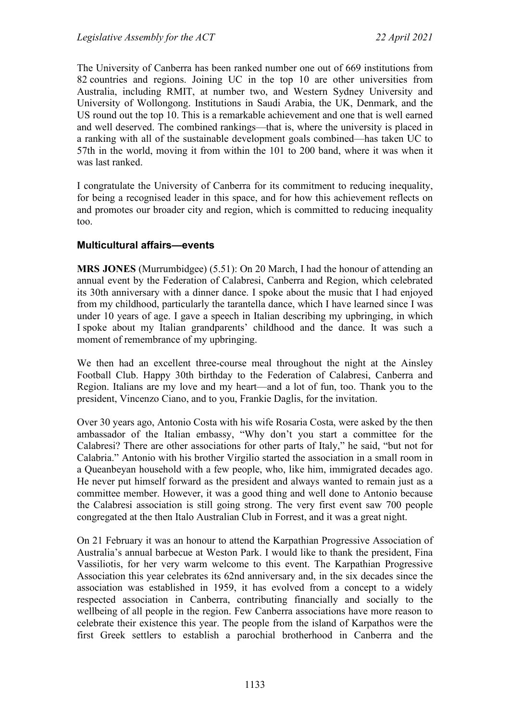The University of Canberra has been ranked number one out of 669 institutions from 82 countries and regions. Joining UC in the top 10 are other universities from Australia, including RMIT, at number two, and Western Sydney University and University of Wollongong. Institutions in Saudi Arabia, the UK, Denmark, and the US round out the top 10. This is a remarkable achievement and one that is well earned and well deserved. The combined rankings—that is, where the university is placed in a ranking with all of the sustainable development goals combined—has taken UC to 57th in the world, moving it from within the 101 to 200 band, where it was when it was last ranked.

I congratulate the University of Canberra for its commitment to reducing inequality, for being a recognised leader in this space, and for how this achievement reflects on and promotes our broader city and region, which is committed to reducing inequality too.

## **Multicultural affairs—events**

**MRS JONES** (Murrumbidgee) (5.51): On 20 March, I had the honour of attending an annual event by the Federation of Calabresi, Canberra and Region, which celebrated its 30th anniversary with a dinner dance. I spoke about the music that I had enjoyed from my childhood, particularly the tarantella dance, which I have learned since I was under 10 years of age. I gave a speech in Italian describing my upbringing, in which I spoke about my Italian grandparents' childhood and the dance. It was such a moment of remembrance of my upbringing.

We then had an excellent three-course meal throughout the night at the Ainsley Football Club. Happy 30th birthday to the Federation of Calabresi, Canberra and Region. Italians are my love and my heart—and a lot of fun, too. Thank you to the president, Vincenzo Ciano, and to you, Frankie Daglis, for the invitation.

Over 30 years ago, Antonio Costa with his wife Rosaria Costa, were asked by the then ambassador of the Italian embassy, "Why don't you start a committee for the Calabresi? There are other associations for other parts of Italy," he said, "but not for Calabria." Antonio with his brother Virgilio started the association in a small room in a Queanbeyan household with a few people, who, like him, immigrated decades ago. He never put himself forward as the president and always wanted to remain just as a committee member. However, it was a good thing and well done to Antonio because the Calabresi association is still going strong. The very first event saw 700 people congregated at the then Italo Australian Club in Forrest, and it was a great night.

On 21 February it was an honour to attend the Karpathian Progressive Association of Australia's annual barbecue at Weston Park. I would like to thank the president, Fina Vassiliotis, for her very warm welcome to this event. The Karpathian Progressive Association this year celebrates its 62nd anniversary and, in the six decades since the association was established in 1959, it has evolved from a concept to a widely respected association in Canberra, contributing financially and socially to the wellbeing of all people in the region. Few Canberra associations have more reason to celebrate their existence this year. The people from the island of Karpathos were the first Greek settlers to establish a parochial brotherhood in Canberra and the